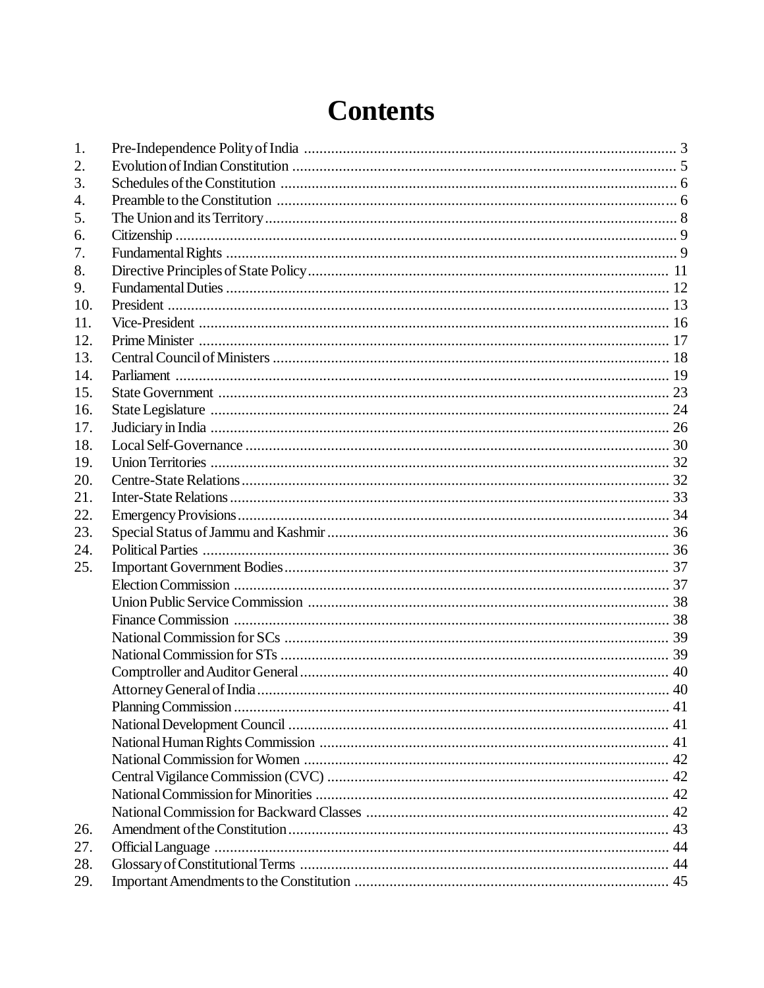## **Contents**

| 1.  |  |
|-----|--|
| 2.  |  |
| 3.  |  |
| 4.  |  |
| 5.  |  |
| 6.  |  |
| 7.  |  |
| 8.  |  |
| 9.  |  |
| 10. |  |
| 11. |  |
| 12. |  |
| 13. |  |
| 14. |  |
| 15. |  |
| 16. |  |
| 17. |  |
| 18. |  |
| 19. |  |
| 20. |  |
| 21. |  |
| 22. |  |
| 23. |  |
| 24. |  |
| 25. |  |
|     |  |
|     |  |
|     |  |
|     |  |
|     |  |
|     |  |
|     |  |
|     |  |
|     |  |
|     |  |
|     |  |
|     |  |
|     |  |
|     |  |
| 26. |  |
| 27. |  |
| 28. |  |
| 29. |  |
|     |  |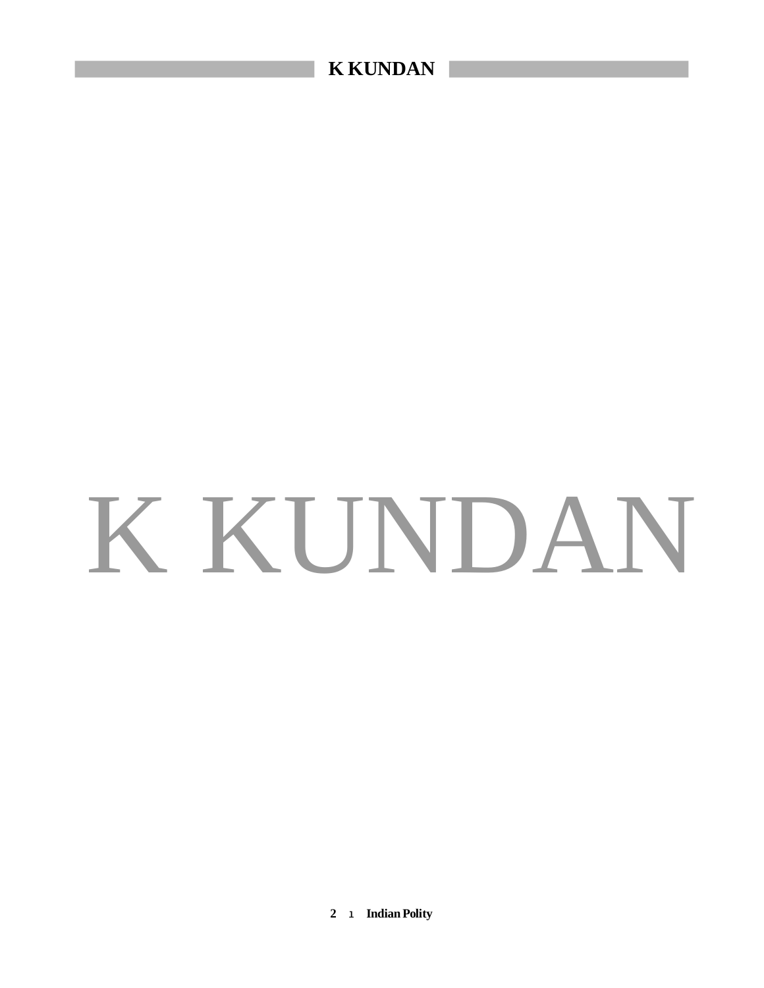# K KUNDAN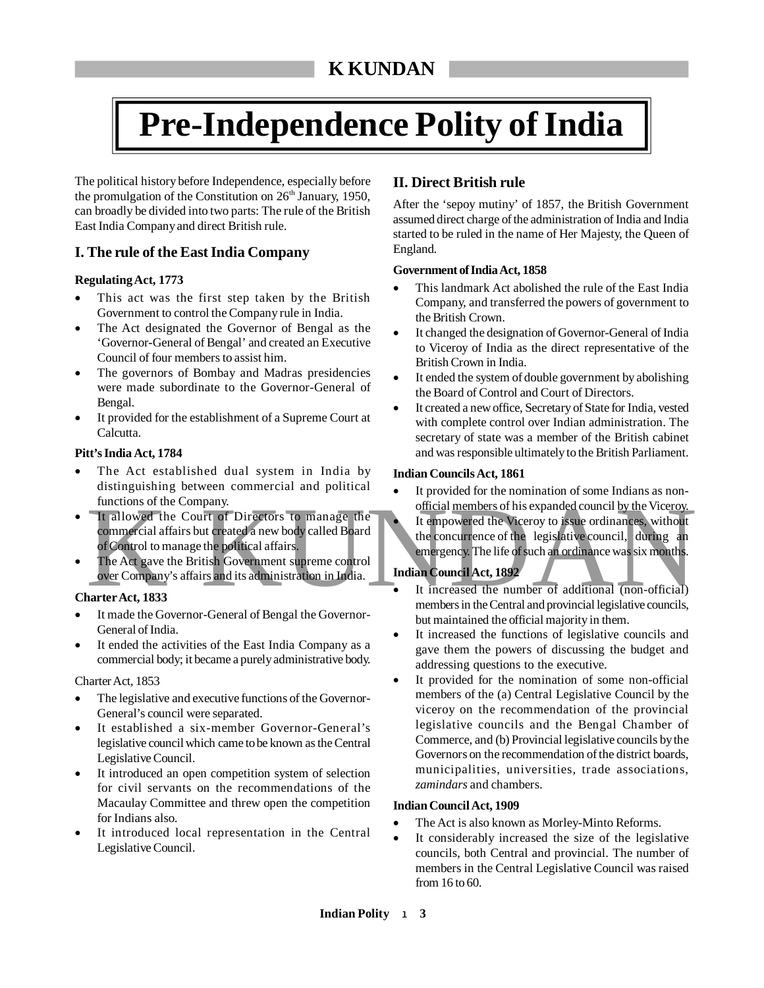## **Pre-Independence Polity of India**

The political history before Independence, especially before the promulgation of the Constitution on  $26<sup>th</sup>$  January, 1950, can broadly be divided into two parts: The rule of the British East India Company and direct British rule.

#### **I. The rule of the East India Company**

#### **Regulating Act, 1773**

- This act was the first step taken by the British Government to control the Company rule in India.
- The Act designated the Governor of Bengal as the 'Governor-General of Bengal' and created an Executive Council of four members to assist him.
- The governors of Bombay and Madras presidencies were made subordinate to the Governor-General of Bengal.
- It provided for the establishment of a Supreme Court at Calcutta.

#### **Pitt's India Act, 1784**

- The Act established dual system in India by distinguishing between commercial and political functions of the Company.
- It allowed the Court of Directors to manage the commercial affairs but created a new body called Board of Control to manage the political affairs.
- The Act gave the British Government supreme control over Company's affairs and its administration in India.

#### **Charter Act, 1833**

- It made the Governor-General of Bengal the Governor-General of India.
- It ended the activities of the East India Company as a commercial body; it became a purely administrative body.

#### Charter Act, 1853

- The legislative and executive functions of the Governor-General's council were separated.
- It established a six-member Governor-General's legislative council which came to be known as the Central Legislative Council.
- It introduced an open competition system of selection for civil servants on the recommendations of the Macaulay Committee and threw open the competition for Indians also.
- It introduced local representation in the Central Legislative Council.

#### **II. Direct British rule**

After the 'sepoy mutiny' of 1857, the British Government assumed direct charge of the administration of India and India started to be ruled in the name of Her Majesty, the Queen of England.

#### **Government of India Act, 1858**

- This landmark Act abolished the rule of the East India Company, and transferred the powers of government to the British Crown.
- It changed the designation of Governor-General of India to Viceroy of India as the direct representative of the British Crown in India.
- It ended the system of double government by abolishing the Board of Control and Court of Directors.
- It created a new office, Secretary of State for India, vested with complete control over Indian administration. The secretary of state was a member of the British cabinet and was responsible ultimately to the British Parliament.

#### **Indian Councils Act, 1861**

Functions of the Company.<br>
The Rout of Directors to manage the<br>
commercial affairs but created a new body called Board<br>
of Control to manage the political affairs.<br>
The Act gave the British Government supreme control<br>
over It provided for the nomination of some Indians as nonofficial members of his expanded council by the Viceroy. It empowered the Viceroy to issue ordinances, without the concurrence of the legislative council, during an emergency. The life of such an ordinance was six months.

#### **Indian Council Act, 1892**

- It increased the number of additional (non-official) members in the Central and provincial legislative councils, but maintained the official majority in them.
- It increased the functions of legislative councils and gave them the powers of discussing the budget and addressing questions to the executive.
- It provided for the nomination of some non-official members of the (a) Central Legislative Council by the viceroy on the recommendation of the provincial legislative councils and the Bengal Chamber of Commerce, and (b) Provincial legislative councils by the Governors on the recommendation of the district boards, municipalities, universities, trade associations, *zamindars* and chambers.

#### **Indian Council Act, 1909**

- The Act is also known as Morley-Minto Reforms.
- It considerably increased the size of the legislative councils, both Central and provincial. The number of members in the Central Legislative Council was raised from 16 to 60.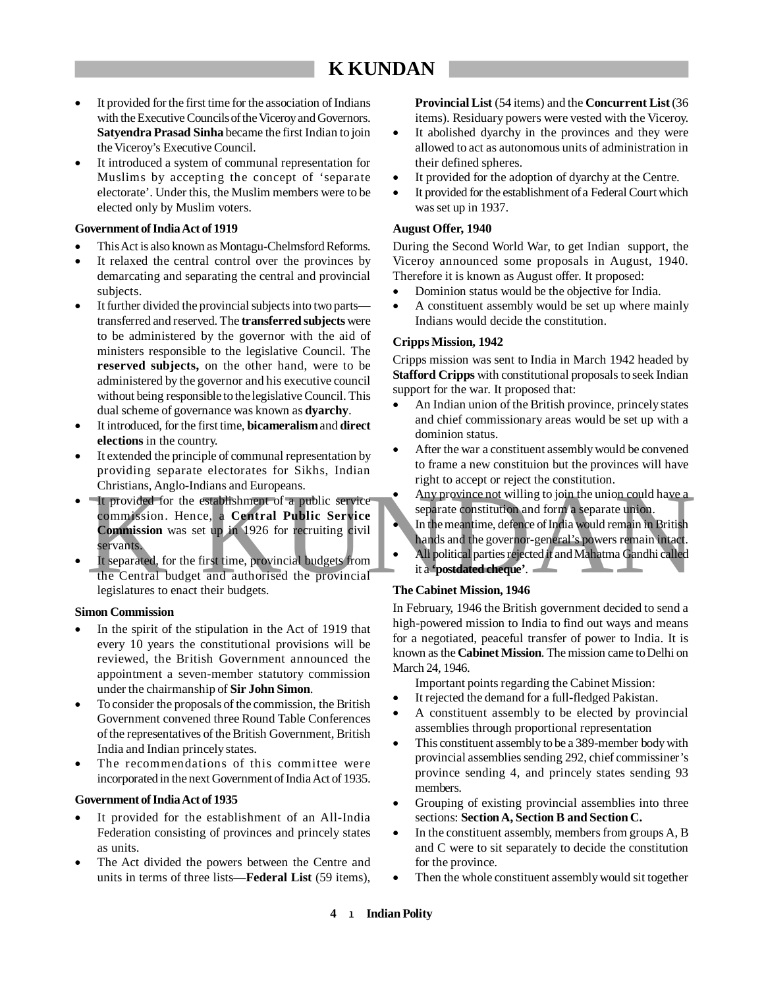- It provided for the first time for the association of Indians with the Executive Councils of the Viceroy and Governors. **Satyendra Prasad Sinha** became the first Indian to join the Viceroy's Executive Council.
- It introduced a system of communal representation for Muslims by accepting the concept of 'separate electorate'. Under this, the Muslim members were to be elected only by Muslim voters.

#### **Government of India Act of 1919**

- This Act is also known as Montagu-Chelmsford Reforms.
- It relaxed the central control over the provinces by demarcating and separating the central and provincial subjects.
- It further divided the provincial subjects into two parts transferred and reserved. The **transferred subjects** were to be administered by the governor with the aid of ministers responsible to the legislative Council. The **reserved subjects,** on the other hand, were to be administered by the governor and his executive council without being responsible to the legislative Council. This dual scheme of governance was known as **dyarchy**.
- It introduced, for the first time, **bicameralism** and **direct elections** in the country.
- It extended the principle of communal representation by providing separate electorates for Sikhs, Indian Christians, Anglo-Indians and Europeans.
- The Commission Commission. Hence, a **Central Public service**<br>
The meaning of the union could have a<br>
commission was set up in 1926 for recruiting civil<br> **EXECUTE:** Commission was set up in 1926 for recruiting civil<br>
In the • It provided for the establishment of a public service commission. Hence, a **Central Public Service Commission** was set up in 1926 for recruiting civil servants.
- It separated, for the first time, provincial budgets from the Central budget and authorised the provincial legislatures to enact their budgets.

#### **Simon Commission**

- In the spirit of the stipulation in the Act of 1919 that every 10 years the constitutional provisions will be reviewed, the British Government announced the appointment a seven-member statutory commission under the chairmanship of **Sir John Simon**.
- To consider the proposals of the commission, the British Government convened three Round Table Conferences of the representatives of the British Government, British India and Indian princely states.
- The recommendations of this committee were incorporated in the next Government of India Act of 1935.

#### **Government of India Act of 1935**

- It provided for the establishment of an All-India Federation consisting of provinces and princely states as units.
- The Act divided the powers between the Centre and units in terms of three lists—**Federal List** (59 items),

**Provincial List** (54 items) and the **Concurrent List** (36 items). Residuary powers were vested with the Viceroy.

- It abolished dyarchy in the provinces and they were allowed to act as autonomous units of administration in their defined spheres.
- It provided for the adoption of dyarchy at the Centre.
- It provided for the establishment of a Federal Court which was set up in 1937.

#### **August Offer, 1940**

During the Second World War, to get Indian support, the Viceroy announced some proposals in August, 1940. Therefore it is known as August offer. It proposed:

- Dominion status would be the objective for India.
- A constituent assembly would be set up where mainly Indians would decide the constitution.

#### **Cripps Mission, 1942**

Cripps mission was sent to India in March 1942 headed by **Stafford Cripps** with constitutional proposals to seek Indian support for the war. It proposed that:

- An Indian union of the British province, princely states and chief commissionary areas would be set up with a dominion status.
- After the war a constituent assembly would be convened to frame a new constituion but the provinces will have right to accept or reject the constitution.
- Any province not willing to join the union could have a separate constitution and form a separate union.
- In the meantime, defence of India would remain in British hands and the governor-general's powers remain intact.
- All political parties rejected it and Mahatma Gandhi called it a **'postdated cheque'**.

#### **The Cabinet Mission, 1946**

In February, 1946 the British government decided to send a high-powered mission to India to find out ways and means for a negotiated, peaceful transfer of power to India. It is known as the **Cabinet Mission**. The mission came to Delhi on March 24, 1946.

Important points regarding the Cabinet Mission:

- It rejected the demand for a full-fledged Pakistan.
- A constituent assembly to be elected by provincial assemblies through proportional representation
- This constituent assembly to be a 389-member body with provincial assemblies sending 292, chief commissiner's province sending 4, and princely states sending 93 members.
- Grouping of existing provincial assemblies into three sections: **Section A, Section B and Section C.**
- In the constituent assembly, members from groups A, B and C were to sit separately to decide the constitution for the province.
- Then the whole constituent assembly would sit together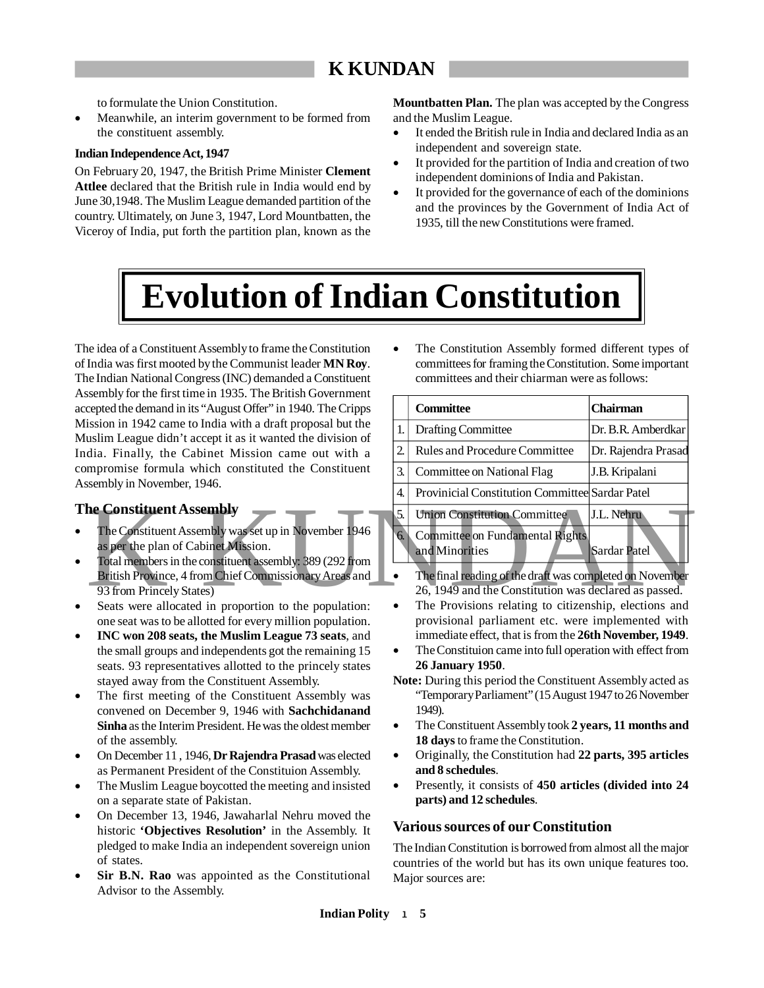to formulate the Union Constitution.

 Meanwhile, an interim government to be formed from the constituent assembly.

#### **Indian Independence Act, 1947**

On February 20, 1947, the British Prime Minister **Clement Attlee** declared that the British rule in India would end by June 30,1948. The Muslim League demanded partition of the country. Ultimately, on June 3, 1947, Lord Mountbatten, the Viceroy of India, put forth the partition plan, known as the

**Mountbatten Plan.** The plan was accepted by the Congress and the Muslim League.

- It ended the British rule in India and declared India as an independent and sovereign state.
- It provided for the partition of India and creation of two independent dominions of India and Pakistan.
- It provided for the governance of each of the dominions and the provinces by the Government of India Act of 1935, till the new Constitutions were framed.

## **Evolution of Indian Constitution**

The idea of a Constituent Assembly to frame the Constitution of India was first mooted by the Communist leader **MN Roy**. The Indian National Congress (INC) demanded a Constituent Assembly for the first time in 1935. The British Government accepted the demand in its "August Offer" in 1940. The Cripps Mission in 1942 came to India with a draft proposal but the Muslim League didn't accept it as it wanted the division of India. Finally, the Cabinet Mission came out with a compromise formula which constituted the Constituent Assembly in November, 1946.

#### **The Constituent Assembly**

- The Constituent Assembly was set up in November 1946 as per the plan of Cabinet Mission.
- Total members in the constituent assembly: 389 (292 from British Province, 4 from Chief Commissionary Areas and 93 from Princely States)
- Seats were allocated in proportion to the population: one seat was to be allotted for every million population.
- **INC won 208 seats, the Muslim League 73 seats**, and the small groups and independents got the remaining 15 seats. 93 representatives allotted to the princely states stayed away from the Constituent Assembly.
- The first meeting of the Constituent Assembly was convened on December 9, 1946 with **Sachchidanand Sinha** as the Interim President. He was the oldest member of the assembly.
- On December 11 , 1946, **Dr Rajendra Prasad** was elected as Permanent President of the Constituion Assembly.
- The Muslim League boycotted the meeting and insisted on a separate state of Pakistan.
- On December 13, 1946, Jawaharlal Nehru moved the historic **'Objectives Resolution'** in the Assembly. It pledged to make India an independent sovereign union of states.
- **Sir B.N. Rao** was appointed as the Constitutional Advisor to the Assembly.

 The Constitution Assembly formed different types of committees for framing the Constitution. Some important committees and their chiarman were as follows:

| ssembly for the first time in 1935. The British Government                                                                                              |    |                                                                                                                   |                     |
|---------------------------------------------------------------------------------------------------------------------------------------------------------|----|-------------------------------------------------------------------------------------------------------------------|---------------------|
| cepted the demand in its "August Offer" in 1940. The Cripps                                                                                             |    | <b>Committee</b>                                                                                                  | <b>Chairman</b>     |
| ission in 1942 came to India with a draft proposal but the<br>uslim League didn't accept it as it wanted the division of                                | 1. | Drafting Committee                                                                                                | Dr. B.R. Amberdkar  |
| dia. Finally, the Cabinet Mission came out with a                                                                                                       | 2. | <b>Rules and Procedure Committee</b>                                                                              | Dr. Rajendra Prasad |
| mpromise formula which constituted the Constituent                                                                                                      | 3. | Committee on National Flag                                                                                        | J.B. Kripalani      |
| ssembly in November, 1946.                                                                                                                              | 4. | Provinicial Constitution Committee Sardar Patel                                                                   |                     |
| he Constituent Assembly                                                                                                                                 | 5. | Union Constitution Committee                                                                                      | J.L. Nehru          |
| The Constituent Assembly was set up in November 1946<br>as per the plan of Cabinet Mission.<br>Total members in the constituent assembly: 389 (292 from | 6. | Committee on Fundamental Rights<br>and Minorities                                                                 | Sardar Patel        |
| British Province, 4 from Chief Commissionary Areas and<br>93 from Princely States)                                                                      |    | The final reading of the draft was completed on November<br>26, 1949 and the Constitution was declared as passed. |                     |
| Seats were allocated in proportion to the population:                                                                                                   |    | The Provisions relating to citizenship, elections and                                                             |                     |

- The final reading of the draft was completed on November 26, 1949 and the Constitution was declared as passed.
- The Provisions relating to citizenship, elections and provisional parliament etc. were implemented with immediate effect, that is from the **26th November, 1949**.
- The Constituion came into full operation with effect from **26 January 1950**.
- **Note:** During this period the Constituent Assembly acted as "Temporary Parliament" (15 August 1947 to 26 November 1949).
- The Constituent Assembly took **2 years, 11 months and 18 days** to frame the Constitution.
- Originally, the Constitution had **22 parts, 395 articles and 8 schedules**.
- Presently, it consists of **450 articles (divided into 24 parts) and 12 schedules**.

#### **Various sources of our Constitution**

The Indian Constitution is borrowed from almost all the major countries of the world but has its own unique features too. Major sources are: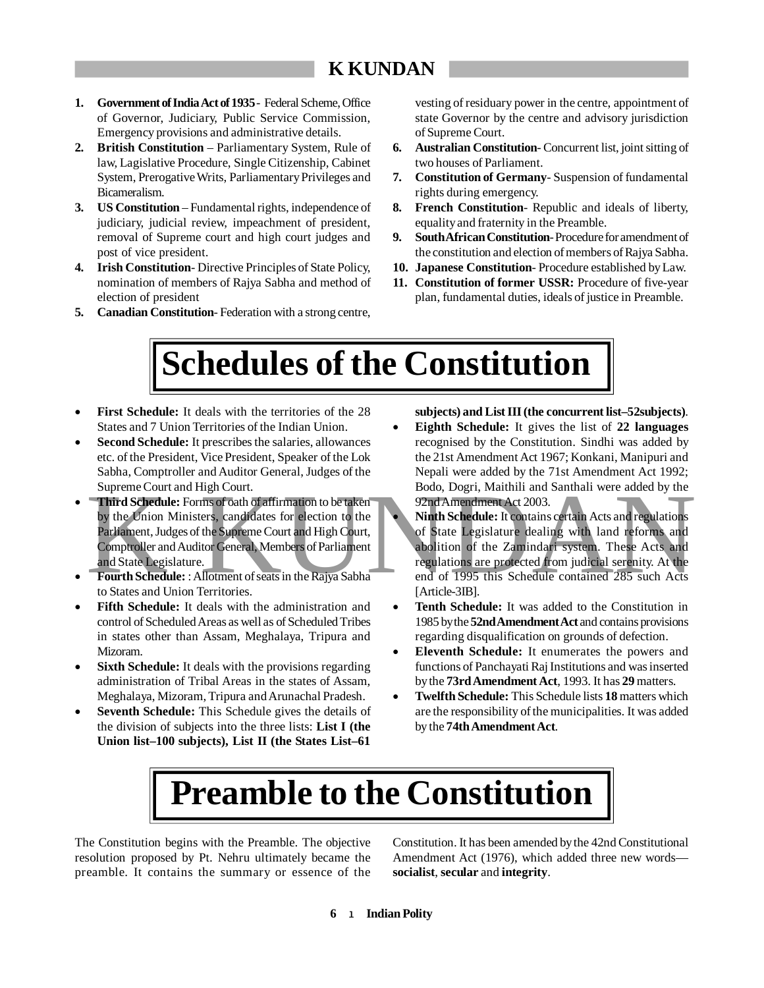- **1. Government of India Act of 1935** Federal Scheme, Office of Governor, Judiciary, Public Service Commission, Emergency provisions and administrative details.
- **2. British Constitution**  Parliamentary System, Rule of law, Lagislative Procedure, Single Citizenship, Cabinet System, Prerogative Writs, Parliamentary Privileges and Bicameralism.
- **3. US Constitution** Fundamental rights, independence of judiciary, judicial review, impeachment of president, removal of Supreme court and high court judges and post of vice president.
- **4. Irish Constitution** Directive Principles of State Policy, nomination of members of Rajya Sabha and method of election of president
- **5. Canadian Constitution** Federation with a strong centre,

vesting of residuary power in the centre, appointment of state Governor by the centre and advisory jurisdiction of Supreme Court.

- **6. Australian Constitution** Concurrent list, joint sitting of two houses of Parliament.
- **7. Constitution of Germany** Suspension of fundamental rights during emergency.
- **8. French Constitution** Republic and ideals of liberty, equality and fraternity in the Preamble.
- **9. South African Constitution** Procedure for amendment of the constitution and election of members of Rajya Sabha.
- **10. Japanese Constitution** Procedure established by Law.
- **11. Constitution of former USSR:** Procedure of five-year plan, fundamental duties, ideals of justice in Preamble.

## **Schedules of the Constitution**

- **First Schedule:** It deals with the territories of the 28 States and 7 Union Territories of the Indian Union.
- **Second Schedule:** It prescribes the salaries, allowances etc. of the President, Vice President, Speaker of the Lok Sabha, Comptroller and Auditor General, Judges of the Supreme Court and High Court.
- **Third Schedule:** Forms of oath of affirmation to be taken by the Union Ministers, candidates for election to the Parliament, Judges of the Supreme Court and High Court, Comptroller and Auditor General, Members of Parliament and State Legislature.
- **Fourth Schedule:** : Allotment of seats in the Rajya Sabha to States and Union Territories.
- **Fifth Schedule:** It deals with the administration and control of Scheduled Areas as well as of Scheduled Tribes in states other than Assam, Meghalaya, Tripura and Mizoram.
- **Sixth Schedule:** It deals with the provisions regarding administration of Tribal Areas in the states of Assam, Meghalaya, Mizoram, Tripura and Arunachal Pradesh.
- **Seventh Schedule:** This Schedule gives the details of the division of subjects into the three lists: **List I (the Union list–100 subjects), List II (the States List–61**

**subjects) and List III (the concurrent list–52subjects)**.

- **Eighth Schedule:** It gives the list of **22 languages** recognised by the Constitution. Sindhi was added by the 21st Amendment Act 1967; Konkani, Manipuri and Nepali were added by the 71st Amendment Act 1992; Bodo, Dogri, Maithili and Santhali were added by the 92nd Amendment Act 2003.
- Supreme Court and High Court.<br>
Third Schedule: Forms of oath of affirmation to be taken<br>
by the Union Ministers, candidates for election to the<br>
Parliament Act 2003.<br>
Parliament Act 2003.<br>
Supreme Court and High Court,<br>
Pa **Ninth Schedule:** It contains certain Acts and regulations of State Legislature dealing with land reforms and abolition of the Zamindari system. These Acts and regulations are protected from judicial serenity. At the end of 1995 this Schedule contained 285 such Acts [Article-3IB].
	- **Tenth Schedule:** It was added to the Constitution in 1985 by the **52nd Amendment Act** and contains provisions regarding disqualification on grounds of defection.
	- **Eleventh Schedule:** It enumerates the powers and functions of Panchayati Raj Institutions and was inserted by the **73rd Amendment Act**, 1993. It has **29** matters.
	- **Twelfth Schedule:** This Schedule lists **18** matters which are the responsibility of the municipalities. It was added by the **74th Amendment Act**.

## **Preamble to the Constitution**

The Constitution begins with the Preamble. The objective resolution proposed by Pt. Nehru ultimately became the preamble. It contains the summary or essence of the Constitution. It has been amended by the 42nd Constitutional Amendment Act (1976), which added three new words **socialist**, **secular** and **integrity**.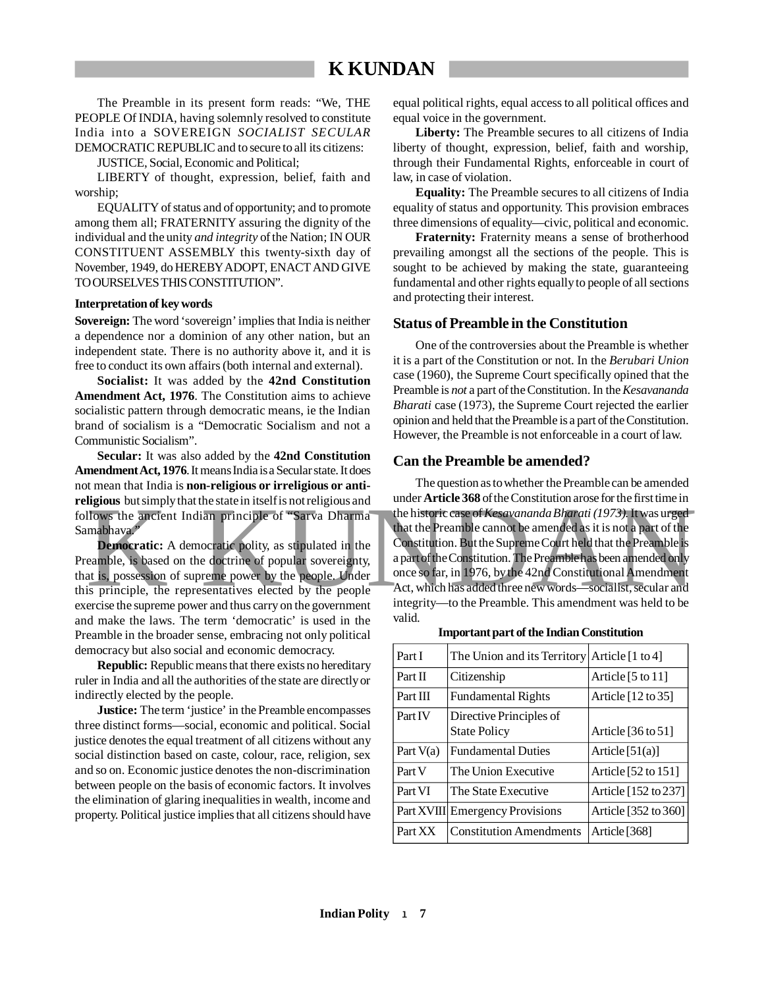The Preamble in its present form reads: "We, THE PEOPLE Of INDIA, having solemnly resolved to constitute India into a SOVEREIGN *SOCIALIST SECULAR* DEMOCRATIC REPUBLIC and to secure to all its citizens:

JUSTICE, Social, Economic and Political;

LIBERTY of thought, expression, belief, faith and worship;

EQUALITY of status and of opportunity; and to promote among them all; FRATERNITY assuring the dignity of the individual and the unity *and integrity* of the Nation; IN OUR CONSTITUENT ASSEMBLY this twenty-sixth day of November, 1949, do HEREBY ADOPT, ENACT AND GIVE TO OURSELVES THIS CONSTITUTION".

#### **Interpretation of key words**

**Sovereign:** The word 'sovereign' implies that India is neither a dependence nor a dominion of any other nation, but an independent state. There is no authority above it, and it is free to conduct its own affairs (both internal and external).

**Socialist:** It was added by the **42nd Constitution Amendment Act, 1976**. The Constitution aims to achieve socialistic pattern through democratic means, ie the Indian brand of socialism is a "Democratic Socialism and not a Communistic Socialism".

**Secular:** It was also added by the **42nd Constitution Amendment Act, 1976**. It means India is a Secular state. It does not mean that India is **non-religious or irreligious or antireligious** but simply that the state in itself is not religious and follows the ancient Indian principle of "Sarva Dharma Samabhava."

**Democratic:** A democratic polity, as stipulated in the Preamble, is based on the doctrine of popular sovereignty, that is, possession of supreme power by the people. Under this principle, the representatives elected by the people exercise the supreme power and thus carry on the government and make the laws. The term 'democratic' is used in the Preamble in the broader sense, embracing not only political democracy but also social and economic democracy.

**Republic:** Republic means that there exists no hereditary ruler in India and all the authorities of the state are directly or indirectly elected by the people.

**Justice:** The term 'justice' in the Preamble encompasses three distinct forms—social, economic and political. Social justice denotes the equal treatment of all citizens without any social distinction based on caste, colour, race, religion, sex and so on. Economic justice denotes the non-discrimination between people on the basis of economic factors. It involves the elimination of glaring inequalities in wealth, income and property. Political justice implies that all citizens should have equal political rights, equal access to all political offices and equal voice in the government.

**Liberty:** The Preamble secures to all citizens of India liberty of thought, expression, belief, faith and worship, through their Fundamental Rights, enforceable in court of law, in case of violation.

**Equality:** The Preamble secures to all citizens of India equality of status and opportunity. This provision embraces three dimensions of equality—civic, political and economic.

**Fraternity:** Fraternity means a sense of brotherhood prevailing amongst all the sections of the people. This is sought to be achieved by making the state, guaranteeing fundamental and other rights equally to people of all sections and protecting their interest.

#### **Status of Preamble in the Constitution**

One of the controversies about the Preamble is whether it is a part of the Constitution or not. In the *Berubari Union* case (1960), the Supreme Court specifically opined that the Preamble is *not* a part of the Constitution. In the *Kesavananda Bharati* case (1973), the Supreme Court rejected the earlier opinion and held that the Preamble is a part of the Constitution. However, the Preamble is not enforceable in a court of law.

#### **Can the Preamble be amended?**

**Example is the state in itself is not religious and<br>
Ilows the ancient Indian principle of "Sarva Dharma" the historic case of Kesavananda Bharati (1973). It was urged<br>
mabhava."<br>
<b>Example 2008** of the Constitution and a The question as to whether the Preamble can be amended under **Article 368** of the Constitution arose for the first time in the historic case of *Kesavananda Bharati (1973).* It was urged that the Preamble cannot be amended as it is not a part of the Constitution. But the Supreme Court held that the Preamble is a part of the Constitution. The Preamble has been amended only once so far, in 1976, by the 42nd Constitutional Amendment Act, which has added three new words—socialist, secular and integrity—to the Preamble. This amendment was held to be valid.

| Part I      | The Union and its Territory Article [1 to 4]   |                               |
|-------------|------------------------------------------------|-------------------------------|
| Part II     | Citizenship                                    | Article [5 to $11$ ]          |
| Part III    | <b>Fundamental Rights</b>                      | Article $[12 \text{ to } 35]$ |
| Part IV     | Directive Principles of<br><b>State Policy</b> | Article $[36 \text{ to } 51]$ |
| Part $V(a)$ | <b>Fundamental Duties</b>                      | Article $[51(a)]$             |
| Part V      | The Union Executive                            | Article [52 to 151]           |
| Part VI     | The State Executive                            | Article [152 to 237]          |
|             | Part XVIII Emergency Provisions                | Article [352 to 360]          |
| Part XX     | <b>Constitution Amendments</b>                 | Article [368]                 |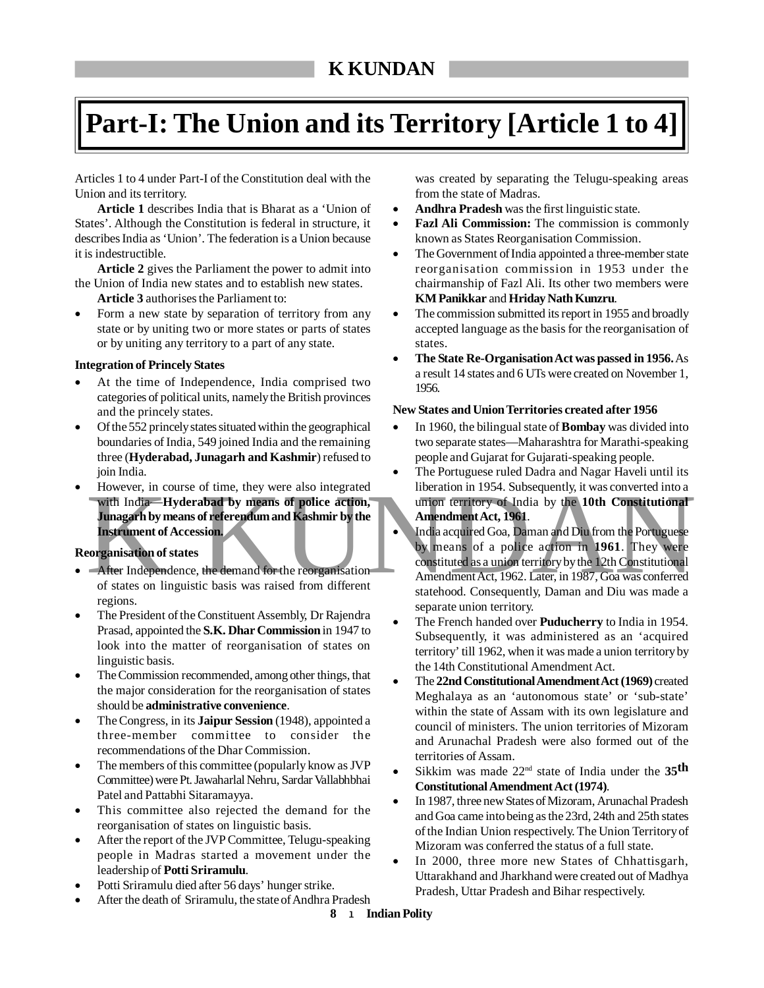## **Part-I: The Union and its Territory [Article 1 to 4]**

Articles 1 to 4 under Part-I of the Constitution deal with the Union and its territory.

**Article 1** describes India that is Bharat as a 'Union of States'. Although the Constitution is federal in structure, it describes India as 'Union'. The federation is a Union because it is indestructible.

**Article 2** gives the Parliament the power to admit into the Union of India new states and to establish new states. **Article 3** authorises the Parliament to:

 Form a new state by separation of territory from any state or by uniting two or more states or parts of states or by uniting any territory to a part of any state.

#### **Integration of Princely States**

- At the time of Independence, India comprised two categories of political units, namely the British provinces and the princely states.
- Of the 552 princely states situated within the geographical boundaries of India, 549 joined India and the remaining three (**Hyderabad, Junagarh and Kashmir**) refused to join India.
- However, in course of time, they were also integrated with India—**Hyderabad by means of police action, Junagarh by means of referendum and Kashmir by the Instrument of Accession.**

#### **Reorganisation of states**

- After Independence, the demand for the reorganisation of states on linguistic basis was raised from different regions.
- The President of the Constituent Assembly, Dr Rajendra Prasad, appointed the **S.K. Dhar Commission** in 1947 to look into the matter of reorganisation of states on linguistic basis.
- The Commission recommended, among other things, that the major consideration for the reorganisation of states should be **administrative convenience**.
- The Congress, in its **Jaipur Session** (1948), appointed a three-member committee to consider the recommendations of the Dhar Commission.
- The members of this committee (popularly know as JVP Committee) were Pt. Jawaharlal Nehru, Sardar Vallabhbhai Patel and Pattabhi Sitaramayya.
- This committee also rejected the demand for the reorganisation of states on linguistic basis.
- After the report of the JVP Committee, Telugu-speaking people in Madras started a movement under the leadership of **Potti Sriramulu**.
- Potti Sriramulu died after 56 days' hunger strike.
- After the death of Sriramulu, the state of Andhra Pradesh

was created by separating the Telugu-speaking areas from the state of Madras.

- **• Andhra Pradesh** was the first linguistic state.
- **Fazl Ali Commission:** The commission is commonly known as States Reorganisation Commission.
- The Government of India appointed a three-member state reorganisation commission in 1953 under the chairmanship of Fazl Ali. Its other two members were **KM Panikkar** and **Hriday Nath Kunzru**.
- The commission submitted its report in 1955 and broadly accepted language as the basis for the reorganisation of states.
- **The State Re-Organisation Act was passed in 1956.** As a result 14 states and 6 UTs were created on November 1, 1956.

#### **New States and Union Territories created after 1956**

- In 1960, the bilingual state of **Bombay** was divided into two separate states—Maharashtra for Marathi-speaking people and Gujarat for Gujarati-speaking people.
- The Portuguese ruled Dadra and Nagar Haveli until its liberation in 1954. Subsequently, it was converted into a union territory of India by the **10th Constitutional Amendment Act, 1961**.
- However, in course of time, they were also integrated<br>
with India—Hyderabad by means of police action,<br>
Junagarh by means of referendum and Kashmir by the<br>
Instrument of Accession.<br>
Entrument of Accession.<br>
After Independe India acquired Goa, Daman and Diu from the Portuguese by means of a police action in **1961**. They were constituted as a union territory by the 12th Constitutional Amendment Act, 1962. Later, in 1987, Goa was conferred statehood. Consequently, Daman and Diu was made a separate union territory.
	- The French handed over **Puducherry** to India in 1954. Subsequently, it was administered as an 'acquired territory' till 1962, when it was made a union territory by the 14th Constitutional Amendment Act.
	- The **22nd Constitutional Amendment Act (1969)** created Meghalaya as an 'autonomous state' or 'sub-state' within the state of Assam with its own legislature and council of ministers. The union territories of Mizoram and Arunachal Pradesh were also formed out of the territories of Assam.
	- Sikkim was made 22nd state of India under the **35th Constitutional Amendment Act (1974)**.
	- In 1987, three new States of Mizoram, Arunachal Pradesh and Goa came into being as the 23rd, 24th and 25th states of the Indian Union respectively. The Union Territory of Mizoram was conferred the status of a full state.
	- In 2000, three more new States of Chhattisgarh, Uttarakhand and Jharkhand were created out of Madhya Pradesh, Uttar Pradesh and Bihar respectively.

#### **8 <sup>l</sup> Indian Polity**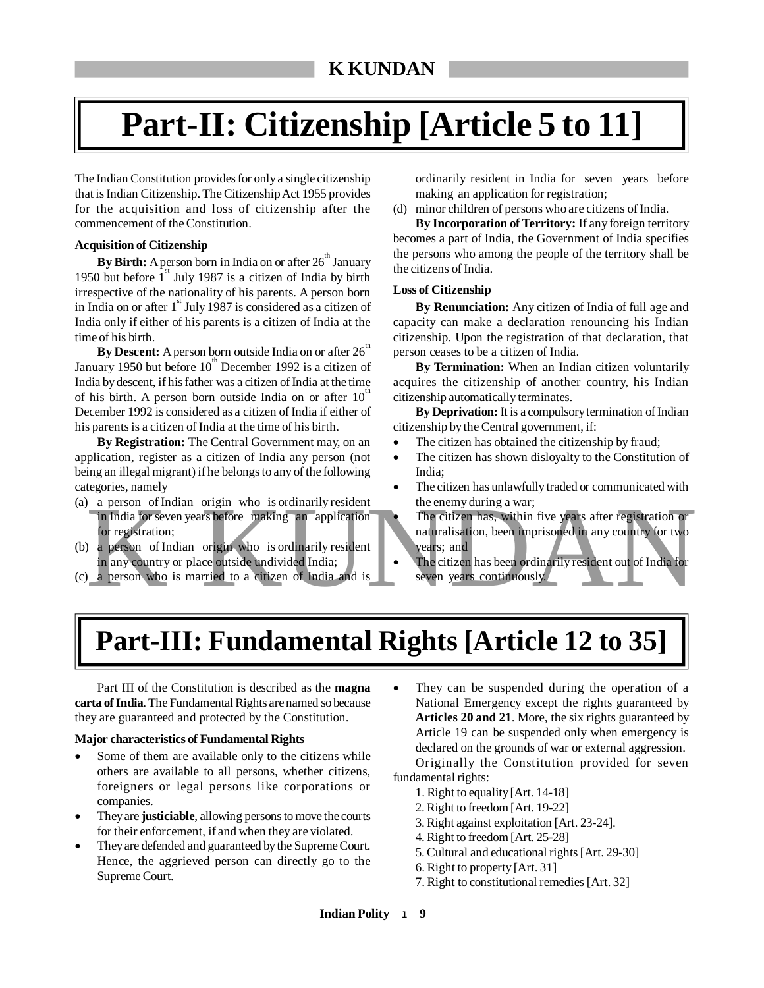## **Part-II: Citizenship [Article 5 to 11]**

The Indian Constitution provides for only a single citizenship that is Indian Citizenship. The Citizenship Act 1955 provides for the acquisition and loss of citizenship after the commencement of the Constitution.

#### **Acquisition of Citizenship**

**By Birth:** A person born in India on or after 26<sup>th</sup> January 1950 but before  $1^{\text{st}}$  July 1987 is a citizen of India by birth irrespective of the nationality of his parents. A person born in India on or after  $1^{\degree}$  July 1987 is considered as a citizen of India only if either of his parents is a citizen of India at the time of his birth.

**By Descent:** A person born outside India on or after  $26<sup>m</sup>$ January 1950 but before  $10^{th}$  December 1992 is a citizen of India by descent, if his father was a citizen of India at the time of his birth. A person born outside India on or after  $10^{\degree}$ December 1992 is considered as a citizen of India if either of his parents is a citizen of India at the time of his birth.

**By Registration:** The Central Government may, on an application, register as a citizen of India any person (not being an illegal migrant) if he belongs to any of the following categories, namely

- (a) a person of Indian origin who is ordinarily resident in India for seven years before making an application for registration;
- (b) a person of Indian origin who is ordinarily resident in any country or place outside undivided India;
- (c) a person who is married to a citizen of India and is

ordinarily resident in India for seven years before making an application for registration;

(d) minor children of persons who are citizens of India.

**By Incorporation of Territory:** If any foreign territory becomes a part of India, the Government of India specifies the persons who among the people of the territory shall be the citizens of India.

#### **Loss of Citizenship**

**By Renunciation:** Any citizen of India of full age and capacity can make a declaration renouncing his Indian citizenship. Upon the registration of that declaration, that person ceases to be a citizen of India.

**By Termination:** When an Indian citizen voluntarily acquires the citizenship of another country, his Indian citizenship automatically terminates.

**By Deprivation:** It is a compulsory termination of Indian citizenship by the Central government, if:

- The citizen has obtained the citizenship by fraud;
- The citizen has shown disloyalty to the Constitution of India;
- The citizen has unlawfully traded or communicated with the enemy during a war;
- The dialect in India for seven years before making an application<br>
the enemy during a war;<br>
The citizen has, within five years after registration or<br>
for registration;<br>
a person of India origin who is ordinarily resident<br> The citizen has, within five years after registration or naturalisation, been imprisoned in any country for two years; and
	- The citizen has been ordinarily resident out of India for seven years continuously.

## **Part-III: Fundamental Rights [Article 12 to 35]**

Part III of the Constitution is described as the **magna carta of India**. The Fundamental Rights are named so because they are guaranteed and protected by the Constitution.

#### **Major characteristics of Fundamental Rights**

- Some of them are available only to the citizens while others are available to all persons, whether citizens, foreigners or legal persons like corporations or companies.
- They are **justiciable**, allowing persons to move the courts for their enforcement, if and when they are violated.
- They are defended and guaranteed by the Supreme Court. Hence, the aggrieved person can directly go to the Supreme Court.
- They can be suspended during the operation of a National Emergency except the rights guaranteed by **Articles 20 and 21**. More, the six rights guaranteed by Article 19 can be suspended only when emergency is declared on the grounds of war or external aggression. Originally the Constitution provided for seven fundamental rights:
	- 1. Right to equality [Art. 14-18]
	- 2. Right to freedom [Art. 19-22]
	- 3. Right against exploitation [Art. 23-24].
	- 4. Right to freedom [Art. 25-28]
	- 5. Cultural and educational rights [Art. 29-30]
	- 6. Right to property [Art. 31]
	- 7. Right to constitutional remedies [Art. 32]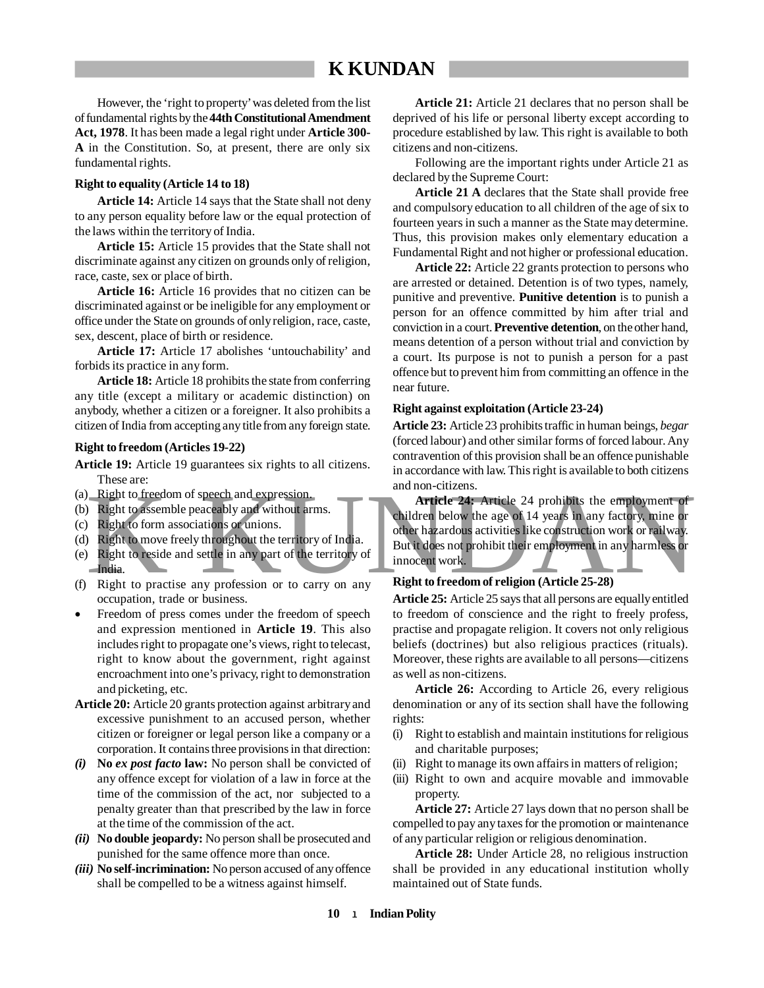However, the 'right to property' was deleted from the list of fundamental rights by the **44th Constitutional Amendment Act, 1978**. It has been made a legal right under **Article 300- A** in the Constitution. So, at present, there are only six fundamental rights.

#### **Right to equality (Article 14 to 18)**

**Article 14:** Article 14 says that the State shall not deny to any person equality before law or the equal protection of the laws within the territory of India.

**Article 15:** Article 15 provides that the State shall not discriminate against any citizen on grounds only of religion, race, caste, sex or place of birth.

**Article 16:** Article 16 provides that no citizen can be discriminated against or be ineligible for any employment or office under the State on grounds of only religion, race, caste, sex, descent, place of birth or residence.

**Article 17:** Article 17 abolishes 'untouchability' and forbids its practice in any form.

**Article 18:** Article 18 prohibits the state from conferring any title (except a military or academic distinction) on anybody, whether a citizen or a foreigner. It also prohibits a citizen of India from accepting any title from any foreign state.

#### **Right to freedom (Articles 19-22)**

**Article 19:** Article 19 guarantees six rights to all citizens. These are:

- (a) Right to freedom of speech and expression.
- (b) Right to assemble peaceably and without arms.
- (c) Right to form associations or unions.
- (d) Right to move freely throughout the territory of India.
- (e) Right to reside and settle in any part of the territory of India.
- (f) Right to practise any profession or to carry on any occupation, trade or business.
- Freedom of press comes under the freedom of speech and expression mentioned in **Article 19**. This also includes right to propagate one's views, right to telecast, right to know about the government, right against encroachment into one's privacy, right to demonstration and picketing, etc.
- **Article 20:** Article 20 grants protection against arbitrary and excessive punishment to an accused person, whether citizen or foreigner or legal person like a company or a corporation. It contains three provisions in that direction:
- *(i)* **No** *ex post facto* **law:** No person shall be convicted of any offence except for violation of a law in force at the time of the commission of the act, nor subjected to a penalty greater than that prescribed by the law in force at the time of the commission of the act.
- *(ii)* **No double jeopardy:** No person shall be prosecuted and punished for the same offence more than once.
- *(iii)* **No self-incrimination:** No person accused of any offence shall be compelled to be a witness against himself.

**Article 21:** Article 21 declares that no person shall be deprived of his life or personal liberty except according to procedure established by law. This right is available to both citizens and non-citizens.

Following are the important rights under Article 21 as declared by the Supreme Court:

**Article 21 A** declares that the State shall provide free and compulsory education to all children of the age of six to fourteen years in such a manner as the State may determine. Thus, this provision makes only elementary education a Fundamental Right and not higher or professional education.

**Article 22:** Article 22 grants protection to persons who are arrested or detained. Detention is of two types, namely, punitive and preventive. **Punitive detention** is to punish a person for an offence committed by him after trial and conviction in a court. **Preventive detention**, on the other hand, means detention of a person without trial and conviction by a court. Its purpose is not to punish a person for a past offence but to prevent him from committing an offence in the near future.

#### **Right against exploitation (Article 23-24)**

**Article 23:** Article 23 prohibits traffic in human beings, *begar* (forced labour) and other similar forms of forced labour. Any contravention of this provision shall be an offence punishable in accordance with law. This right is available to both citizens and non-citizens.

Right to freedom of speech and expression.<br>
Right to assemble peaceably and without arms.<br>
Right to form associations or unions.<br>
Right to reside and settle in any part of the territory of India.<br>
Right to reside and settl **Article 24:** Article 24 prohibits the employment of children below the age of 14 years in any factory, mine or other hazardous activities like construction work or railway. But it does not prohibit their employment in any harmless or innocent work.

#### **Right to freedom of religion (Article 25-28)**

**Article 25:** Article 25 says that all persons are equally entitled to freedom of conscience and the right to freely profess, practise and propagate religion. It covers not only religious beliefs (doctrines) but also religious practices (rituals). Moreover, these rights are available to all persons—citizens as well as non-citizens.

**Article 26:** According to Article 26, every religious denomination or any of its section shall have the following rights:

- (i) Right to establish and maintain institutions for religious and charitable purposes;
- (ii) Right to manage its own affairs in matters of religion;
- (iii) Right to own and acquire movable and immovable property.

**Article 27:** Article 27 lays down that no person shall be compelled to pay any taxes for the promotion or maintenance of any particular religion or religious denomination.

**Article 28:** Under Article 28, no religious instruction shall be provided in any educational institution wholly maintained out of State funds.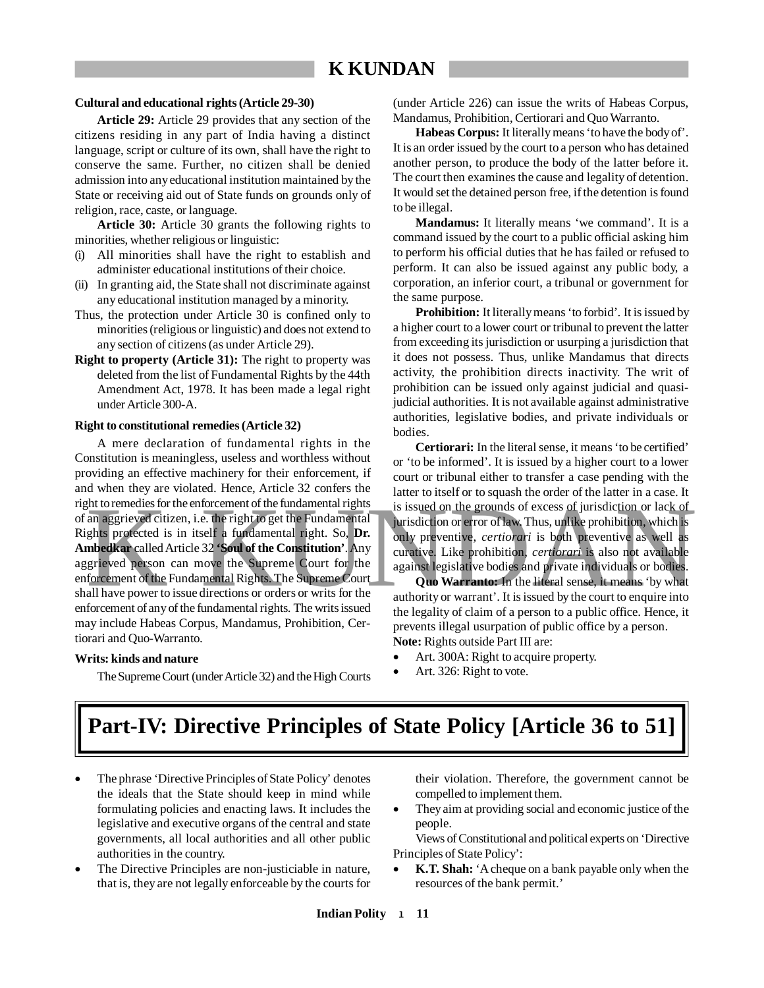#### **Cultural and educational rights (Article 29-30)**

**Article 29:** Article 29 provides that any section of the citizens residing in any part of India having a distinct language, script or culture of its own, shall have the right to conserve the same. Further, no citizen shall be denied admission into any educational institution maintained by the State or receiving aid out of State funds on grounds only of religion, race, caste, or language.

**Article 30:** Article 30 grants the following rights to minorities, whether religious or linguistic:

- (i) All minorities shall have the right to establish and administer educational institutions of their choice.
- (ii) In granting aid, the State shall not discriminate against any educational institution managed by a minority.
- Thus, the protection under Article 30 is confined only to minorities (religious or linguistic) and does not extend to any section of citizens (as under Article 29).
- **Right to property (Article 31):** The right to property was deleted from the list of Fundamental Rights by the 44th Amendment Act, 1978. It has been made a legal right under Article 300-A.

#### **Right to constitutional remedies (Article 32)**

the to remedies for the enforcement of the fundamental rights<br>
an aggrieved citizen, i.e. the right to get the Fundamental<br>
ghts protected is in itself a fundamental right. So, **Dr.**<br> **COVEC 18.1** Thus, unlike prohibition, A mere declaration of fundamental rights in the Constitution is meaningless, useless and worthless without providing an effective machinery for their enforcement, if and when they are violated. Hence, Article 32 confers the right to remedies for the enforcement of the fundamental rights of an aggrieved citizen, i.e. the right to get the Fundamental Rights protected is in itself a fundamental right. So, **Dr. Ambedkar** called Article 32 **'Soul of the Constitution'**. Any aggrieved person can move the Supreme Court for the enforcement of the Fundamental Rights. The Supreme Court shall have power to issue directions or orders or writs for the enforcement of any of the fundamental rights. The writs issued may include Habeas Corpus, Mandamus, Prohibition, Certiorari and Quo-Warranto.

#### **Writs: kinds and nature**

The Supreme Court (under Article 32) and the High Courts

(under Article 226) can issue the writs of Habeas Corpus, Mandamus, Prohibition, Certiorari and Quo Warranto.

**Habeas Corpus:** It literally means 'to have the body of'. It is an order issued by the court to a person who has detained another person, to produce the body of the latter before it. The court then examines the cause and legality of detention. It would set the detained person free, if the detention is found to be illegal.

**Mandamus:** It literally means 'we command'. It is a command issued by the court to a public official asking him to perform his official duties that he has failed or refused to perform. It can also be issued against any public body, a corporation, an inferior court, a tribunal or government for the same purpose.

**Prohibition:** It literally means 'to forbid'. It is issued by a higher court to a lower court or tribunal to prevent the latter from exceeding its jurisdiction or usurping a jurisdiction that it does not possess. Thus, unlike Mandamus that directs activity, the prohibition directs inactivity. The writ of prohibition can be issued only against judicial and quasijudicial authorities. It is not available against administrative authorities, legislative bodies, and private individuals or bodies.

**Certiorari:** In the literal sense, it means 'to be certified' or 'to be informed'. It is issued by a higher court to a lower court or tribunal either to transfer a case pending with the latter to itself or to squash the order of the latter in a case. It is issued on the grounds of excess of jurisdiction or lack of jurisdiction or error of law. Thus, unlike prohibition, which is only preventive, *certiorari* is both preventive as well as curative. Like prohibition, *certiorari* is also not available against legislative bodies and private individuals or bodies.

**Quo Warranto:** In the literal sense, it means 'by what authority or warrant'. It is issued by the court to enquire into the legality of claim of a person to a public office. Hence, it prevents illegal usurpation of public office by a person. **Note:** Rights outside Part III are:

- Art. 300A: Right to acquire property.
- Art. 326: Right to vote.

## **Part-IV: Directive Principles of State Policy [Article 36 to 51]**

- The phrase 'Directive Principles of State Policy' denotes the ideals that the State should keep in mind while formulating policies and enacting laws. It includes the legislative and executive organs of the central and state governments, all local authorities and all other public authorities in the country.
- The Directive Principles are non-justiciable in nature, that is, they are not legally enforceable by the courts for

their violation. Therefore, the government cannot be compelled to implement them.

 They aim at providing social and economic justice of the people.

Views of Constitutional and political experts on 'Directive Principles of State Policy':

 **K.T. Shah:** 'A cheque on a bank payable only when the resources of the bank permit.'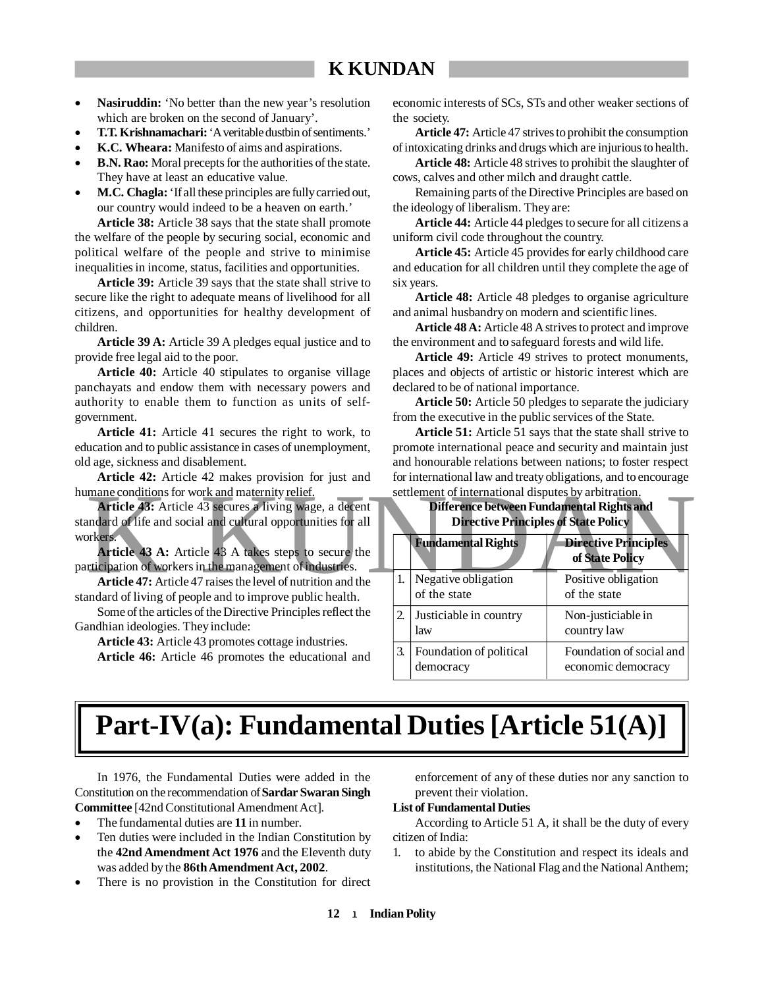- **Nasiruddin:** 'No better than the new year's resolution which are broken on the second of January'.
- **T.T. Krishnamachari:** 'A veritable dustbin of sentiments.'
- **K.C. Wheara:** Manifesto of aims and aspirations.
- **B.N. Rao:** Moral precepts for the authorities of the state. They have at least an educative value.
- **M.C. Chagla:** 'If all these principles are fully carried out, our country would indeed to be a heaven on earth.'

**Article 38:** Article 38 says that the state shall promote the welfare of the people by securing social, economic and political welfare of the people and strive to minimise inequalities in income, status, facilities and opportunities.

**Article 39:** Article 39 says that the state shall strive to secure like the right to adequate means of livelihood for all citizens, and opportunities for healthy development of children.

**Article 39 A:** Article 39 A pledges equal justice and to provide free legal aid to the poor.

**Article 40:** Article 40 stipulates to organise village panchayats and endow them with necessary powers and authority to enable them to function as units of selfgovernment.

**Article 41:** Article 41 secures the right to work, to education and to public assistance in cases of unemployment, old age, sickness and disablement.

**Article 42:** Article 42 makes provision for just and humane conditions for work and maternity relief.

economic interests of SCs, STs and other weaker sections of the society.

**Article 47:** Article 47 strives to prohibit the consumption of intoxicating drinks and drugs which are injurious to health.

**Article 48:** Article 48 strives to prohibit the slaughter of cows, calves and other milch and draught cattle.

Remaining parts of the Directive Principles are based on the ideology of liberalism. They are:

**Article 44:** Article 44 pledges to secure for all citizens a uniform civil code throughout the country.

**Article 45:** Article 45 provides for early childhood care and education for all children until they complete the age of six years.

**Article 48:** Article 48 pledges to organise agriculture and animal husbandry on modern and scientific lines.

**Article 48 A:** Article 48 A strives to protect and improve the environment and to safeguard forests and wild life.

**Article 49:** Article 49 strives to protect monuments, places and objects of artistic or historic interest which are declared to be of national importance.

**Article 50:** Article 50 pledges to separate the judiciary from the executive in the public services of the State.

**Article 51:** Article 51 says that the state shall strive to promote international peace and security and maintain just and honourable relations between nations; to foster respect for international law and treaty obligations, and to encourage settlement of international disputes by arbitration.

| mane conditions for work and maternity relief.                                                                             |                | settlement of international disputes by arbitration. |                                                |
|----------------------------------------------------------------------------------------------------------------------------|----------------|------------------------------------------------------|------------------------------------------------|
| Article 43: Article 43 secures a living wage, a decent                                                                     |                | <b>Difference between Fundamental Rights and</b>     |                                                |
| andard of life and social and cultural opportunities for all                                                               |                | <b>Directive Principles of State Policy</b>          |                                                |
| orkers.<br>Article 43 A: Article 43 A takes steps to secure the<br>rticipation of workers in the management of industries. |                | <b>Fundamental Rights</b>                            | <b>Directive Principles</b><br>of State Policy |
| Article 47: Article 47 raises the level of nutrition and the<br>andard of living of people and to improve public health.   | 1.             | Negative obligation<br>of the state                  | Positive obligation<br>of the state            |
| Some of the articles of the Directive Principles reflect the<br>andhian ideologies. They include:                          | $\overline{2}$ | Justiciable in country<br>law                        | Non-justiciable in<br>country law              |
| Article 43: Article 43 promotes cottage industries.<br>Article 46: Article 46 promotes the educational and                 | 3.             | Foundation of political<br>democracy                 | Foundation of social and<br>economic democracy |

## **Part-IV(a): Fundamental Duties [Article 51(A)]**

In 1976, the Fundamental Duties were added in the Constitution on the recommendation of **Sardar Swaran Singh Committee** [42nd Constitutional Amendment Act].

- The fundamental duties are **11** in number.
- Ten duties were included in the Indian Constitution by the **42nd Amendment Act 1976** and the Eleventh duty was added by the **86th Amendment Act, 2002**.
- There is no provistion in the Constitution for direct

enforcement of any of these duties nor any sanction to prevent their violation.

#### **List of Fundamental Duties**

According to Article 51 A, it shall be the duty of every citizen of India:

1. to abide by the Constitution and respect its ideals and institutions, the National Flag and the National Anthem;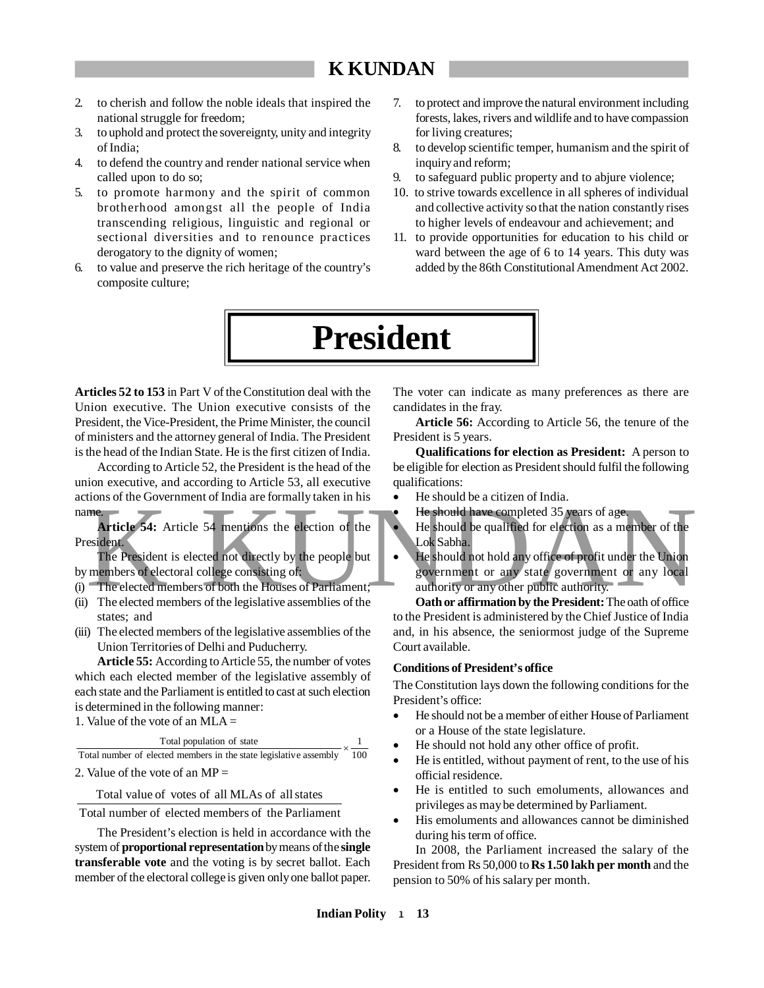- 2. to cherish and follow the noble ideals that inspired the national struggle for freedom;
- 3. to uphold and protect the sovereignty, unity and integrity of India;
- 4. to defend the country and render national service when called upon to do so;
- 5. to promote harmony and the spirit of common brotherhood amongst all the people of India transcending religious, linguistic and regional or sectional diversities and to renounce practices derogatory to the dignity of women;
- 6. to value and preserve the rich heritage of the country's composite culture;
- 7. to protect and improve the natural environment including forests, lakes, rivers and wildlife and to have compassion for living creatures;
- 8. to develop scientific temper, humanism and the spirit of inquiry and reform;
- 9. to safeguard public property and to abjure violence;
- 10. to strive towards excellence in all spheres of individual and collective activity so that the nation constantly rises to higher levels of endeavour and achievement; and
- 11. to provide opportunities for education to his child or ward between the age of 6 to 14 years. This duty was added by the 86th Constitutional Amendment Act 2002.

## **President**

**Articles 52 to 153** in Part V of the Constitution deal with the Union executive. The Union executive consists of the President, the Vice-President, the Prime Minister, the council of ministers and the attorney general of India. The President is the head of the Indian State. He is the first citizen of India.

According to Article 52, the President is the head of the union executive, and according to Article 53, all executive actions of the Government of India are formally taken in his name.

**Article 54:** Article 54 mentions the election of the President.

The President is elected not directly by the people but by members of electoral college consisting of:

- (i) The elected members of both the Houses of Parliament;
- (ii) The elected members of the legislative assemblies of the states; and
- (iii) The elected members of the legislative assemblies of the Union Territories of Delhi and Puducherry.

**Article 55:** According to Article 55, the number of votes which each elected member of the legislative assembly of each state and the Parliament is entitled to cast at such election is determined in the following manner:

1. Value of the vote of an  $MLA =$ 

| Total population of state                                         |     |
|-------------------------------------------------------------------|-----|
| Total number of elected members in the state legislative assembly | 100 |
| 2. Value of the vote of an $MP =$                                 |     |

Total value of votes of all MLAs of allstates

Total number of elected members of the Parliament

The President's election is held in accordance with the system of **proportional representation** by means of the **single transferable vote** and the voting is by secret ballot. Each member of the electoral college is given only one ballot paper.

The voter can indicate as many preferences as there are candidates in the fray.

**Article 56:** According to Article 56, the tenure of the President is 5 years.

**Qualifications for election as President:** A person to be eligible for election as President should fulfil the following qualifications:

- He should be a citizen of India.
	- He should have completed 35 years of age.
- He should be qualified for election as a member of the Lok Sabha.
- The Solution of the Solution of the Solution of the Solution of the Solution of the Solution of the Solution of the Solution of the Solution of the Solution of the Solution of the Solution of the Solution of the Solution o • He should not hold any office of profit under the Union government or any state government or any local authority or any other public authority.

**Oath or affirmation by the President:** The oath of office to the President is administered by the Chief Justice of India and, in his absence, the seniormost judge of the Supreme Court available.

#### **Conditions of President's office**

The Constitution lays down the following conditions for the President's office:

- He should not be a member of either House of Parliament or a House of the state legislature.
- He should not hold any other office of profit.
- He is entitled, without payment of rent, to the use of his official residence.
- He is entitled to such emoluments, allowances and privileges as may be determined by Parliament.
- His emoluments and allowances cannot be diminished during his term of office.

In 2008, the Parliament increased the salary of the President from Rs 50,000 to **Rs 1.50 lakh per month** and the pension to 50% of his salary per month.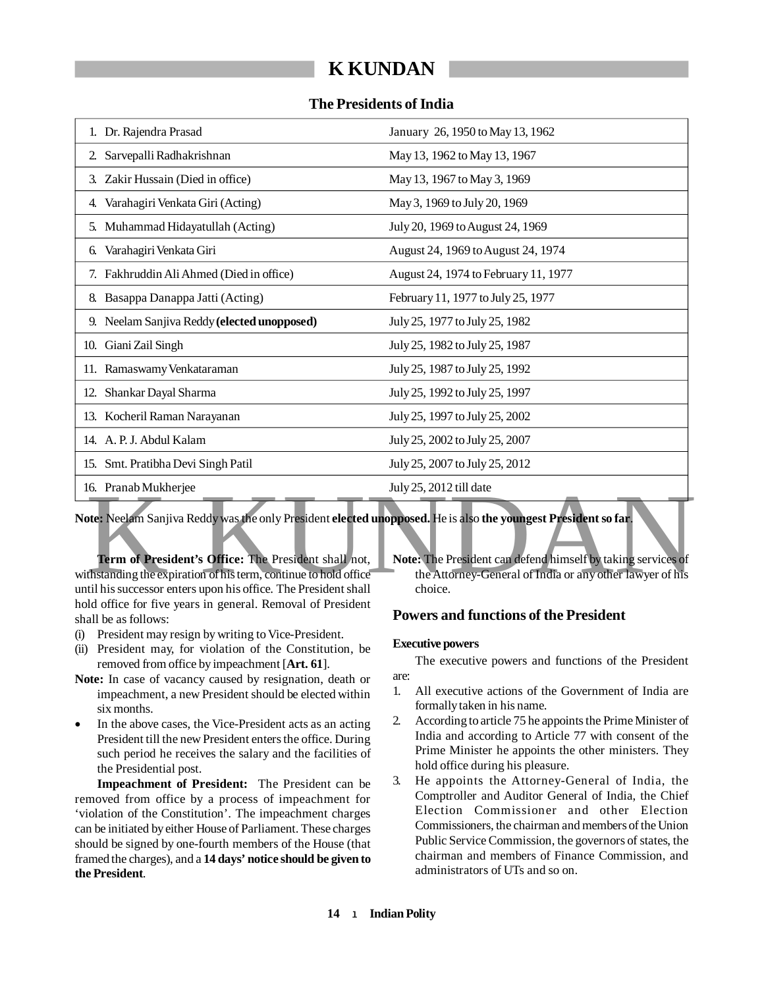#### **The Presidents of India**

|     | 1. Dr. Rajendra Prasad                   | January 26, 1950 to May 13, 1962     |
|-----|------------------------------------------|--------------------------------------|
| 2.  | Sarvepalli Radhakrishnan                 | May 13, 1962 to May 13, 1967         |
| 3.  | Zakir Hussain (Died in office)           | May 13, 1967 to May 3, 1969          |
| 4.  | Varahagiri Venkata Giri (Acting)         | May 3, 1969 to July 20, 1969         |
|     | 5. Muhammad Hidayatullah (Acting)        | July 20, 1969 to August 24, 1969     |
| 6.  | Varahagiri Venkata Giri                  | August 24, 1969 to August 24, 1974   |
|     | 7. Fakhruddin Ali Ahmed (Died in office) | August 24, 1974 to February 11, 1977 |
| 8.  | Basappa Danappa Jatti (Acting)           | February 11, 1977 to July 25, 1977   |
| 9.  | Neelam Sanjiva Reddy (elected unopposed) | July 25, 1977 to July 25, 1982       |
| 10. | Giani Zail Singh                         | July 25, 1982 to July 25, 1987       |
|     | 11. Ramaswamy Venkataraman               | July 25, 1987 to July 25, 1992       |
| 12. | Shankar Dayal Sharma                     | July 25, 1992 to July 25, 1997       |
|     | 13. Kocheril Raman Narayanan             | July 25, 1997 to July 25, 2002       |
|     | 14. A. P. J. Abdul Kalam                 | July 25, 2002 to July 25, 2007       |
|     | 15. Smt. Pratibha Devi Singh Patil       | July 25, 2007 to July 25, 2012       |
|     | 16. Pranab Mukherjee                     | July 25, 2012 till date              |

**Note:** Neelam Sanjiva Reddy was the only President **elected unopposed.** He is also **the youngest President so far**.

Term of President's Office: The President shall not,<br>
Term of President's Office: The President shall not,<br>
Term of President's Office: The President shall not,<br>
Note: The President can defend himself by taking services of withstanding the expiration of his term, continue to hold office until his successor enters upon his office. The President shall hold office for five years in general. Removal of President shall be as follows:

- (i) President may resign by writing to Vice-President.
- (ii) President may, for violation of the Constitution, be removed from office by impeachment [**Art. 61**].
- **Note:** In case of vacancy caused by resignation, death or impeachment, a new President should be elected within six months.
- In the above cases, the Vice-President acts as an acting President till the new President enters the office. During such period he receives the salary and the facilities of the Presidential post.

**Impeachment of President:** The President can be removed from office by a process of impeachment for 'violation of the Constitution'. The impeachment charges can be initiated by either House of Parliament. These charges should be signed by one-fourth members of the House (that framed the charges), and a **14 days' notice should be given to the President**.

**Note:** The President can defend himself by taking services of the Attorney-General of India or any other lawyer of his choice.

#### **Powers and functions of the President**

#### **Executive powers**

The executive powers and functions of the President are:

- 1. All executive actions of the Government of India are formally taken in his name.
- 2. According to article 75 he appoints the Prime Minister of India and according to Article 77 with consent of the Prime Minister he appoints the other ministers. They hold office during his pleasure.
- 3. He appoints the Attorney-General of India, the Comptroller and Auditor General of India, the Chief Election Commissioner and other Election Commissioners, the chairman and members of the Union Public Service Commission, the governors of states, the chairman and members of Finance Commission, and administrators of UTs and so on.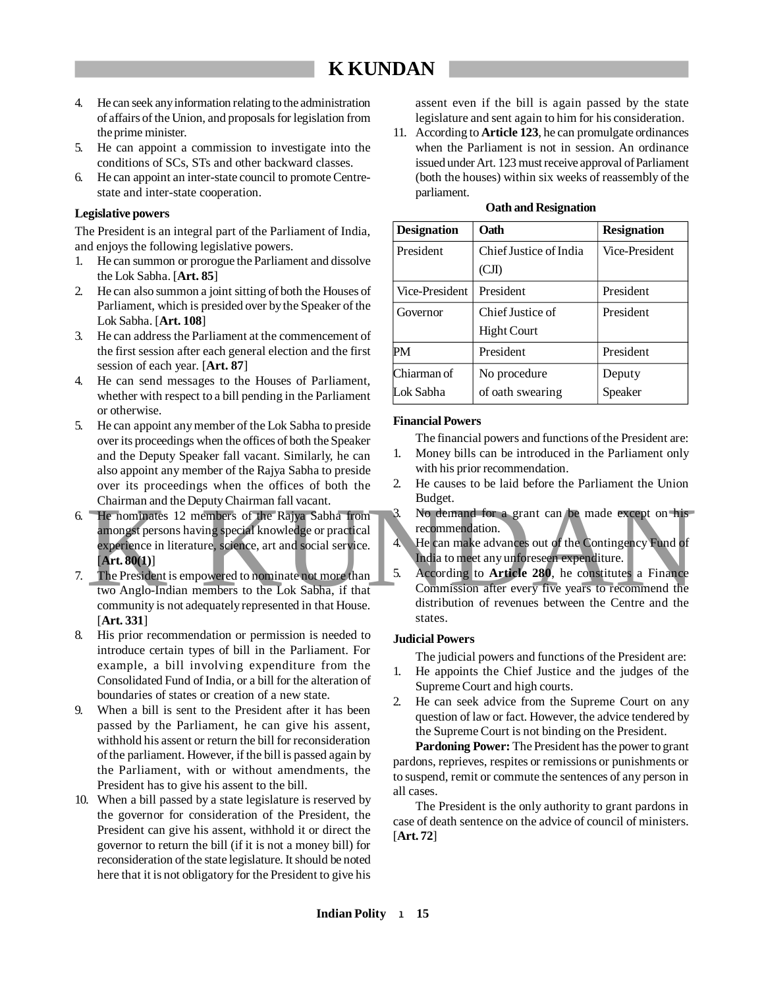- 4. He can seek any information relating to the administration of affairs of the Union, and proposals for legislation from the prime minister.
- 5. He can appoint a commission to investigate into the conditions of SCs, STs and other backward classes.
- 6. He can appoint an inter-state council to promote Centrestate and inter-state cooperation.

#### **Legislative powers**

The President is an integral part of the Parliament of India, and enjoys the following legislative powers.

- 1. He can summon or prorogue the Parliament and dissolve the Lok Sabha. [**Art. 85**]
- 2. He can also summon a joint sitting of both the Houses of Parliament, which is presided over by the Speaker of the Lok Sabha. [**Art. 108**]
- 3. He can address the Parliament at the commencement of the first session after each general election and the first session of each year. [**Art. 87**]
- 4. He can send messages to the Houses of Parliament, whether with respect to a bill pending in the Parliament or otherwise.
- 5. He can appoint any member of the Lok Sabha to preside over its proceedings when the offices of both the Speaker and the Deputy Speaker fall vacant. Similarly, he can also appoint any member of the Rajya Sabha to preside over its proceedings when the offices of both the Chairman and the Deputy Chairman fall vacant.
- Chairman and the Deputy Chairman fall vacant.<br>
The nominates 12 members of the Rajya Sabha from<br>
amongst persons having special knowledge or practical<br>
experience in literature, science, art and social service.<br>
[Art. 80(1 6. He nominates 12 members of the Rajya Sabha from amongst persons having special knowledge or practical experience in literature, science, art and social service. [**Art. 80(1)**]
- 7. The President is empowered to nominate not more than two Anglo-Indian members to the Lok Sabha, if that community is not adequately represented in that House. [**Art. 331**]
- 8. His prior recommendation or permission is needed to introduce certain types of bill in the Parliament. For example, a bill involving expenditure from the Consolidated Fund of India, or a bill for the alteration of boundaries of states or creation of a new state.
- 9. When a bill is sent to the President after it has been passed by the Parliament, he can give his assent, withhold his assent or return the bill for reconsideration of the parliament. However, if the bill is passed again by the Parliament, with or without amendments, the President has to give his assent to the bill.
- 10. When a bill passed by a state legislature is reserved by the governor for consideration of the President, the President can give his assent, withhold it or direct the governor to return the bill (if it is not a money bill) for reconsideration of the state legislature. It should be noted here that it is not obligatory for the President to give his

assent even if the bill is again passed by the state legislature and sent again to him for his consideration.

11. According to **Article 123**, he can promulgate ordinances when the Parliament is not in session. An ordinance issued under Art. 123 must receive approval of Parliament (both the houses) within six weeks of reassembly of the parliament.

| <b>Designation</b> | Oath                   | <b>Resignation</b> |
|--------------------|------------------------|--------------------|
| President          | Chief Justice of India | Vice-President     |
|                    | (CJI)                  |                    |
| Vice-President     | President              | President          |
| Governor           | Chief Justice of       | President          |
|                    | <b>Hight Court</b>     |                    |
| PM                 | President              | President          |
| Chiarman of        | No procedure           | Deputy             |
| Lok Sabha          | of oath swearing       | Speaker            |

#### **Oath and Resignation**

#### **Financial Powers**

The financial powers and functions of the President are:

- 1. Money bills can be introduced in the Parliament only with his prior recommendation.
- 2. He causes to be laid before the Parliament the Union Budget.
- 3. No demand for a grant can be made except on his recommendation.
- 4. He can make advances out of the Contingency Fund of India to meet any unforeseen expenditure.
- 5. According to **Article 280**, he constitutes a Finance Commission after every five years to recommend the distribution of revenues between the Centre and the states.

#### **Judicial Powers**

The judicial powers and functions of the President are:

- 1. He appoints the Chief Justice and the judges of the Supreme Court and high courts.
- 2. He can seek advice from the Supreme Court on any question of law or fact. However, the advice tendered by the Supreme Court is not binding on the President.

**Pardoning Power:** The President has the power to grant pardons, reprieves, respites or remissions or punishments or to suspend, remit or commute the sentences of any person in all cases.

The President is the only authority to grant pardons in case of death sentence on the advice of council of ministers. [**Art. 72**]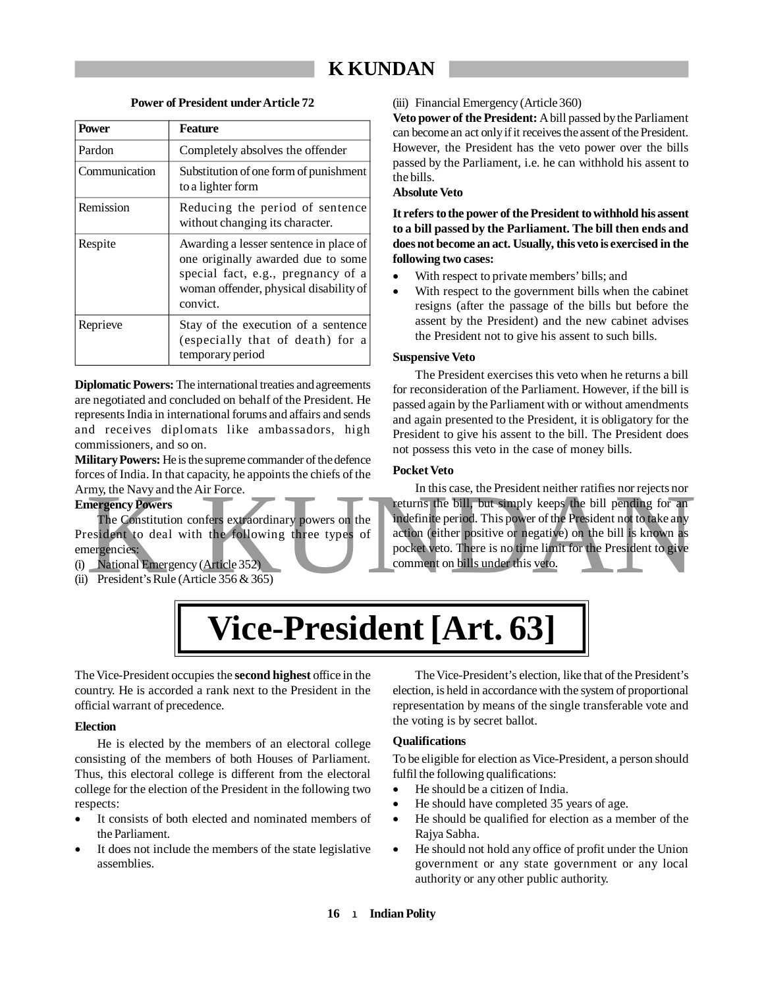#### **Power of President under Article 72**

| <b>Power</b>  | <b>Feature</b>                                                                                                                                                           |
|---------------|--------------------------------------------------------------------------------------------------------------------------------------------------------------------------|
| Pardon        | Completely absolves the offender                                                                                                                                         |
| Communication | Substitution of one form of punishment<br>to a lighter form                                                                                                              |
| Remission     | Reducing the period of sentence<br>without changing its character.                                                                                                       |
| Respite       | Awarding a lesser sentence in place of<br>one originally awarded due to some<br>special fact, e.g., pregnancy of a<br>woman offender, physical disability of<br>convict. |
| Reprieve      | Stay of the execution of a sentence<br>(especially that of death) for a<br>temporary period                                                                              |

**Diplomatic Powers:** The international treaties and agreements are negotiated and concluded on behalf of the President. He represents India in international forums and affairs and sends and receives diplomats like ambassadors, high commissioners, and so on.

**Military Powers:** He is the supreme commander of the defence forces of India. In that capacity, he appoints the chiefs of the Army, the Navy and the Air Force.

#### **Emergency Powers**

The Constitution confers extraordinary powers on the President to deal with the following three types of emergencies:

- (i) National Emergency (Article 352)
- (ii) President's Rule (Article 356 & 365)

#### (iii) Financial Emergency (Article 360)

**Veto power of the President:** A bill passed by the Parliament can become an act only if it receives the assent of the President. However, the President has the veto power over the bills passed by the Parliament, i.e. he can withhold his assent to the bills.

#### **Absolute Veto**

**It refers to the power of the President to withhold his assent to a bill passed by the Parliament. The bill then ends and does not become an act. Usually, this veto is exercised in the following two cases:**

- With respect to private members' bills; and
- With respect to the government bills when the cabinet resigns (after the passage of the bills but before the assent by the President) and the new cabinet advises the President not to give his assent to such bills.

#### **Suspensive Veto**

The President exercises this veto when he returns a bill for reconsideration of the Parliament. However, if the bill is passed again by the Parliament with or without amendments and again presented to the President, it is obligatory for the President to give his assent to the bill. The President does not possess this veto in the case of money bills.

#### **Pocket Veto**

may the Navy and the Air Force.<br> **In this case, the President neither ratifies nor rejects nor**<br> **In this case, the President neither ratifies nor rejects nor**<br> **In this case, the President neither ratifies nor rejects nor** In this case, the President neither ratifies nor rejects nor returns the bill, but simply keeps the bill pending for an indefinite period. This power of the President not to take any action (either positive or negative) on the bill is known as pocket veto. There is no time limit for the President to give comment on bills under this veto.



The Vice-President occupies the **second highest** office in the country. He is accorded a rank next to the President in the official warrant of precedence.

#### **Election**

He is elected by the members of an electoral college consisting of the members of both Houses of Parliament. Thus, this electoral college is different from the electoral college for the election of the President in the following two respects:

- It consists of both elected and nominated members of the Parliament.
- It does not include the members of the state legislative assemblies.

The Vice-President's election, like that of the President's election, is held in accordance with the system of proportional representation by means of the single transferable vote and the voting is by secret ballot.

#### **Qualifications**

To be eligible for election as Vice-President, a person should fulfil the following qualifications:

- He should be a citizen of India.
- He should have completed 35 years of age.
- He should be qualified for election as a member of the Rajya Sabha.
- He should not hold any office of profit under the Union government or any state government or any local authority or any other public authority.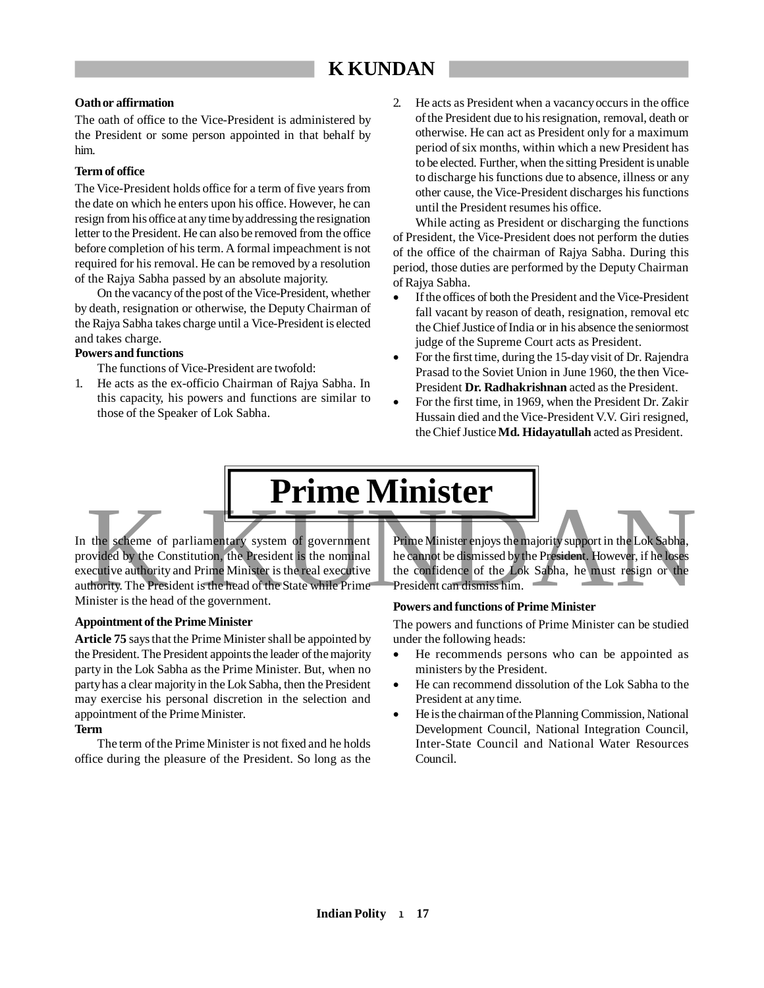#### **Oath or affirmation**

The oath of office to the Vice-President is administered by the President or some person appointed in that behalf by him.

#### **Term of office**

The Vice-President holds office for a term of five years from the date on which he enters upon his office. However, he can resign from his office at any time by addressing the resignation letter to the President. He can also be removed from the office before completion of his term. A formal impeachment is not required for his removal. He can be removed by a resolution of the Rajya Sabha passed by an absolute majority.

On the vacancy of the post of the Vice-President, whether by death, resignation or otherwise, the Deputy Chairman of the Rajya Sabha takes charge until a Vice-President is elected and takes charge.

#### **Powers and functions**

The functions of Vice-President are twofold:

1. He acts as the ex-officio Chairman of Rajya Sabha. In this capacity, his powers and functions are similar to those of the Speaker of Lok Sabha.

2. He acts as President when a vacancy occurs in the office of the President due to his resignation, removal, death or otherwise. He can act as President only for a maximum period of six months, within which a new President has to be elected. Further, when the sitting President is unable to discharge his functions due to absence, illness or any other cause, the Vice-President discharges his functions until the President resumes his office.

While acting as President or discharging the functions of President, the Vice-President does not perform the duties of the office of the chairman of Rajya Sabha. During this period, those duties are performed by the Deputy Chairman of Rajya Sabha.

- If the offices of both the President and the Vice-President fall vacant by reason of death, resignation, removal etc the Chief Justice of India or in his absence the seniormost judge of the Supreme Court acts as President.
- For the first time, during the 15-day visit of Dr. Rajendra Prasad to the Soviet Union in June 1960, the then Vice-President **Dr. Radhakrishnan** acted as the President.
- For the first time, in 1969, when the President Dr. Zakir Hussain died and the Vice-President V.V. Giri resigned, the Chief Justice **Md. Hidayatullah** acted as President.

## **Prime Minister**

THE SCHEME OF PARTICLE AND THE MINISTRY SUPPORT IN the LOK Sabha,<br>
Sovided by the Constitution, the President is the nominal<br>
ecutive authority and Prime Minister is the real executive<br>
thority. The President is the head o In the scheme of parliamentary system of government provided by the Constitution, the President is the nominal executive authority and Prime Minister is the real executive authority. The President is the head of the State while Prime Minister is the head of the government.

#### **Appointment of the Prime Minister**

**Article 75** says that the Prime Minister shall be appointed by the President. The President appoints the leader of the majority party in the Lok Sabha as the Prime Minister. But, when no party has a clear majority in the Lok Sabha, then the President may exercise his personal discretion in the selection and appointment of the Prime Minister.

#### **Term**

The term of the Prime Minister is not fixed and he holds office during the pleasure of the President. So long as the

Prime Minister enjoys the majority support in the Lok Sabha, he cannot be dismissed by the President. However, if he loses the confidence of the Lok Sabha, he must resign or the President can dismiss him.

#### **Powers and functions of Prime Minister**

The powers and functions of Prime Minister can be studied under the following heads:

- He recommends persons who can be appointed as ministers by the President.
- He can recommend dissolution of the Lok Sabha to the President at any time.
- He is the chairman of the Planning Commission, National Development Council, National Integration Council, Inter-State Council and National Water Resources Council.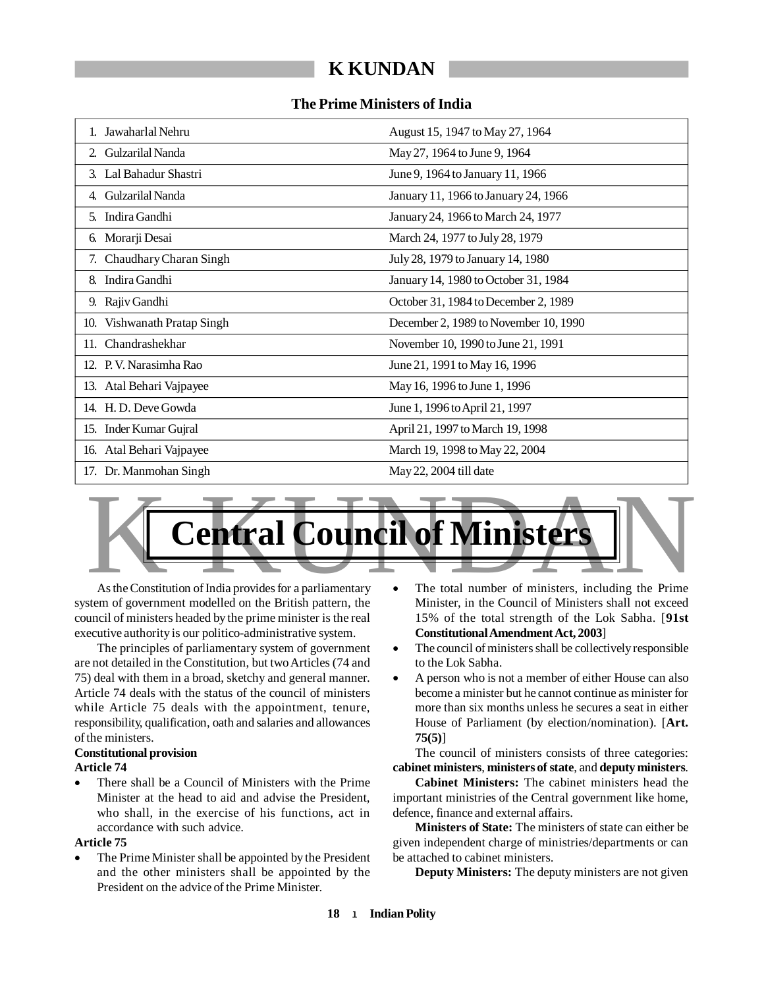#### **The Prime Ministers of India**

| Jawaharlal Nehru                 | August 15, 1947 to May 27, 1964       |
|----------------------------------|---------------------------------------|
| Gulzarilal Nanda<br>$\mathbf{2}$ | May 27, 1964 to June 9, 1964          |
| Lal Bahadur Shastri<br>3.        | June 9, 1964 to January 11, 1966      |
| Gulzarilal Nanda<br>4.           | January 11, 1966 to January 24, 1966  |
| Indira Gandhi<br>5.              | January 24, 1966 to March 24, 1977    |
| Morarji Desai<br>6.              | March 24, 1977 to July 28, 1979       |
| Chaudhary Charan Singh<br>7.     | July 28, 1979 to January 14, 1980     |
| Indira Gandhi<br>8.              | January 14, 1980 to October 31, 1984  |
| Rajiv Gandhi<br>9.               | October 31, 1984 to December 2, 1989  |
| 10. Vishwanath Pratap Singh      | December 2, 1989 to November 10, 1990 |
| 11. Chandrashekhar               | November 10, 1990 to June 21, 1991    |
| 12. P.V. Narasimha Rao           | June 21, 1991 to May 16, 1996         |
| 13. Atal Behari Vajpayee         | May 16, 1996 to June 1, 1996          |
| 14. H. D. Deve Gowda             | June 1, 1996 to April 21, 1997        |
| 15. Inder Kumar Gujral           | April 21, 1997 to March 19, 1998      |
| 16. Atal Behari Vajpayee         | March 19, 1998 to May 22, 2004        |
| 17. Dr. Manmohan Singh           | May 22, 2004 till date                |



As the Constitution of India provides for a parliamentary system of government modelled on the British pattern, the council of ministers headed by the prime minister is the real executive authority is our politico-administrative system.

The principles of parliamentary system of government are not detailed in the Constitution, but two Articles (74 and 75) deal with them in a broad, sketchy and general manner. Article 74 deals with the status of the council of ministers while Article 75 deals with the appointment, tenure, responsibility, qualification, oath and salaries and allowances of the ministers.

#### **Constitutional provision**

#### **Article 74**

 There shall be a Council of Ministers with the Prime Minister at the head to aid and advise the President, who shall, in the exercise of his functions, act in accordance with such advice.

#### **Article 75**

 The Prime Minister shall be appointed by the President and the other ministers shall be appointed by the President on the advice of the Prime Minister.

- The total number of ministers, including the Prime Minister, in the Council of Ministers shall not exceed 15% of the total strength of the Lok Sabha. [**91st Constitutional Amendment Act, 2003**]
- The council of ministers shall be collectively responsible to the Lok Sabha.
- A person who is not a member of either House can also become a minister but he cannot continue as minister for more than six months unless he secures a seat in either House of Parliament (by election/nomination). [**Art. 75(5)**]

The council of ministers consists of three categories: **cabinet ministers**, **ministers of state**, and **deputy ministers**.

**Cabinet Ministers:** The cabinet ministers head the important ministries of the Central government like home, defence, finance and external affairs.

**Ministers of State:** The ministers of state can either be given independent charge of ministries/departments or can be attached to cabinet ministers.

**Deputy Ministers:** The deputy ministers are not given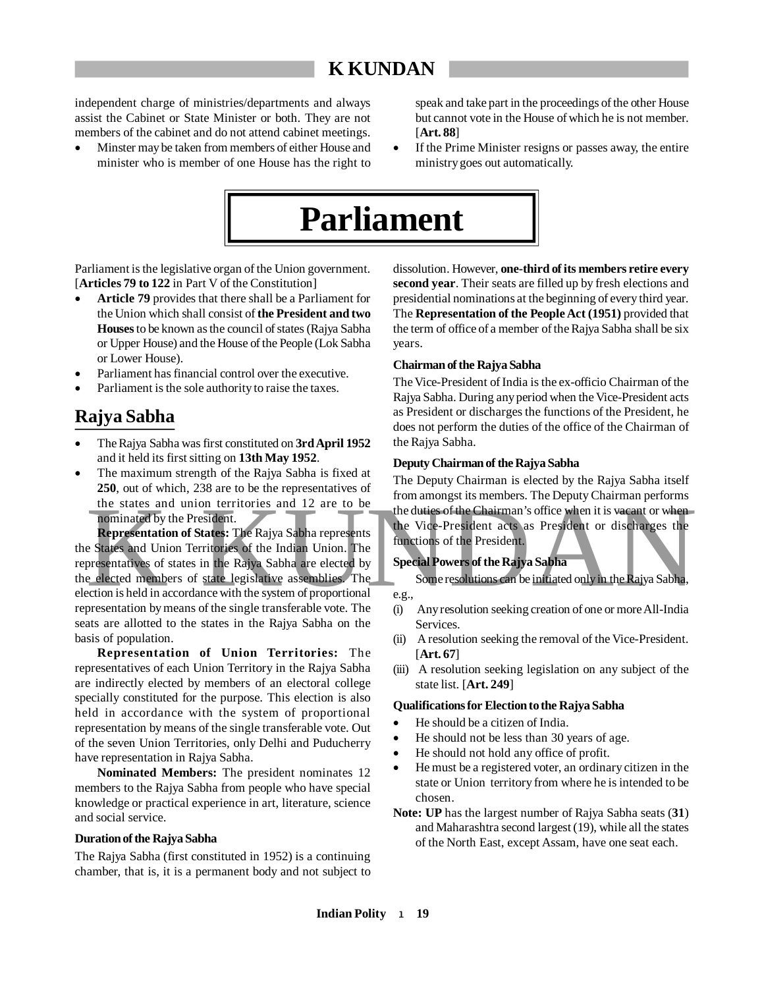independent charge of ministries/departments and always assist the Cabinet or State Minister or both. They are not members of the cabinet and do not attend cabinet meetings.

 Minster may be taken from members of either House and minister who is member of one House has the right to speak and take part in the proceedings of the other House but cannot vote in the House of which he is not member. [**Art. 88**]

 If the Prime Minister resigns or passes away, the entire ministry goes out automatically.

## **Parliament**

Parliament is the legislative organ of the Union government. [**Articles 79 to 122** in Part V of the Constitution]

- **Article 79** provides that there shall be a Parliament for the Union which shall consist of **the President and two Houses** to be known as the council of states (Rajya Sabha or Upper House) and the House of the People (Lok Sabha or Lower House).
- Parliament has financial control over the executive.
- Parliament is the sole authority to raise the taxes.

### **Rajya Sabha**

- The Rajya Sabha was first constituted on **3rd April 1952** and it held its first sitting on **13th May 1952**.
- The maximum strength of the Rajya Sabha is fixed at **250**, out of which, 238 are to be the representatives of the states and union territories and 12 are to be nominated by the President.

the states and union territories and 12 are to be<br>
nominated by the President.<br> **Representation of States:** The Rajya Sabha represents<br>
Extates and Union Territories of the Indian Union. The<br>
presentatives of states in the **Representation of States:** The Rajya Sabha represents the States and Union Territories of the Indian Union. The representatives of states in the Rajya Sabha are elected by the elected members of state legislative assemblies. The election is held in accordance with the system of proportional representation by means of the single transferable vote. The seats are allotted to the states in the Rajya Sabha on the basis of population.

**Representation of Union Territories:** The representatives of each Union Territory in the Rajya Sabha are indirectly elected by members of an electoral college specially constituted for the purpose. This election is also held in accordance with the system of proportional representation by means of the single transferable vote. Out of the seven Union Territories, only Delhi and Puducherry have representation in Rajya Sabha.

**Nominated Members:** The president nominates 12 members to the Rajya Sabha from people who have special knowledge or practical experience in art, literature, science and social service.

#### **Duration of the Rajya Sabha**

The Rajya Sabha (first constituted in 1952) is a continuing chamber, that is, it is a permanent body and not subject to dissolution. However, **one-third of its members retire every second year**. Their seats are filled up by fresh elections and presidential nominations at the beginning of every third year. The **Representation of the People Act (1951)** provided that the term of office of a member of the Rajya Sabha shall be six years.

#### **Chairman of the Rajya Sabha**

The Vice-President of India is the ex-officio Chairman of the Rajya Sabha. During any period when the Vice-President acts as President or discharges the functions of the President, he does not perform the duties of the office of the Chairman of the Rajya Sabha.

#### **Deputy Chairman of the Rajya Sabha**

The Deputy Chairman is elected by the Rajya Sabha itself from amongst its members. The Deputy Chairman performs the duties of the Chairman's office when it is vacant or when the Vice-President acts as President or discharges the functions of the President.

#### **Special Powers of the Rajya Sabha**

Some resolutions can be initiated only in the Rajya Sabha, e.g.,

- (i) Any resolution seeking creation of one or more All-India Services.
- (ii) A resolution seeking the removal of the Vice-President. [**Art. 67**]
- (iii) A resolution seeking legislation on any subject of the state list. [**Art. 249**]

#### **Qualifications for Election to the Rajya Sabha**

- He should be a citizen of India.
- He should not be less than 30 years of age.
- He should not hold any office of profit.
- He must be a registered voter, an ordinary citizen in the state or Union territory from where he is intended to be chosen.
- **Note: UP** has the largest number of Rajya Sabha seats (**31**) and Maharashtra second largest (19), while all the states of the North East, except Assam, have one seat each.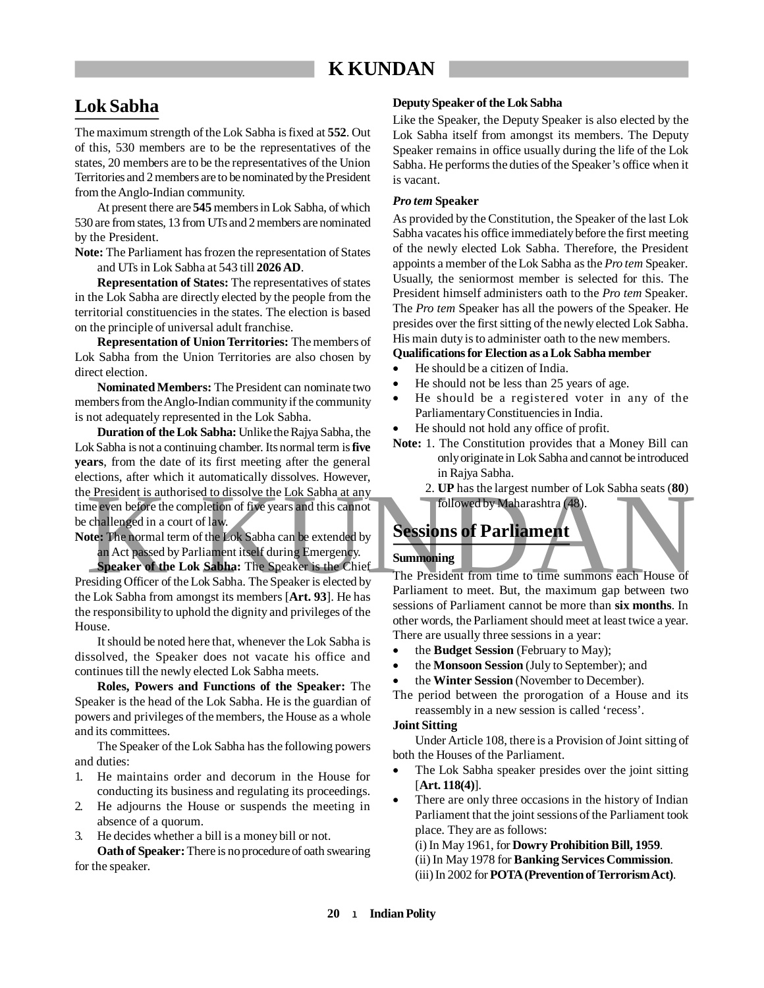### **Lok Sabha**

The maximum strength of the Lok Sabha is fixed at **552**. Out of this, 530 members are to be the representatives of the states, 20 members are to be the representatives of the Union Territories and 2 members are to be nominated by the President from the Anglo-Indian community.

At present there are **545** members in Lok Sabha, of which 530 are from states, 13 from UTs and 2 members are nominated by the President.

**Note:** The Parliament has frozen the representation of States and UTs in Lok Sabha at 543 till **2026 AD**.

**Representation of States:** The representatives of states in the Lok Sabha are directly elected by the people from the territorial constituencies in the states. The election is based on the principle of universal adult franchise.

**Representation of Union Territories:** The members of Lok Sabha from the Union Territories are also chosen by direct election.

**Nominated Members:** The President can nominate two members from the Anglo-Indian community if the community is not adequately represented in the Lok Sabha.

Example the term of the Lok Sabha at any<br>
the President is authorised to dissolve the Lok Sabha at any<br>
the even before the completion of five years and this cannot<br>
challenged in a court of law.<br>
the The normal term of th **Duration of the Lok Sabha:** Unlike the Rajya Sabha, the Lok Sabha is not a continuing chamber. Its normal term is **five years**, from the date of its first meeting after the general elections, after which it automatically dissolves. However, the President is authorised to dissolve the Lok Sabha at any time even before the completion of five years and this cannot be challenged in a court of law.

**Note:** The normal term of the Lok Sabha can be extended by an Act passed by Parliament itself during Emergency.

**Speaker of the Lok Sabha:** The Speaker is the Chief Presiding Officer of the Lok Sabha. The Speaker is elected by the Lok Sabha from amongst its members [**Art. 93**]. He has the responsibility to uphold the dignity and privileges of the House.

It should be noted here that, whenever the Lok Sabha is dissolved, the Speaker does not vacate his office and continues till the newly elected Lok Sabha meets.

**Roles, Powers and Functions of the Speaker:** The Speaker is the head of the Lok Sabha. He is the guardian of powers and privileges of the members, the House as a whole and its committees.

The Speaker of the Lok Sabha has the following powers and duties:

- 1. He maintains order and decorum in the House for conducting its business and regulating its proceedings.
- 2. He adjourns the House or suspends the meeting in absence of a quorum.
- 3. He decides whether a bill is a money bill or not.

**Oath of Speaker:** There is no procedure of oath swearing for the speaker.

#### **Deputy Speaker of the Lok Sabha**

Like the Speaker, the Deputy Speaker is also elected by the Lok Sabha itself from amongst its members. The Deputy Speaker remains in office usually during the life of the Lok Sabha. He performs the duties of the Speaker's office when it is vacant.

#### *Pro tem* **Speaker**

As provided by the Constitution, the Speaker of the last Lok Sabha vacates his office immediately before the first meeting of the newly elected Lok Sabha. Therefore, the President appoints a member of the Lok Sabha as the *Pro tem* Speaker*.* Usually, the seniormost member is selected for this. The President himself administers oath to the *Pro tem* Speaker*.* The *Pro tem* Speaker has all the powers of the Speaker. He presides over the first sitting of the newly elected Lok Sabha. His main duty is to administer oath to the new members.

#### **Qualifications for Election as a Lok Sabha member**

- He should be a citizen of India.
- He should not be less than 25 years of age.
- He should be a registered voter in any of the Parliamentary Constituencies in India.
- He should not hold any office of profit.
- **Note:** 1. The Constitution provides that a Money Bill can only originate in Lok Sabha and cannot be introduced in Rajya Sabha.
	- 2. **UP** has the largest number of Lok Sabha seats (**80**) followed by Maharashtra (48).

### **Sessions of Parliament**

#### **Summoning**

The President from time to time summons each House of Parliament to meet. But, the maximum gap between two sessions of Parliament cannot be more than **six months**. In other words, the Parliament should meet at least twice a year. There are usually three sessions in a year:

- the **Budget Session** (February to May);
- the **Monsoon Session** (July to September); and
- the **Winter Session** (November to December).
- The period between the prorogation of a House and its reassembly in a new session is called 'recess'.

#### **Joint Sitting**

Under Article 108, there is a Provision of Joint sitting of both the Houses of the Parliament.

- The Lok Sabha speaker presides over the joint sitting [**Art. 118(4)**].
- There are only three occasions in the history of Indian Parliament that the joint sessions of the Parliament took place. They are as follows:

(i) In May 1961, for **Dowry Prohibition Bill, 1959**. (ii) In May 1978 for **Banking Services Commission**. (iii) In 2002 for **POTA (Prevention of Terrorism Act)**.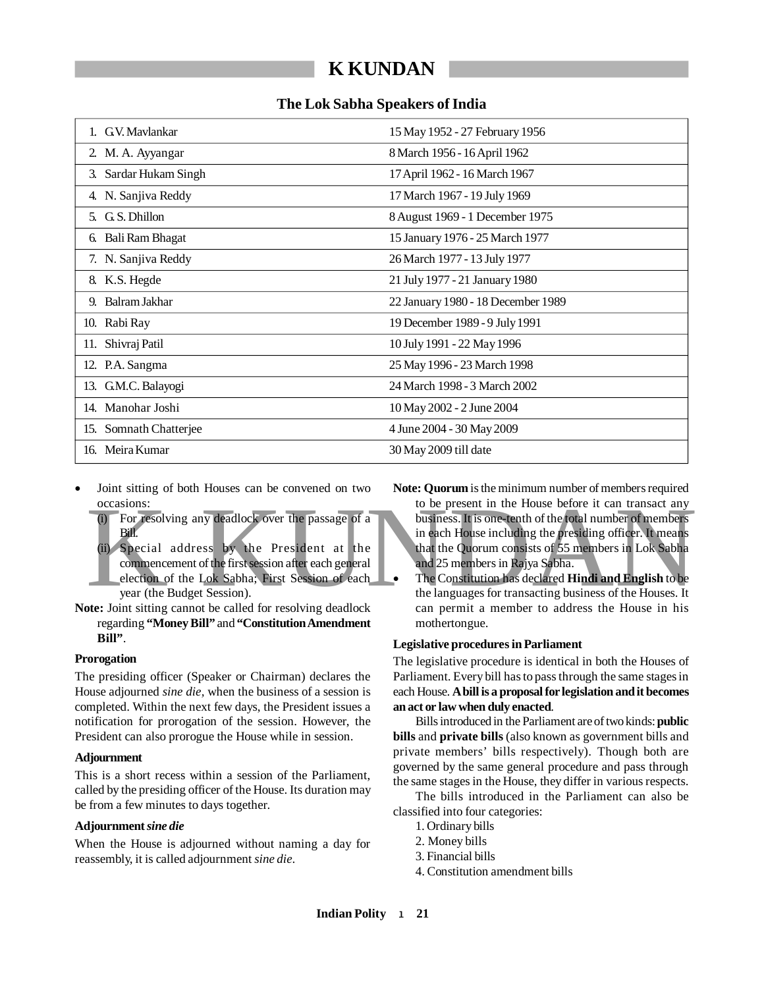#### **The Lok Sabha Speakers of India**

|    | GV. Maylankar          | 15 May 1952 - 27 February 1956     |
|----|------------------------|------------------------------------|
|    | 2. M. A. Ayyangar      | 8 March 1956 - 16 April 1962       |
|    | 3. Sardar Hukam Singh  | 17 April 1962 - 16 March 1967      |
|    | 4. N. Sanjiva Reddy    | 17 March 1967 - 19 July 1969       |
| 5. | G.S. Dhillon           | 8 August 1969 - 1 December 1975    |
| 6. | Bali Ram Bhagat        | 15 January 1976 - 25 March 1977    |
|    | 7. N. Sanjiva Reddy    | 26 March 1977 - 13 July 1977       |
|    | 8. K.S. Hegde          | 21 July 1977 - 21 January 1980     |
| 9. | Balram Jakhar          | 22 January 1980 - 18 December 1989 |
|    | 10. Rabi Ray           | 19 December 1989 - 9 July 1991     |
|    | 11. Shivraj Patil      | 10 July 1991 - 22 May 1996         |
|    | 12. P.A. Sangma        | 25 May 1996 - 23 March 1998        |
|    | 13. G.M.C. Balayogi    | 24 March 1998 - 3 March 2002       |
|    | 14. Manohar Joshi      | 10 May 2002 - 2 June 2004          |
|    | 15. Somnath Chatterjee | 4 June 2004 - 30 May 2009          |
|    | 16. Meira Kumar        | 30 May 2009 till date              |

- Joint sitting of both Houses can be convened on two occasions:
	- (i) For resolving any deadlock over the passage of a Bill.
	- (ii) Special address by the President at the commencement of the first session after each general election of the Lok Sabha; First Session of each year (the Budget Session).
- **Note:** Joint sitting cannot be called for resolving deadlock regarding **"Money Bill"** and **"Constitution Amendment Bill"**.

#### **Prorogation**

The presiding officer (Speaker or Chairman) declares the House adjourned *sine die,* when the business of a session is completed. Within the next few days, the President issues a notification for prorogation of the session. However, the President can also prorogue the House while in session.

#### **Adjournment**

This is a short recess within a session of the Parliament, called by the presiding officer of the House. Its duration may be from a few minutes to days together.

#### **Adjournment** *sine die*

When the House is adjourned without naming a day for reassembly, it is called adjournment *sine die.*

occasions:<br>
(i) For resolving any deadlock over the passage of a<br>
Bill.<br>
(ii) Special address by the President at the<br>
commencement of the first session after each general<br>
election of the Lok Sabha; First Session of each<br> **Note: Quorum** is the minimum number of members required to be present in the House before it can transact any business. It is one-tenth of the total number of members in each House including the presiding officer. It means that the Quorum consists of 55 members in Lok Sabha and 25 members in Rajya Sabha.

 The Constitution has declared **Hindi and English** to be the languages for transacting business of the Houses. It can permit a member to address the House in his mothertongue.

#### **Legislative procedures in Parliament**

The legislative procedure is identical in both the Houses of Parliament. Every bill has to pass through the same stages in each House. **A bill is a proposal for legislation and it becomes an act or law when duly enacted**.

Bills introduced in the Parliament are of two kinds: **public bills** and **private bills** (also known as government bills and private members' bills respectively). Though both are governed by the same general procedure and pass through the same stages in the House, they differ in various respects.

The bills introduced in the Parliament can also be classified into four categories:

- 1. Ordinary bills
- 2. Money bills
- 3. Financial bills
- 4. Constitution amendment bills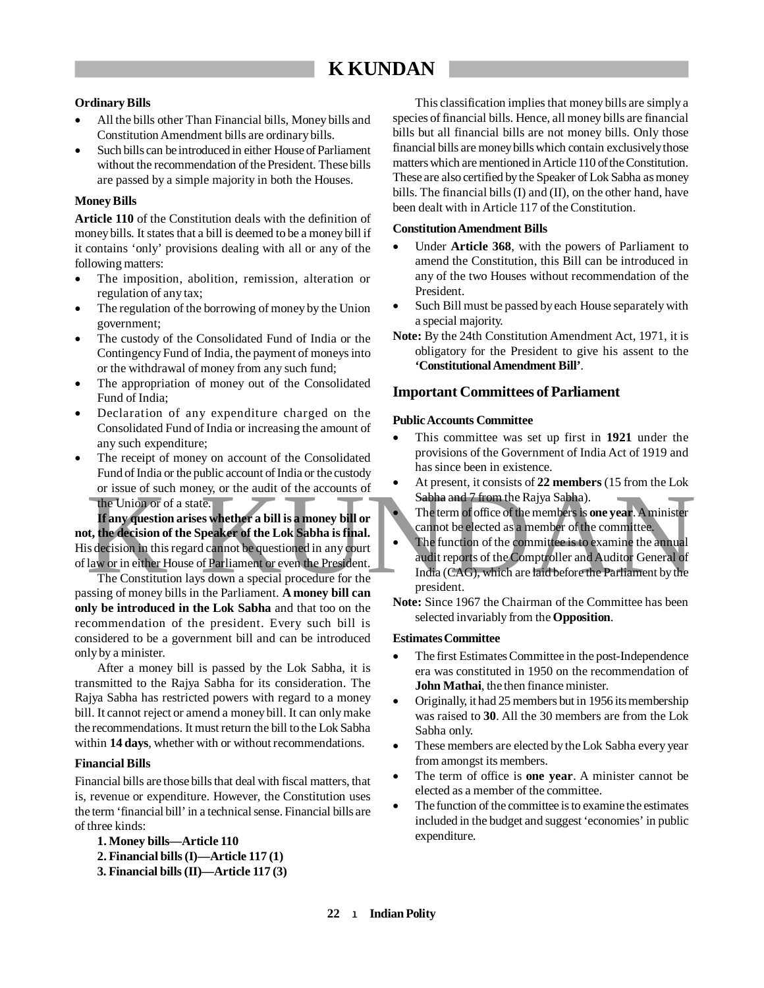#### **Ordinary Bills**

- All the bills other Than Financial bills, Money bills and Constitution Amendment bills are ordinary bills.
- Such bills can be introduced in either House of Parliament without the recommendation of the President. These bills are passed by a simple majority in both the Houses.

#### **Money Bills**

**Article 110** of the Constitution deals with the definition of money bills. It states that a bill is deemed to be a money bill if it contains 'only' provisions dealing with all or any of the following matters:

- The imposition, abolition, remission, alteration or regulation of any tax;
- The regulation of the borrowing of money by the Union government;
- The custody of the Consolidated Fund of India or the Contingency Fund of India, the payment of moneys into or the withdrawal of money from any such fund;
- The appropriation of money out of the Consolidated Fund of India;
- Declaration of any expenditure charged on the Consolidated Fund of India or increasing the amount of any such expenditure;
- The receipt of money on account of the Consolidated Fund of India or the public account of India or the custody or issue of such money, or the audit of the accounts of the Union or of a state.

**If any question arises whether a bill is a money bill or not, the decision of the Speaker of the Lok Sabha is final.** His decision in this regard cannot be questioned in any court of law or in either House of Parliament or even the President.

The Constitution lays down a special procedure for the passing of money bills in the Parliament. **A money bill can only be introduced in the Lok Sabha** and that too on the recommendation of the president. Every such bill is considered to be a government bill and can be introduced only by a minister.

After a money bill is passed by the Lok Sabha, it is transmitted to the Rajya Sabha for its consideration. The Rajya Sabha has restricted powers with regard to a money bill. It cannot reject or amend a money bill. It can only make the recommendations. It must return the bill to the Lok Sabha within **14 days**, whether with or without recommendations.

#### **Financial Bills**

Financial bills are those bills that deal with fiscal matters, that is, revenue or expenditure. However, the Constitution uses the term 'financial bill' in a technical sense. Financial bills are of three kinds:

- **1. Money bills—Article 110**
- **2. Financial bills (I)—Article 117 (1)**
- **3. Financial bills (II)—Article 117 (3)**

This classification implies that money bills are simply a species of financial bills. Hence, all money bills are financial bills but all financial bills are not money bills. Only those financial bills are money bills which contain exclusively those matters which are mentioned in Article 110 of the Constitution. These are also certified by the Speaker of Lok Sabha as money bills. The financial bills (I) and (II), on the other hand, have been dealt with in Article 117 of the Constitution.

#### **Constitution Amendment Bills**

- Under **Article 368**, with the powers of Parliament to amend the Constitution, this Bill can be introduced in any of the two Houses without recommendation of the President.
- Such Bill must be passed by each House separately with a special majority.
- **Note:** By the 24th Constitution Amendment Act, 1971, it is obligatory for the President to give his assent to the **'Constitutional Amendment Bill'**.

#### **Important Committees of Parliament**

#### **Public Accounts Committee**

- This committee was set up first in **1921** under the provisions of the Government of India Act of 1919 and has since been in existence.
- At present, it consists of **22 members** (15 from the Lok Sabha and 7 from the Rajya Sabha).
- The term of office of the members is **one year**. A minister cannot be elected as a member of the committee.
- The Union or of a state.<br>
The Union or of a state.<br>
The Union or of a state.<br>
The Union or of a state.<br>
The Union or of a state.<br>
The Union or of a state.<br>
The Union or of a state.<br>
The Union or of a state.<br>
The Union or o • The function of the committee is to examine the annual audit reports of the Comptroller and Auditor General of India (CAG), which are laid before the Parliament by the president.

**Note:** Since 1967 the Chairman of the Committee has been selected invariably from the **Opposition**.

#### **Estimates Committee**

- The first Estimates Committee in the post-Independence era was constituted in 1950 on the recommendation of **John Mathai**, the then finance minister.
- Originally, it had 25 members but in 1956 its membership was raised to **30**. All the 30 members are from the Lok Sabha only.
- These members are elected by the Lok Sabha every year from amongst its members.
- The term of office is **one year**. A minister cannot be elected as a member of the committee.
- The function of the committee is to examine the estimates included in the budget and suggest 'economies' in public expenditure.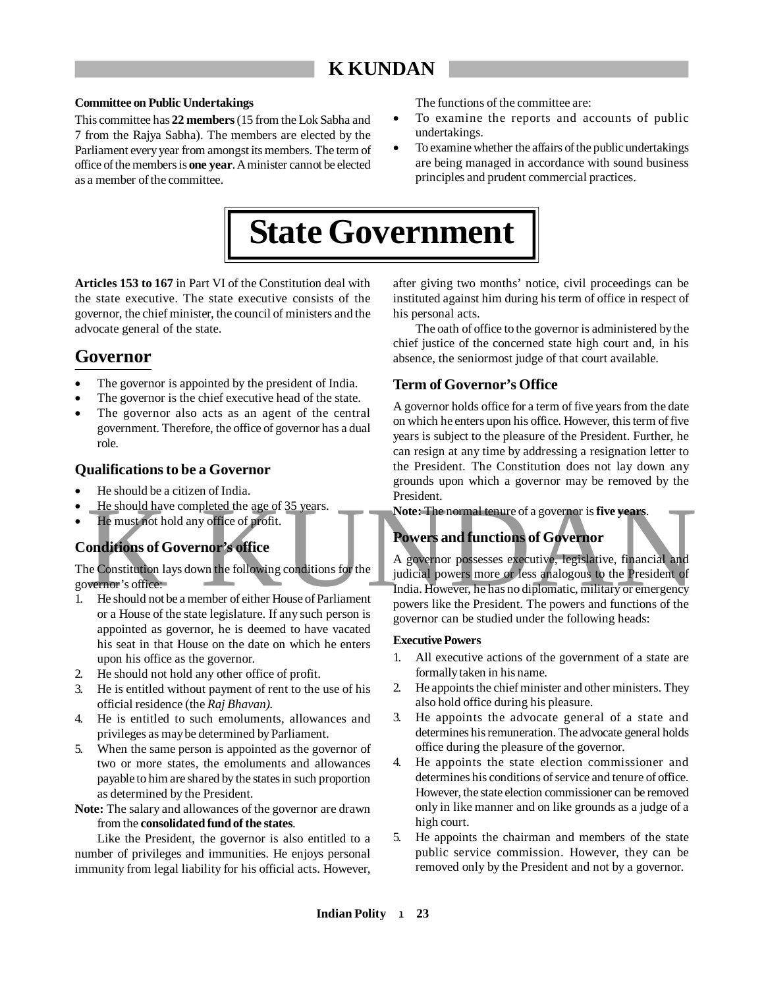#### **Committee on Public Undertakings**

This committee has **22 members** (15 from the Lok Sabha and 7 from the Rajya Sabha). The members are elected by the Parliament every year from amongst its members. The term of office of the members is **one year**. A minister cannot be elected as a member of the committee.

The functions of the committee are:

- To examine the reports and accounts of public undertakings.
- To examine whether the affairs of the public undertakings are being managed in accordance with sound business principles and prudent commercial practices.



**Articles 153 to 167** in Part VI of the Constitution deal with the state executive. The state executive consists of the governor, the chief minister, the council of ministers and the advocate general of the state.

#### **Governor**

- The governor is appointed by the president of India.
- The governor is the chief executive head of the state.
- The governor also acts as an agent of the central government. Therefore, the office of governor has a dual role.

#### **Qualifications to be a Governor**

- He should be a citizen of India.
- He should have completed the age of 35 years.
- He must not hold any office of profit.

### **Conditions of Governor's office**

The Constitution lays down the following conditions for the governor's office:

- 1. He should not be a member of either House of Parliament or a House of the state legislature. If any such person is appointed as governor, he is deemed to have vacated his seat in that House on the date on which he enters upon his office as the governor.
- 2. He should not hold any other office of profit.
- 3. He is entitled without payment of rent to the use of his official residence (the *Raj Bhavan).*
- 4. He is entitled to such emoluments, allowances and privileges as may be determined by Parliament.
- 5. When the same person is appointed as the governor of two or more states, the emoluments and allowances payable to him are shared by the states in such proportion as determined by the President.
- **Note:** The salary and allowances of the governor are drawn from the **consolidated fund of the states**.

Like the President, the governor is also entitled to a number of privileges and immunities. He enjoys personal immunity from legal liability for his official acts. However,

after giving two months' notice, civil proceedings can be instituted against him during his term of office in respect of his personal acts.

The oath of office to the governor is administered by the chief justice of the concerned state high court and, in his absence, the seniormost judge of that court available.

#### **Term of Governor's Office**

A governor holds office for a term of five years from the date on which he enters upon his office. However, this term of five years is subject to the pleasure of the President. Further, he can resign at any time by addressing a resignation letter to the President. The Constitution does not lay down any grounds upon which a governor may be removed by the President.

**Note:** The normal tenure of a governor is **five years**.

### **Powers and functions of Governor**

He should have completed the age of 35 years.<br>
Mote: The normal tenure of a governor is five years.<br>
Mote: The normal tenure of a governor is five years.<br>
Mote: The normal tenure of a governor is five years.<br>
Mote: The nor A governor possesses executive, legislative, financial and judicial powers more or less analogous to the President of India. However, he has no diplomatic, military or emergency powers like the President. The powers and functions of the governor can be studied under the following heads:

#### **Executive Powers**

- 1. All executive actions of the government of a state are formally taken in his name.
- 2. He appoints the chief minister and other ministers. They also hold office during his pleasure.
- 3. He appoints the advocate general of a state and determines his remuneration. The advocate general holds office during the pleasure of the governor.
- 4. He appoints the state election commissioner and determines his conditions of service and tenure of office. However, the state election commissioner can be removed only in like manner and on like grounds as a judge of a high court.
- 5. He appoints the chairman and members of the state public service commission. However, they can be removed only by the President and not by a governor.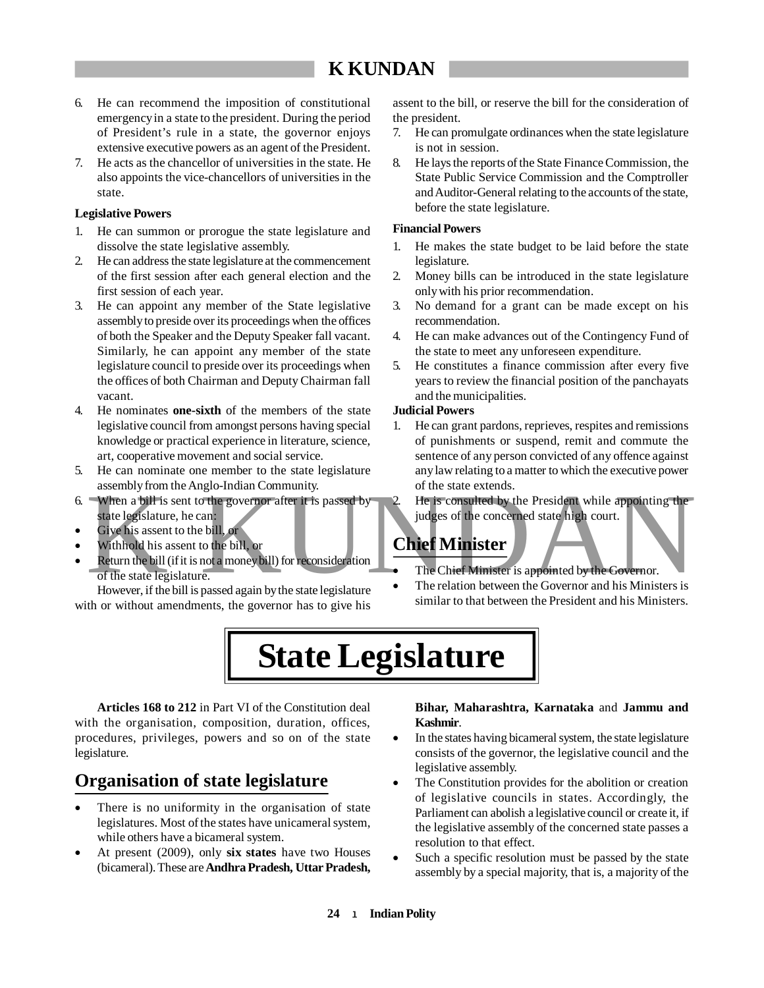- 6. He can recommend the imposition of constitutional emergency in a state to the president. During the period of President's rule in a state, the governor enjoys extensive executive powers as an agent of the President.
- 7. He acts as the chancellor of universities in the state. He also appoints the vice-chancellors of universities in the state.

#### **Legislative Powers**

- 1. He can summon or prorogue the state legislature and dissolve the state legislative assembly.
- 2. He can address the state legislature at the commencement of the first session after each general election and the first session of each year.
- 3. He can appoint any member of the State legislative assembly to preside over its proceedings when the offices of both the Speaker and the Deputy Speaker fall vacant. Similarly, he can appoint any member of the state legislature council to preside over its proceedings when the offices of both Chairman and Deputy Chairman fall vacant.
- 4. He nominates **one-sixth** of the members of the state legislative council from amongst persons having special knowledge or practical experience in literature, science, art, cooperative movement and social service.
- 5. He can nominate one member to the state legislature assembly from the Anglo-Indian Community.
- 6. When a bill is sent to the governor after it is passed by state legislature, he can:
- Give his assent to the bill, or
- Withhold his assent to the bill, or
- When a bill is sent to the governor after it is passed by<br>state legislature, he can:<br>Give his assent to the bill, or<br>Withhold his assent to the bill, or<br>Return the bill (if it is not a money bill) for reconsideration<br>of th Return the bill (if it is not a money bill) for reconsideration of the state legislature.

However, if the bill is passed again by the state legislature with or without amendments, the governor has to give his assent to the bill, or reserve the bill for the consideration of the president.

- 7. He can promulgate ordinances when the state legislature is not in session.
- 8. He lays the reports of the State Finance Commission, the State Public Service Commission and the Comptroller and Auditor-General relating to the accounts of the state, before the state legislature.

#### **Financial Powers**

- 1. He makes the state budget to be laid before the state legislature.
- 2. Money bills can be introduced in the state legislature only with his prior recommendation.
- 3. No demand for a grant can be made except on his recommendation.
- 4. He can make advances out of the Contingency Fund of the state to meet any unforeseen expenditure.
- 5. He constitutes a finance commission after every five years to review the financial position of the panchayats and the municipalities.

#### **Judicial Powers**

- 1. He can grant pardons, reprieves, respites and remissions of punishments or suspend, remit and commute the sentence of any person convicted of any offence against any law relating to a matter to which the executive power of the state extends.
- 2. He is consulted by the President while appointing the judges of the concerned state high court.

### **Chief Minister**

- The Chief Minister is appointed by the Governor.
- The relation between the Governor and his Ministers is similar to that between the President and his Ministers.

## **State Legislature**

**Articles 168 to 212** in Part VI of the Constitution deal with the organisation, composition, duration, offices, procedures, privileges, powers and so on of the state legislature.

### **Organisation of state legislature**

- There is no uniformity in the organisation of state legislatures. Most of the states have unicameral system, while others have a bicameral system.
- At present (2009), only **six states** have two Houses (bicameral). These are **Andhra Pradesh, Uttar Pradesh,**

**Bihar, Maharashtra, Karnataka** and **Jammu and Kashmir**.

- In the states having bicameral system, the state legislature consists of the governor, the legislative council and the legislative assembly.
- The Constitution provides for the abolition or creation of legislative councils in states. Accordingly, the Parliament can abolish a legislative council or create it, if the legislative assembly of the concerned state passes a resolution to that effect.
- Such a specific resolution must be passed by the state assembly by a special majority, that is, a majority of the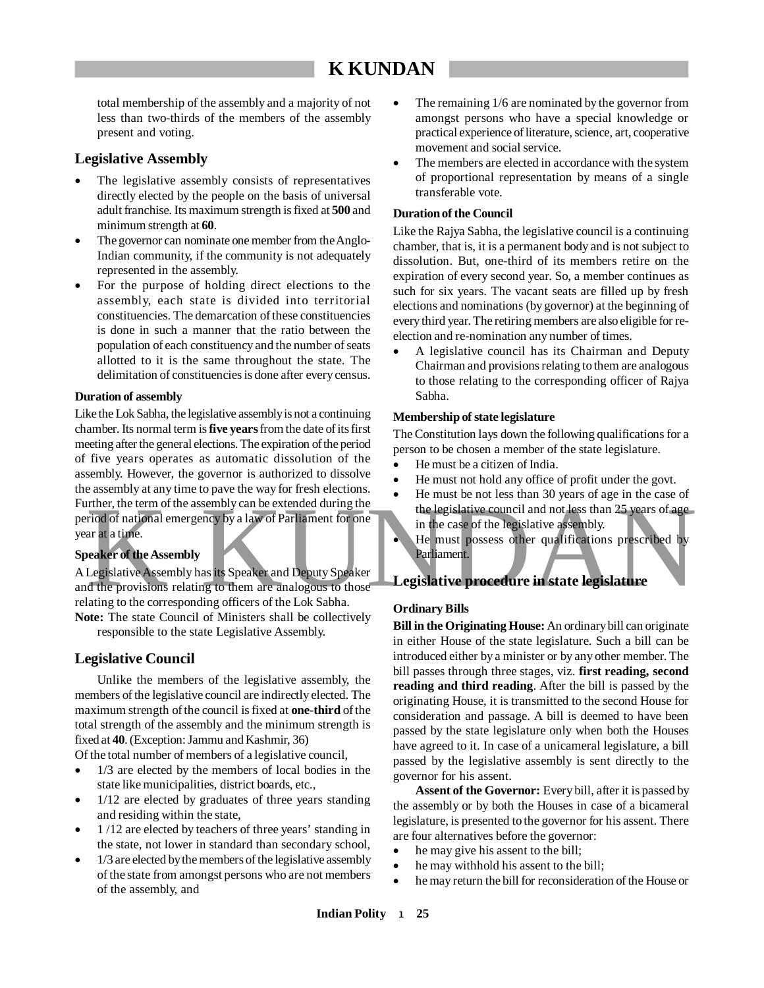total membership of the assembly and a majority of not less than two-thirds of the members of the assembly present and voting.

#### **Legislative Assembly**

- The legislative assembly consists of representatives directly elected by the people on the basis of universal adult franchise. Its maximum strength is fixed at **500** and minimum strength at **60**.
- The governor can nominate one member from the Anglo-Indian community, if the community is not adequately represented in the assembly.
- For the purpose of holding direct elections to the assembly, each state is divided into territorial constituencies. The demarcation of these constituencies is done in such a manner that the ratio between the population of each constituency and the number of seats allotted to it is the same throughout the state. The delimitation of constituencies is done after every census.

#### **Duration of assembly**

Like the Lok Sabha, the legislative assembly is not a continuing chamber. Its normal term is **five years** from the date of its first meeting after the general elections. The expiration of the period of five years operates as automatic dissolution of the assembly. However, the governor is authorized to dissolve the assembly at any time to pave the way for fresh elections. Further, the term of the assembly can be extended during the period of national emergency by a law of Parliament for one year at a time.

#### **Speaker of the Assembly**

The term of the assembly can be extended during the<br>
Fridd of national emergency by a law of Parliament for one<br>
are at a time.<br>
Regislative Assembly<br>
Legislative Assembly<br>
Legislative Assembly<br>
Legislative Assembly has it A Legislative Assembly has its Speaker and Deputy Speaker and the provisions relating to them are analogous to those relating to the corresponding officers of the Lok Sabha. **Note:** The state Council of Ministers shall be collectively

responsible to the state Legislative Assembly.

#### **Legislative Council**

Unlike the members of the legislative assembly, the members of the legislative council are indirectly elected. The maximum strength of the council is fixed at **one-third** of the total strength of the assembly and the minimum strength is fixed at **40**. (Exception: Jammu and Kashmir, 36)

Of the total number of members of a legislative council,

- 1/3 are elected by the members of local bodies in the state like municipalities, district boards, etc.,
- 1/12 are elected by graduates of three years standing and residing within the state,
- 1/12 are elected by teachers of three years' standing in the state, not lower in standard than secondary school,
- 1/3 are elected by the members of the legislative assembly of the state from amongst persons who are not members of the assembly, and
- The remaining 1/6 are nominated by the governor from amongst persons who have a special knowledge or practical experience of literature, science, art, cooperative movement and social service.
- The members are elected in accordance with the system of proportional representation by means of a single transferable vote.

#### **Duration of the Council**

Like the Rajya Sabha, the legislative council is a continuing chamber, that is, it is a permanent body and is not subject to dissolution. But, one-third of its members retire on the expiration of every second year. So, a member continues as such for six years. The vacant seats are filled up by fresh elections and nominations (by governor) at the beginning of every third year. The retiring members are also eligible for reelection and re-nomination any number of times.

 A legislative council has its Chairman and Deputy Chairman and provisions relating to them are analogous to those relating to the corresponding officer of Rajya Sabha.

#### **Membership of state legislature**

The Constitution lays down the following qualifications for a person to be chosen a member of the state legislature.

- He must be a citizen of India.
- He must not hold any office of profit under the govt.
- He must be not less than 30 years of age in the case of the legislative council and not less than 25 years of age in the case of the legislative assembly.
- He must possess other qualifications prescribed by Parliament.

#### **Legislative procedure in state legislature**

#### **Ordinary Bills**

**Bill in the Originating House:** An ordinary bill can originate in either House of the state legislature. Such a bill can be introduced either by a minister or by any other member. The bill passes through three stages, viz. **first reading, second reading and third reading**. After the bill is passed by the originating House, it is transmitted to the second House for consideration and passage. A bill is deemed to have been passed by the state legislature only when both the Houses have agreed to it. In case of a unicameral legislature, a bill passed by the legislative assembly is sent directly to the governor for his assent.

**Assent of the Governor:** Every bill, after it is passed by the assembly or by both the Houses in case of a bicameral legislature, is presented to the governor for his assent. There are four alternatives before the governor:

- he may give his assent to the bill;
- he may withhold his assent to the bill;
- he may return the bill for reconsideration of the House or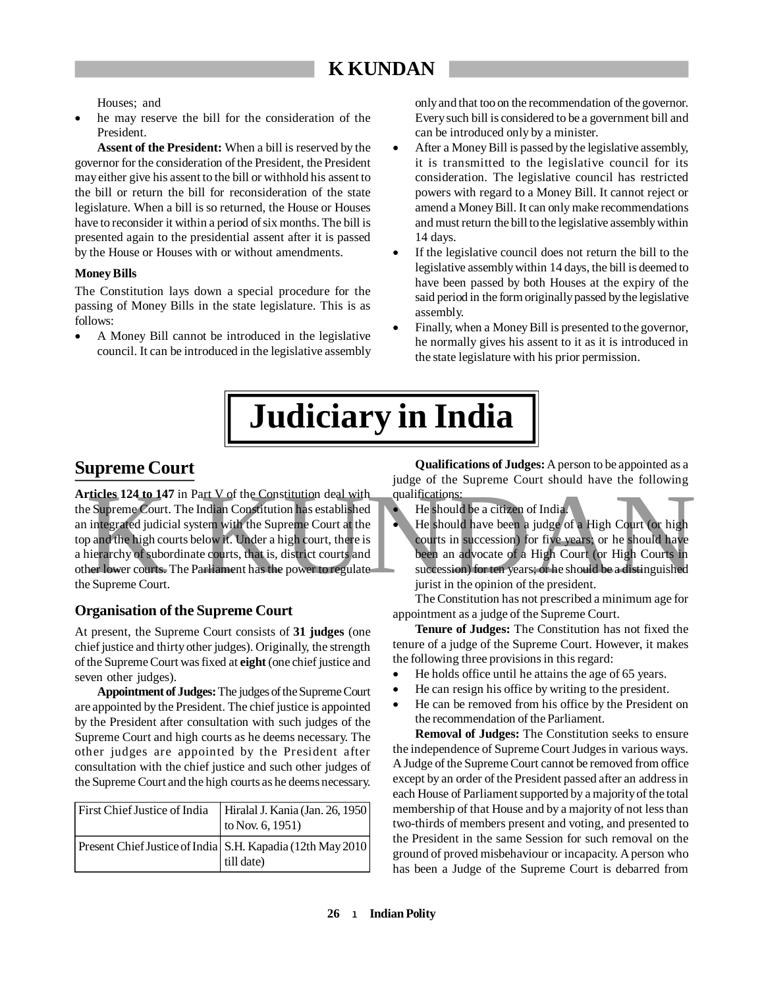Houses; and

 he may reserve the bill for the consideration of the President.

**Assent of the President:** When a bill is reserved by the governor for the consideration of the President, the President may either give his assent to the bill or withhold his assent to the bill or return the bill for reconsideration of the state legislature. When a bill is so returned, the House or Houses have to reconsider it within a period of six months. The bill is presented again to the presidential assent after it is passed by the House or Houses with or without amendments.

#### **Money Bills**

The Constitution lays down a special procedure for the passing of Money Bills in the state legislature. This is as follows:

 A Money Bill cannot be introduced in the legislative council. It can be introduced in the legislative assembly only and that too on the recommendation of the governor. Every such bill is considered to be a government bill and can be introduced only by a minister.

- After a Money Bill is passed by the legislative assembly, it is transmitted to the legislative council for its consideration. The legislative council has restricted powers with regard to a Money Bill. It cannot reject or amend a Money Bill. It can only make recommendations and must return the bill to the legislative assembly within 14 days.
- If the legislative council does not return the bill to the legislative assembly within 14 days, the bill is deemed to have been passed by both Houses at the expiry of the said period in the form originally passed by the legislative assembly.
- Finally, when a Money Bill is presented to the governor, he normally gives his assent to it as it is introduced in the state legislature with his prior permission.

## **Judiciary in India**

### **Supreme Court**

Friedes 124 to 147 in Part V of the Constitution deal with<br>
E Supreme Court. The Indian Constitution has established<br>
integrated judicial system with the Supreme Court at the<br>
p and the high courts below it. Under a high c **Articles 124 to 147** in Part V of the Constitution deal with the Supreme Court. The Indian Constitution has established an integrated judicial system with the Supreme Court at the top and the high courts below it. Under a high court, there is a hierarchy of subordinate courts, that is, district courts and other lower courts. The Parliament has the power to regulate the Supreme Court.

#### **Organisation of the Supreme Court**

At present, the Supreme Court consists of **31 judges** (one chief justice and thirty other judges). Originally, the strength of the Supreme Court was fixed at **eight** (one chief justice and seven other judges).

**Appointment of Judges:** The judges of the Supreme Court are appointed by the President. The chief justice is appointed by the President after consultation with such judges of the Supreme Court and high courts as he deems necessary. The other judges are appointed by the President after consultation with the chief justice and such other judges of the Supreme Court and the high courts as he deems necessary.

| First Chief Justice of India | Hiralal J. Kania (Jan. 26, 1950)<br>to Nov. 6, 1951)                        |
|------------------------------|-----------------------------------------------------------------------------|
|                              | Present Chief Justice of India   S.H. Kapadia (12th May 2010)<br>till date) |

**Qualifications of Judges:** A person to be appointed as a judge of the Supreme Court should have the following qualifications:

- He should be a citizen of India.
- He should have been a judge of a High Court (or high courts in succession) for five years; or he should have been an advocate of a High Court (or High Courts in succession) for ten years; or he should be a distinguished jurist in the opinion of the president.

The Constitution has not prescribed a minimum age for appointment as a judge of the Supreme Court.

**Tenure of Judges:** The Constitution has not fixed the tenure of a judge of the Supreme Court. However, it makes the following three provisions in this regard:

- He holds office until he attains the age of 65 years.
- He can resign his office by writing to the president.
- He can be removed from his office by the President on the recommendation of the Parliament.

**Removal of Judges:** The Constitution seeks to ensure the independence of Supreme Court Judges in various ways. A Judge of the Supreme Court cannot be removed from office except by an order of the President passed after an address in each House of Parliament supported by a majority of the total membership of that House and by a majority of not less than two-thirds of members present and voting, and presented to the President in the same Session for such removal on the ground of proved misbehaviour or incapacity. A person who has been a Judge of the Supreme Court is debarred from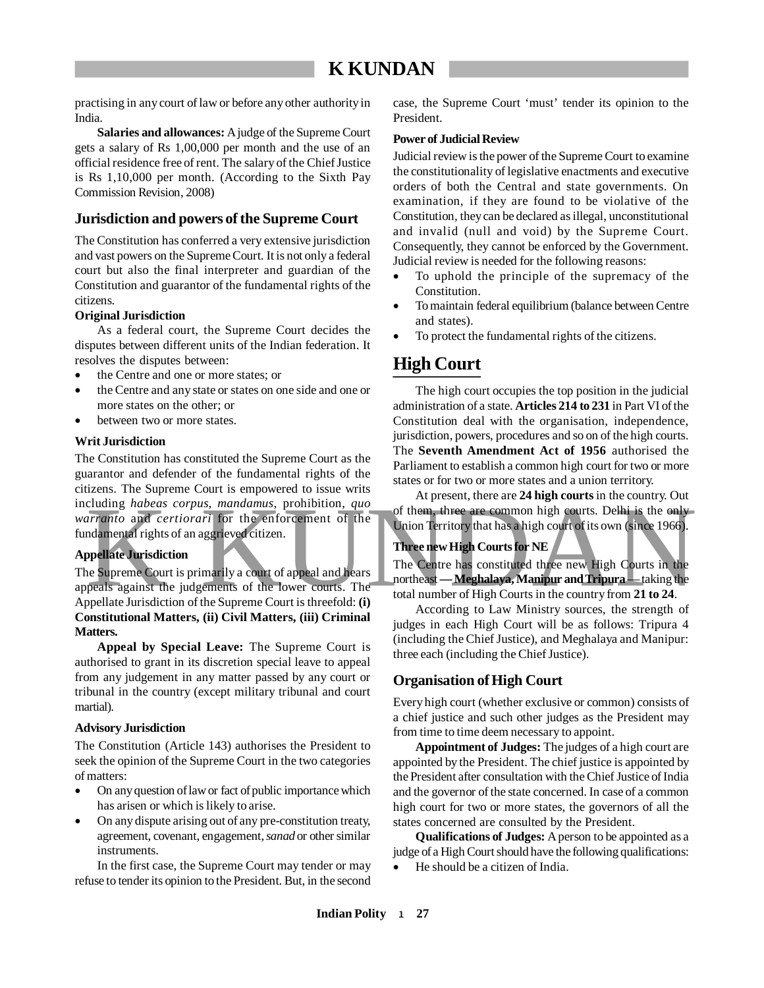practising in any court of law or before any other authority in India.

**Salaries and allowances:** A judge of the Supreme Court gets a salary of Rs 1,00,000 per month and the use of an official residence free of rent. The salary of the Chief Justice is Rs 1,10,000 per month. (According to the Sixth Pay Commission Revision, 2008)

#### **Jurisdiction and powers of the Supreme Court**

The Constitution has conferred a very extensive jurisdiction and vast powers on the Supreme Court. It is not only a federal court but also the final interpreter and guardian of the Constitution and guarantor of the fundamental rights of the citizens.

#### **Original Jurisdiction**

As a federal court, the Supreme Court decides the disputes between different units of the Indian federation. It resolves the disputes between:

- the Centre and one or more states; or
- the Centre and any state or states on one side and one or more states on the other; or
- between two or more states.

#### **Writ Jurisdiction**

The Constitution has constituted the Supreme Court as the guarantor and defender of the fundamental rights of the citizens. The Supreme Court is empowered to issue writs including *habeas corpus, mandamus,* prohibition, *quo warranto* and *certiorari* for the enforcement of the fundamental rights of an aggrieved citizen.

#### **Appellate Jurisdiction**

Contrast and Certiorari for the enforcement of the common high courts. Delhi is the only<br>
ndamental rights of an aggrieved citizen.<br>
The centre are common high courts. Delhi is the only<br>
ndamental rights of an aggrieved ci The Supreme Court is primarily a court of appeal and hears appeals against the judgements of the lower courts. The Appellate Jurisdiction of the Supreme Court is threefold: **(i) Constitutional Matters, (ii) Civil Matters, (iii) Criminal Matters.**

**Appeal by Special Leave:** The Supreme Court is authorised to grant in its discretion special leave to appeal from any judgement in any matter passed by any court or tribunal in the country (except military tribunal and court martial).

#### **Advisory Jurisdiction**

The Constitution (Article 143) authorises the President to seek the opinion of the Supreme Court in the two categories of matters:

- On any question of law or fact of public importance which has arisen or which is likely to arise.
- On any dispute arising out of any pre-constitution treaty, agreement, covenant, engagement, *sanad* or other similar instruments.

In the first case, the Supreme Court may tender or may refuse to tender its opinion to the President. But, in the second case, the Supreme Court 'must' tender its opinion to the President.

#### **Power of Judicial Review**

Judicial review is the power of the Supreme Court to examine the constitutionality of legislative enactments and executive orders of both the Central and state governments. On examination, if they are found to be violative of the Constitution*,* they can be declared as illegal, unconstitutional and invalid (null and void) by the Supreme Court. Consequently, they cannot be enforced by the Government. Judicial review is needed for the following reasons:

- To uphold the principle of the supremacy of the Constitution.
- To maintain federal equilibrium (balance between Centre and states).
- To protect the fundamental rights of the citizens.

### **High Court**

The high court occupies the top position in the judicial administration of a state. **Articles 214 to 231** in Part VI of the Constitution deal with the organisation, independence, jurisdiction, powers, procedures and so on of the high courts. The **Seventh Amendment Act of 1956** authorised the Parliament to establish a common high court for two or more states or for two or more states and a union territory.

At present, there are **24 high courts** in the country. Out of them, three are common high courts. Delhi is the only Union Territory that has a high court of its own (since 1966).

#### **Three new High Courts for NE**

The Centre has constituted three new High Courts in the northeast **— Meghalaya, Manipur and Tripura** — taking the total number of High Courts in the country from **21 to 24**.

According to Law Ministry sources, the strength of judges in each High Court will be as follows: Tripura 4 (including the Chief Justice), and Meghalaya and Manipur: three each (including the Chief Justice).

#### **Organisation of High Court**

Every high court (whether exclusive or common) consists of a chief justice and such other judges as the President may from time to time deem necessary to appoint.

**Appointment of Judges:** The judges of a high court are appointed by the President. The chief justice is appointed by the President after consultation with the Chief Justice of India and the governor of the state concerned. In case of a common high court for two or more states, the governors of all the states concerned are consulted by the President.

**Qualifications of Judges:** A person to be appointed as a judge of a High Court should have the following qualifications:

He should be a citizen of India.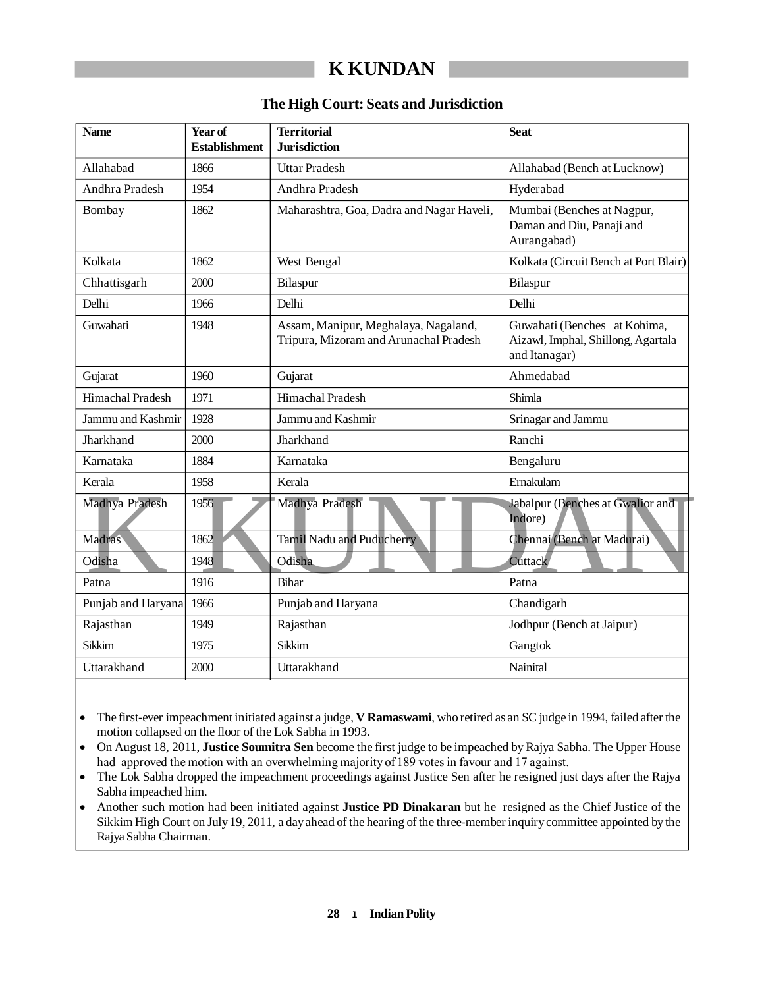#### **The High Court: Seats and Jurisdiction**

| <b>Name</b>        | Year of<br><b>Establishment</b> | <b>Territorial</b><br><b>Jurisdiction</b>                                      | <b>Seat</b>                                                                         |
|--------------------|---------------------------------|--------------------------------------------------------------------------------|-------------------------------------------------------------------------------------|
| Allahabad          | 1866                            | <b>Uttar Pradesh</b>                                                           | Allahabad (Bench at Lucknow)                                                        |
| Andhra Pradesh     | 1954                            | Andhra Pradesh                                                                 | Hyderabad                                                                           |
| Bombay             | 1862                            | Maharashtra, Goa, Dadra and Nagar Haveli,                                      | Mumbai (Benches at Nagpur,<br>Daman and Diu, Panaji and<br>Aurangabad)              |
| Kolkata            | 1862                            | West Bengal                                                                    | Kolkata (Circuit Bench at Port Blair)                                               |
| Chhattisgarh       | 2000                            | Bilaspur                                                                       | Bilaspur                                                                            |
| Delhi              | 1966                            | Delhi                                                                          | Delhi                                                                               |
| Guwahati           | 1948                            | Assam, Manipur, Meghalaya, Nagaland,<br>Tripura, Mizoram and Arunachal Pradesh | Guwahati (Benches at Kohima,<br>Aizawl, Imphal, Shillong, Agartala<br>and Itanagar) |
| Gujarat            | 1960                            | Gujarat                                                                        | Ahmedabad                                                                           |
| Himachal Pradesh   | 1971                            | Himachal Pradesh                                                               | Shimla                                                                              |
| Jammu and Kashmir  | 1928                            | Jammu and Kashmir                                                              | Srinagar and Jammu                                                                  |
| Jharkhand          | 2000                            | Jharkhand                                                                      | Ranchi                                                                              |
| Karnataka          | 1884                            | Karnataka                                                                      | Bengaluru                                                                           |
| Kerala             | 1958                            | Kerala                                                                         | Ernakulam                                                                           |
| Madhya Pradesh     | 1956                            | Madhya Pradesh                                                                 | Jabalpur (Benches at Gwalior and)<br>Indore)                                        |
| Madras             | 1862                            | Tamil Nadu and Puducherry                                                      | Chennai (Bench at Madurai)                                                          |
| Odisha             | 1948                            | Odisha                                                                         | Cuttack                                                                             |
| Patna              | 1916                            | Bihar                                                                          | Patna                                                                               |
| Punjab and Haryana | 1966                            | Punjab and Haryana                                                             | Chandigarh                                                                          |
| Rajasthan          | 1949                            | Rajasthan                                                                      | Jodhpur (Bench at Jaipur)                                                           |
| Sikkim             | 1975                            | Sikkim                                                                         | Gangtok                                                                             |
| Uttarakhand        | 2000                            | Uttarakhand                                                                    | Nainital                                                                            |

- The first-ever impeachment initiated against a judge, **V Ramaswami**, who retired as an SC judge in 1994, failed after the motion collapsed on the floor of the Lok Sabha in 1993.
- On August 18, 2011, **Justice Soumitra Sen** become the first judge to be impeached by Rajya Sabha. The Upper House had approved the motion with an overwhelming majority of 189 votes in favour and 17 against.
- The Lok Sabha dropped the impeachment proceedings against Justice Sen after he resigned just days after the Rajya Sabha impeached him.
- Another such motion had been initiated against **Justice PD Dinakaran** but he resigned as the Chief Justice of the Sikkim High Court on July 19, 2011, a day ahead of the hearing of the three-member inquiry committee appointed by the Rajya Sabha Chairman.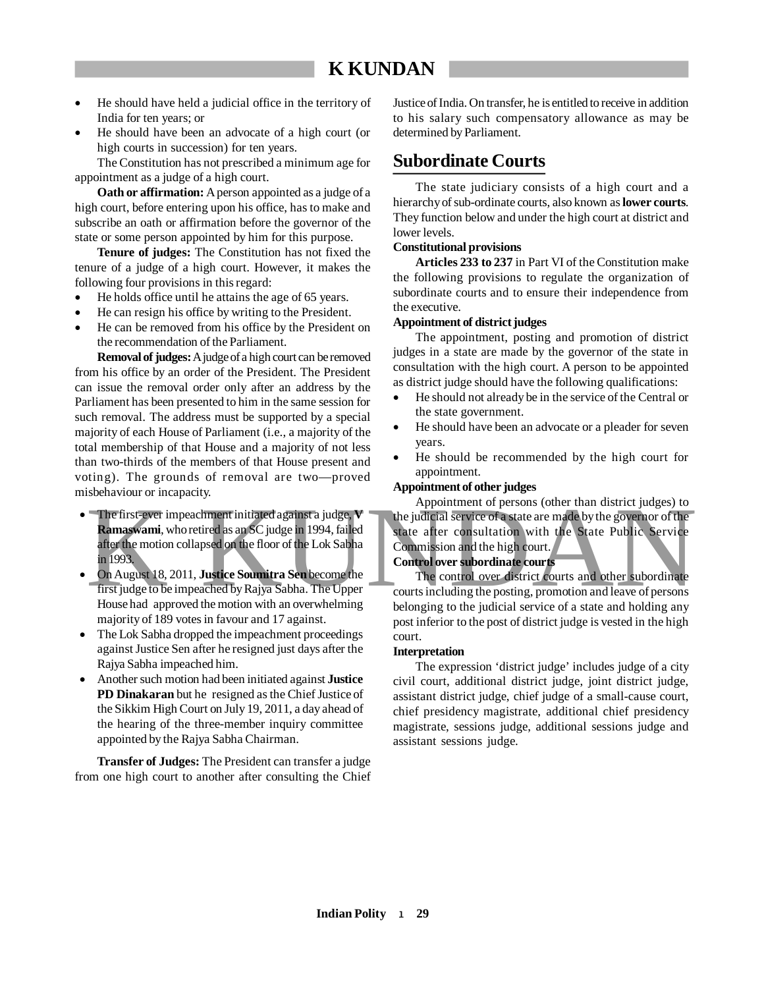- He should have held a judicial office in the territory of India for ten years; or
- He should have been an advocate of a high court (or high courts in succession) for ten years.

The Constitution has not prescribed a minimum age for appointment as a judge of a high court.

**Oath or affirmation:** A person appointed as a judge of a high court, before entering upon his office, has to make and subscribe an oath or affirmation before the governor of the state or some person appointed by him for this purpose.

**Tenure of judges:** The Constitution has not fixed the tenure of a judge of a high court. However, it makes the following four provisions in this regard:

- He holds office until he attains the age of 65 years.
- He can resign his office by writing to the President.
- He can be removed from his office by the President on the recommendation of the Parliament.

**Removal of judges:** A judge of a high court can be removed from his office by an order of the President. The President can issue the removal order only after an address by the Parliament has been presented to him in the same session for such removal. The address must be supported by a special majority of each House of Parliament (i.e., a majority of the total membership of that House and a majority of not less than two-thirds of the members of that House present and voting). The grounds of removal are two—proved misbehaviour or incapacity.

- The first-ever impeachment initiated against a judge, **V Ramaswami**, who retired as an SC judge in 1994, failed after the motion collapsed on the floor of the Lok Sabha in 1993.
- On August 18, 2011, **Justice Soumitra Sen** become the first judge to be impeached by Rajya Sabha. The Upper House had approved the motion with an overwhelming majority of 189 votes in favour and 17 against.
- The Lok Sabha dropped the impeachment proceedings against Justice Sen after he resigned just days after the Rajya Sabha impeached him.
- Another such motion had been initiated against **Justice PD Dinakaran** but he resigned as the Chief Justice of the Sikkim High Court on July 19, 2011, a day ahead of the hearing of the three-member inquiry committee appointed by the Rajya Sabha Chairman.

**Transfer of Judges:** The President can transfer a judge from one high court to another after consulting the Chief Justice of India. On transfer, he is entitled to receive in addition to his salary such compensatory allowance as may be determined by Parliament.

#### **Subordinate Courts**

The state judiciary consists of a high court and a hierarchy of sub-ordinate courts, also known as **lower courts**. They function below and under the high court at district and lower levels.

#### **Constitutional provisions**

**Articles 233 to 237** in Part VI of the Constitution make the following provisions to regulate the organization of subordinate courts and to ensure their independence from the executive.

#### **Appointment of district judges**

The appointment, posting and promotion of district judges in a state are made by the governor of the state in consultation with the high court. A person to be appointed as district judge should have the following qualifications:

- He should not already be in the service of the Central or the state government.
- He should have been an advocate or a pleader for seven years.
- He should be recommended by the high court for appointment.

#### **Appointment of other judges**

Appointment of persons (other than district judges) to<br> **Ramaswami**, who retired as an SC judge in 1994, failed<br>
after the motion collapsed on the floor of the Lok Sabha<br>
in 1993.<br>
On August 18, 2011, Justice Soumitra Sen Appointment of persons (other than district judges) to the judicial service of a state are made by the governor of the state after consultation with the State Public Service Commission and the high court.

#### **Control over subordinate courts**

The control over district courts and other subordinate courts including the posting, promotion and leave of persons belonging to the judicial service of a state and holding any post inferior to the post of district judge is vested in the high court.

#### **Interpretation**

The expression 'district judge' includes judge of a city civil court, additional district judge, joint district judge, assistant district judge, chief judge of a small-cause court, chief presidency magistrate, additional chief presidency magistrate, sessions judge, additional sessions judge and assistant sessions judge.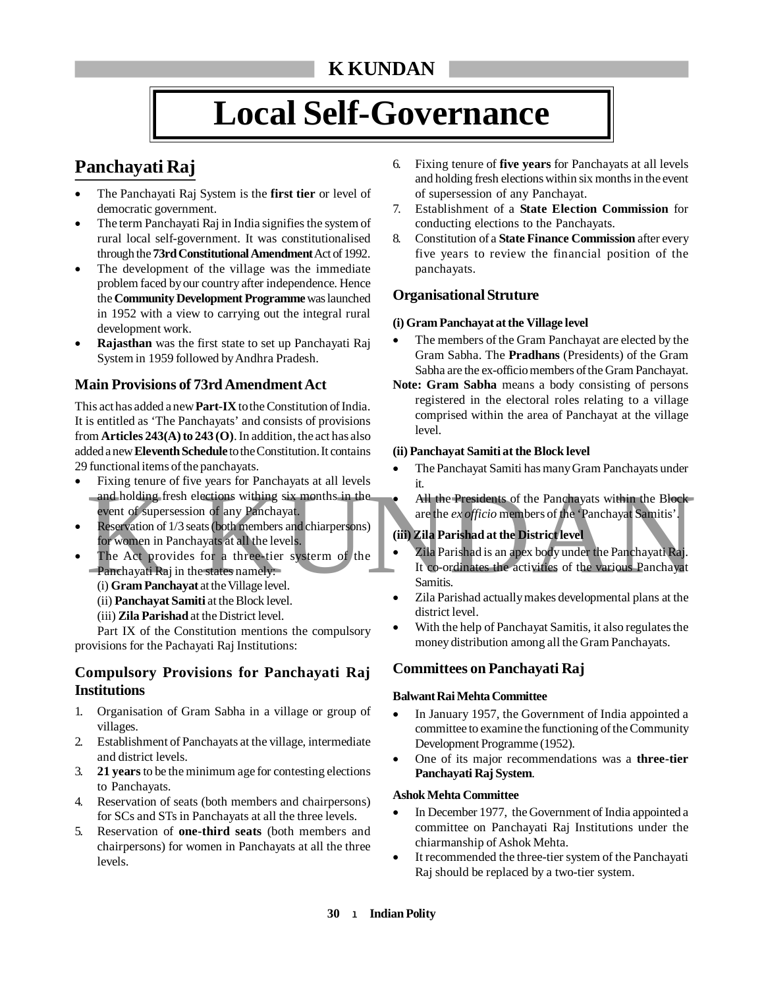## **Local Self-Governance**

### **Panchayati Raj**

- The Panchayati Raj System is the **first tier** or level of democratic government.
- The term Panchayati Raj in India signifies the system of rural local self-government. It was constitutionalised through the **73rd Constitutional Amendment** Act of 1992.
- The development of the village was the immediate problem faced by our country after independence. Hence the **Community Development Programme** was launched in 1952 with a view to carrying out the integral rural development work.
- **Rajasthan** was the first state to set up Panchayati Raj System in 1959 followed by Andhra Pradesh.

#### **Main Provisions of 73rd Amendment Act**

This act has added a new **Part-IX** to the Constitution of India. It is entitled as 'The Panchayats' and consists of provisions from **Articles 243(A) to 243 (O)**. In addition, the act has also added a new **Eleventh Schedule** to the Constitution. It contains 29 functional items of the panchayats.

- Fixing tenure of five years for Panchayats at all levels and holding fresh elections withing six months in the event of supersession of any Panchayat.
- Reservation of 1/3 seats (both members and chiarpersons) for women in Panchayats at all the levels.
- The Act provides for a three-tier systerm of the Panchayati Raj in the states namely:
	- (i) **Gram Panchayat** at the Village level.
	- (ii) **Panchayat Samiti** at the Block level.
	- (iii) **Zila Parishad** at the District level.

Part IX of the Constitution mentions the compulsory provisions for the Pachayati Raj Institutions:

#### **Compulsory Provisions for Panchayati Raj Institutions**

- 1. Organisation of Gram Sabha in a village or group of villages.
- 2. Establishment of Panchayats at the village, intermediate and district levels.
- 3. **21 years** to be the minimum age for contesting elections to Panchayats.
- 4. Reservation of seats (both members and chairpersons) for SCs and STs in Panchayats at all the three levels.
- 5. Reservation of **one-third seats** (both members and chairpersons) for women in Panchayats at all the three levels.
- 6. Fixing tenure of **five years** for Panchayats at all levels and holding fresh elections within six months in the event of supersession of any Panchayat.
- 7. Establishment of a **State Election Commission** for conducting elections to the Panchayats.
- 8. Constitution of a **State Finance Commission** after every five years to review the financial position of the panchayats.

#### **Organisational Struture**

#### **(i) Gram Panchayat at the Village level**

- The members of the Gram Panchayat are elected by the Gram Sabha. The **Pradhans** (Presidents) of the Gram Sabha are the ex-officio members of the Gram Panchayat.
- **Note: Gram Sabha** means a body consisting of persons registered in the electoral roles relating to a village comprised within the area of Panchayat at the village level.

#### **(ii) Panchayat Samiti at the Block level**

- The Panchayat Samiti has many Gram Panchayats under it.
- All the Presidents of the Panchayats within the Block are the *ex officio* members of the 'Panchayat Samitis'.

#### **(iii) Zila Parishad at the District level**

- and holding fresh elections withing six months in the<br>
event of supersession of any Panchayat.<br>
Reservation of 1/3 seats (both members and chiarpersons)<br>
for women in Panchayats at all the levels.<br>
The Act provides for a t Zila Parishad is an apex body under the Panchayati Raj. It co-ordinates the activities of the various Panchayat Samitis.
	- Zila Parishad actually makes developmental plans at the district level.
	- With the help of Panchayat Samitis, it also regulates the money distribution among all the Gram Panchayats.

#### **Committees on Panchayati Raj**

#### **Balwant Rai Mehta Committee**

- In January 1957, the Government of India appointed a committee to examine the functioning of the Community Development Programme (1952).
- One of its major recommendations was a **three-tier Panchayati Raj System**.

#### **Ashok Mehta Committee**

- In December 1977, the Government of India appointed a committee on Panchayati Raj Institutions under the chiarmanship of Ashok Mehta.
- It recommended the three-tier system of the Panchayati Raj should be replaced by a two-tier system.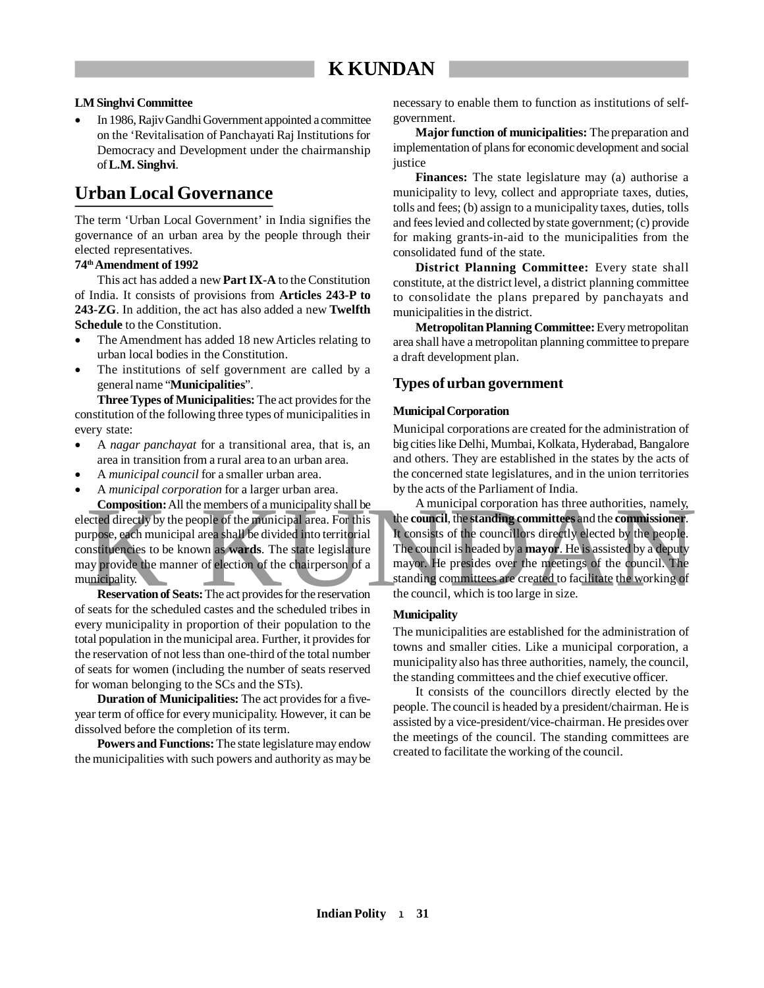#### **LM Singhvi Committee**

 In 1986, Rajiv Gandhi Government appointed a committee on the 'Revitalisation of Panchayati Raj Institutions for Democracy and Development under the chairmanship of **L.M. Singhvi**.

#### **Urban Local Governance**

The term 'Urban Local Government' in India signifies the governance of an urban area by the people through their elected representatives.

#### **74th Amendment of 1992**

This act has added a new **Part IX-A** to the Constitution of India. It consists of provisions from **Articles 243-P to 243-ZG**. In addition, the act has also added a new **Twelfth Schedule** to the Constitution.

- The Amendment has added 18 new Articles relating to urban local bodies in the Constitution.
- The institutions of self government are called by a general name "**Municipalities**".

**Three Types of Municipalities:** The act provides for the constitution of the following three types of municipalities in every state:

- A *nagar panchayat* for a transitional area, that is, an area in transition from a rural area to an urban area.
- A *municipal council* for a smaller urban area.
- A *municipal corporation* for a larger urban area.

**Composition:** All the members of a municipality shall be elected directly by the people of the municipal area. For this purpose, each municipal area shall be divided into territorial constituencies to be known as **wards**. The state legislature may provide the manner of election of the chairperson of a municipality.

**Reservation of Seats:** The act provides for the reservation of seats for the scheduled castes and the scheduled tribes in every municipality in proportion of their population to the total population in the municipal area. Further, it provides for the reservation of not less than one-third of the total number of seats for women (including the number of seats reserved for woman belonging to the SCs and the STs).

**Duration of Municipalities:** The act provides for a fiveyear term of office for every municipality. However, it can be dissolved before the completion of its term.

**Powers and Functions:** The state legislature may endow the municipalities with such powers and authority as may be necessary to enable them to function as institutions of selfgovernment.

**Major function of municipalities:** The preparation and implementation of plans for economic development and social justice

**Finances:** The state legislature may (a) authorise a municipality to levy, collect and appropriate taxes, duties, tolls and fees; (b) assign to a municipality taxes, duties, tolls and fees levied and collected by state government; (c) provide for making grants-in-aid to the municipalities from the consolidated fund of the state.

**District Planning Committee:** Every state shall constitute, at the district level, a district planning committee to consolidate the plans prepared by panchayats and municipalities in the district.

**Metropolitan Planning Committee:** Every metropolitan area shall have a metropolitan planning committee to prepare a draft development plan.

#### **Types of urban government**

#### **Municipal Corporation**

Municipal corporations are created for the administration of big cities like Delhi, Mumbai, Kolkata, Hyderabad, Bangalore and others. They are established in the states by the acts of the concerned state legislatures, and in the union territories by the acts of the Parliament of India.

**Composition:** All the members of a municipality shall be<br>
ected directly by the people of the municipal area. For this<br>
the **council**, the **standing committees** and the **commissioner**.<br>
The state legislature<br>
and the coun A municipal corporation has three authorities, namely, the **council**, the **standing committees** and the **commissioner**. It consists of the councillors directly elected by the people. The council is headed by a **mayor**. He is assisted by a deputy mayor. He presides over the meetings of the council. The standing committees are created to facilitate the working of the council, which is too large in size.

#### **Municipality**

The municipalities are established for the administration of towns and smaller cities. Like a municipal corporation, a municipality also has three authorities, namely, the council, the standing committees and the chief executive officer.

It consists of the councillors directly elected by the people. The council is headed by a president/chairman. He is assisted by a vice-president/vice-chairman. He presides over the meetings of the council. The standing committees are created to facilitate the working of the council.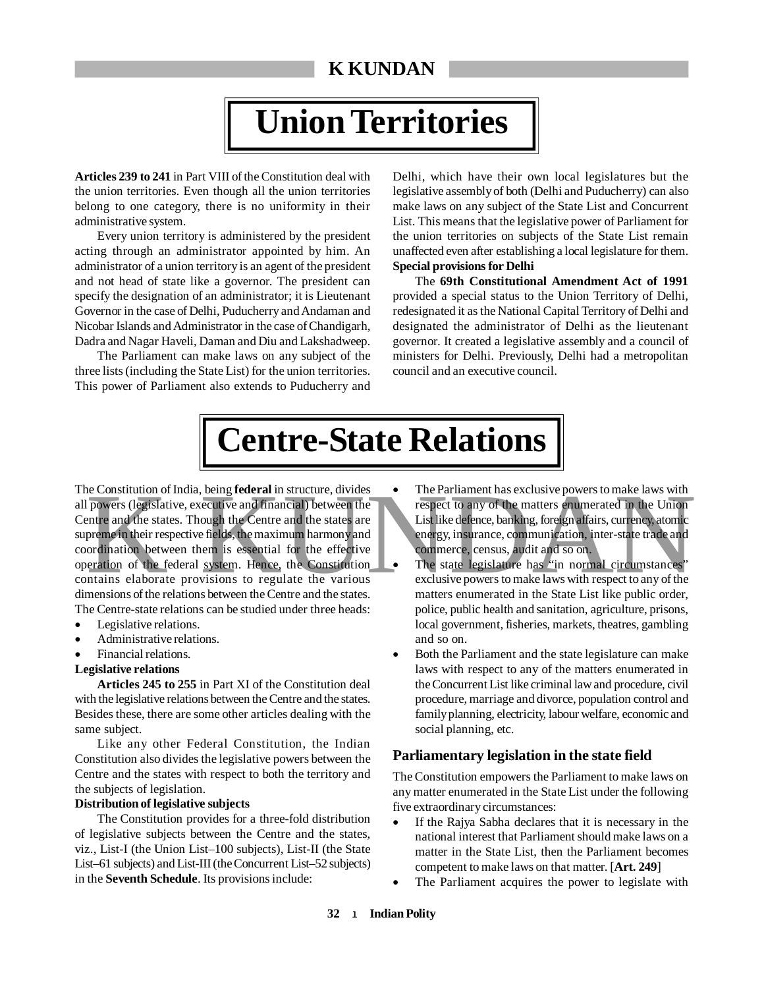## **Union Territories**

**Articles 239 to 241** in Part VIII of the Constitution deal with the union territories. Even though all the union territories belong to one category, there is no uniformity in their administrative system.

Every union territory is administered by the president acting through an administrator appointed by him. An administrator of a union territory is an agent of the president and not head of state like a governor. The president can specify the designation of an administrator; it is Lieutenant Governor in the case of Delhi, Puducherry and Andaman and Nicobar Islands and Administrator in the case of Chandigarh, Dadra and Nagar Haveli, Daman and Diu and Lakshadweep.

The Parliament can make laws on any subject of the three lists (including the State List) for the union territories. This power of Parliament also extends to Puducherry and Delhi, which have their own local legislatures but the legislative assembly of both (Delhi and Puducherry) can also make laws on any subject of the State List and Concurrent List. This means that the legislative power of Parliament for the union territories on subjects of the State List remain unaffected even after establishing a local legislature for them. **Special provisions for Delhi**

The **69th Constitutional Amendment Act of 1991** provided a special status to the Union Territory of Delhi, redesignated it as the National Capital Territory of Delhi and designated the administrator of Delhi as the lieutenant governor. It created a legislative assembly and a council of ministers for Delhi. Previously, Delhi had a metropolitan council and an executive council.

## **Centre-State Relations**

The Parliament has exclusive powers to make laws with<br>
The Parliament has exclusive powers to make laws with<br>
The Parliament has exclusive powers to make laws with<br>
The Parliament has exclusive powers to make laws with<br>
Th The Constitution of India, being **federal** in structure, divides all powers (legislative, executive and financial) between the Centre and the states. Though the Centre and the states are supreme in their respective fields, the maximum harmony and coordination between them is essential for the effective operation of the federal system. Hence, the Constitution contains elaborate provisions to regulate the various dimensions of the relations between the Centre and the states. The Centre-state relations can be studied under three heads:

- Legislative relations.
- Administrative relations.
- Financial relations.

#### **Legislative relations**

**Articles 245 to 255** in Part XI of the Constitution deal with the legislative relations between the Centre and the states. Besides these, there are some other articles dealing with the same subject.

Like any other Federal Constitution, the Indian Constitution also divides the legislative powers between the Centre and the states with respect to both the territory and the subjects of legislation.

#### **Distribution of legislative subjects**

The Constitution provides for a three-fold distribution of legislative subjects between the Centre and the states, viz., List-I (the Union List–100 subjects), List-II (the State List–61 subjects) and List-III (the Concurrent List–52 subjects) in the **Seventh Schedule**. Its provisions include:

- The Parliament has exclusive powers to make laws with respect to any of the matters enumerated in the Union List like defence, banking, foreign affairs, currency, atomic energy, insurance, communication, inter-state trade and commerce, census, audit and so on.
- The state legislature has "in normal circumstances" exclusive powers to make laws with respect to any of the matters enumerated in the State List like public order, police, public health and sanitation, agriculture, prisons, local government, fisheries, markets, theatres, gambling and so on.
- Both the Parliament and the state legislature can make laws with respect to any of the matters enumerated in the Concurrent List like criminal law and procedure, civil procedure, marriage and divorce, population control and family planning, electricity, labour welfare, economic and social planning, etc.

#### **Parliamentary legislation in the state field**

The Constitution empowers the Parliament to make laws on any matter enumerated in the State List under the following five extraordinary circumstances:

- If the Rajya Sabha declares that it is necessary in the national interest that Parliament should make laws on a matter in the State List, then the Parliament becomes competent to make laws on that matter. [**Art. 249**]
- The Parliament acquires the power to legislate with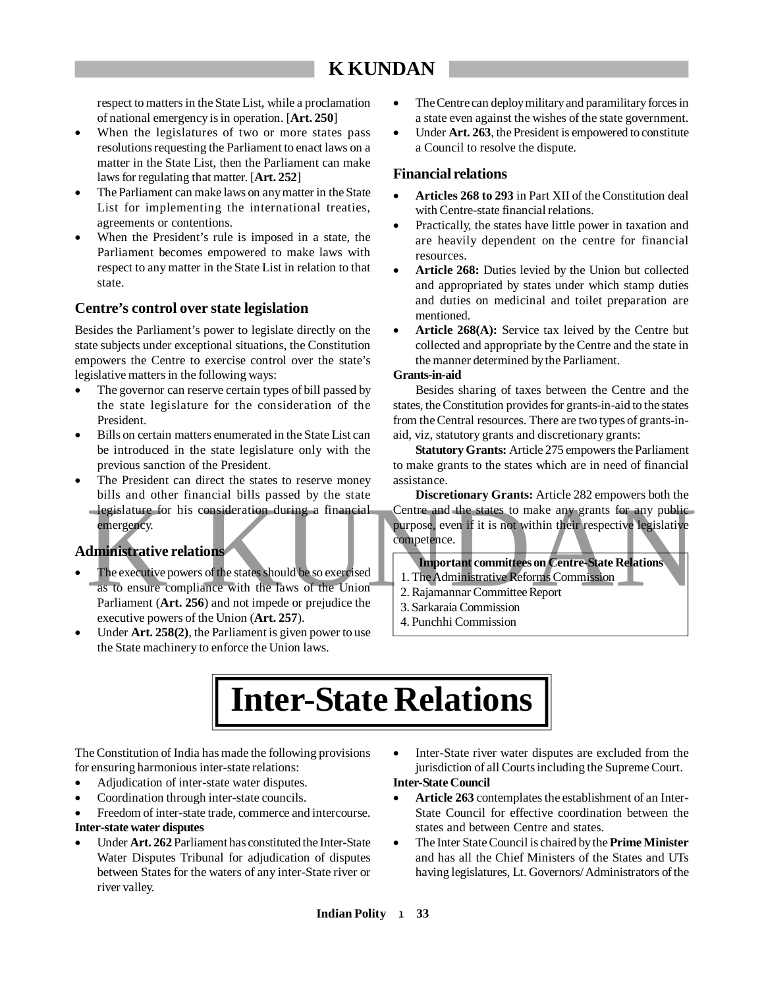respect to matters in the State List, while a proclamation of national emergency is in operation. [**Art. 250**]

- When the legislatures of two or more states pass resolutions requesting the Parliament to enact laws on a matter in the State List, then the Parliament can make laws for regulating that matter. [**Art. 252**]
- The Parliament can make laws on any matter in the State List for implementing the international treaties, agreements or contentions.
- When the President's rule is imposed in a state, the Parliament becomes empowered to make laws with respect to any matter in the State List in relation to that state.

#### **Centre's control over state legislation**

Besides the Parliament's power to legislate directly on the state subjects under exceptional situations, the Constitution empowers the Centre to exercise control over the state's legislative matters in the following ways:

- The governor can reserve certain types of bill passed by the state legislature for the consideration of the President.
- Bills on certain matters enumerated in the State List can be introduced in the state legislature only with the previous sanction of the President.
- The President can direct the states to reserve money bills and other financial bills passed by the state legislature for his consideration during a financial emergency.

#### **Administrative relations**

- The executive powers of the states should be so exercised as to ensure compliance with the laws of the Union Parliament (**Art. 256**) and not impede or prejudice the executive powers of the Union (**Art. 257**).
- Under **Art. 258(2)**, the Parliament is given power to use the State machinery to enforce the Union laws.
- The Centre can deploy military and paramilitary forces in a state even against the wishes of the state government.
- Under **Art. 263**, the President is empowered to constitute a Council to resolve the dispute.

#### **Financial relations**

- **Articles 268 to 293** in Part XII of the Constitution deal with Centre-state financial relations.
- Practically, the states have little power in taxation and are heavily dependent on the centre for financial resources.
- **Article 268:** Duties levied by the Union but collected and appropriated by states under which stamp duties and duties on medicinal and toilet preparation are mentioned.
- **Article 268(A):** Service tax leived by the Centre but collected and appropriate by the Centre and the state in the manner determined by the Parliament.

#### **Grants-in-aid**

Besides sharing of taxes between the Centre and the states, the Constitution provides for grants-in-aid to the states from the Central resources. There are two types of grants-inaid, viz, statutory grants and discretionary grants:

**Statutory Grants:** Article 275 empowers the Parliament to make grants to the states which are in need of financial assistance.

Legislature for his consideration during a financial<br>demonstrative relations<br>demonstrative relations<br>demonstrative relations<br>as to ensure compliance with the laws of the Union<br>Parliament (Art. 256) and not impede or prejud **Discretionary Grants:** Article 282 empowers both the Centre and the states to make any grants for any public purpose, even if it is not within their respective legislative competence.

**Important committees on Centre-State Relations**

- 1. The Administrative Reforms Commission
- 2. Rajamannar Committee Report
- 3. Sarkaraia Commission
- 4. Punchhi Commission

## **Inter-State Relations**

The Constitution of India has made the following provisions for ensuring harmonious inter-state relations:

- Adjudication of inter-state water disputes.
- Coordination through inter-state councils.
- Freedom of inter-state trade, commerce and intercourse. **Inter-state water disputes**
- Under **Art. 262** Parliament has constituted the Inter-State Water Disputes Tribunal for adjudication of disputes between States for the waters of any inter-State river or river valley.
- Inter-State river water disputes are excluded from the jurisdiction of all Courts including the Supreme Court.

#### **Inter-State Council**

- **Article 263** contemplates the establishment of an Inter-State Council for effective coordination between the states and between Centre and states.
- The Inter State Council is chaired by the **Prime Minister** and has all the Chief Ministers of the States and UTs having legislatures, Lt. Governors/ Administrators of the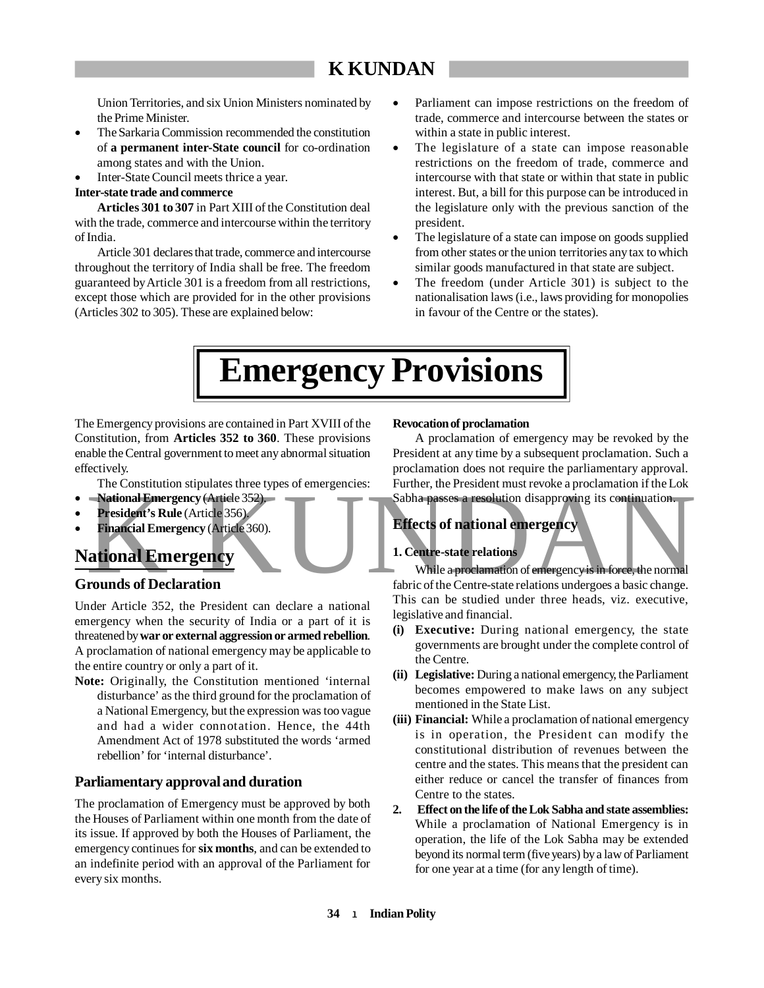Union Territories, and six Union Ministers nominated by the Prime Minister.

- The Sarkaria Commission recommended the constitution of **a permanent inter-State council** for co-ordination among states and with the Union.
- Inter-State Council meets thrice a year.

#### **Inter-state trade and commerce**

**Articles 301 to 307** in Part XIII of the Constitution deal with the trade, commerce and intercourse within the territory of India.

Article 301 declares that trade, commerce and intercourse throughout the territory of India shall be free. The freedom guaranteed by Article 301 is a freedom from all restrictions, except those which are provided for in the other provisions (Articles 302 to 305). These are explained below:

- Parliament can impose restrictions on the freedom of trade, commerce and intercourse between the states or within a state in public interest.
- The legislature of a state can impose reasonable restrictions on the freedom of trade, commerce and intercourse with that state or within that state in public interest. But, a bill for this purpose can be introduced in the legislature only with the previous sanction of the president.
- The legislature of a state can impose on goods supplied from other states or the union territories any tax to which similar goods manufactured in that state are subject.
- The freedom (under Article 301) is subject to the nationalisation laws (i.e., laws providing for monopolies in favour of the Centre or the states).

## **Emergency Provisions**

The Emergency provisions are contained in Part XVIII of the Constitution, from **Articles 352 to 360**. These provisions enable the Central government to meet any abnormal situation effectively.

The Constitution stipulates three types of emergencies:

- **National Emergency** (Article 352).
- **President's Rule** (Article 356).
- **Financial Emergency** (Article 360).

### **National Emergency**

#### **Grounds of Declaration**

Under Article 352, the President can declare a national emergency when the security of India or a part of it is threatened by **war or external aggression or armed rebellion**. A proclamation of national emergency may be applicable to the entire country or only a part of it.

**Note:** Originally, the Constitution mentioned 'internal disturbance' as the third ground for the proclamation of a National Emergency, but the expression was too vague and had a wider connotation. Hence, the 44th Amendment Act of 1978 substituted the words 'armed rebellion' for 'internal disturbance'.

#### **Parliamentary approval and duration**

The proclamation of Emergency must be approved by both the Houses of Parliament within one month from the date of its issue. If approved by both the Houses of Parliament, the emergency continues for **six months**, and can be extended to an indefinite period with an approval of the Parliament for every six months.

#### **Revocation of proclamation**

A proclamation of emergency may be revoked by the President at any time by a subsequent proclamation. Such a proclamation does not require the parliamentary approval. Further, the President must revoke a proclamation if the Lok Sabha passes a resolution disapproving its continuation.

### **Effects of national emergency**

#### **1. Centre-state relations**

National Emergency (Article 356).<br> **Example 2018** Sabha passes a resolution disapproving its continuation.<br>
Financial Emergency (Article 356).<br> **Example 2018** Sabha passes a resolution disapproving its continuation.<br> **Exam** While a proclamation of emergency is in force, the normal fabric of the Centre-state relations undergoes a basic change. This can be studied under three heads, viz. executive, legislative and financial.

- **(i) Executive:** During national emergency, the state governments are brought under the complete control of the Centre.
- **(ii) Legislative:** During a national emergency, the Parliament becomes empowered to make laws on any subject mentioned in the State List.
- **(iii) Financial:** While a proclamation of national emergency is in operation, the President can modify the constitutional distribution of revenues between the centre and the states. This means that the president can either reduce or cancel the transfer of finances from Centre to the states.
- **2. Effect on the life of the Lok Sabha and state assemblies:** While a proclamation of National Emergency is in operation, the life of the Lok Sabha may be extended beyond its normal term (five years) by a law of Parliament for one year at a time (for any length of time).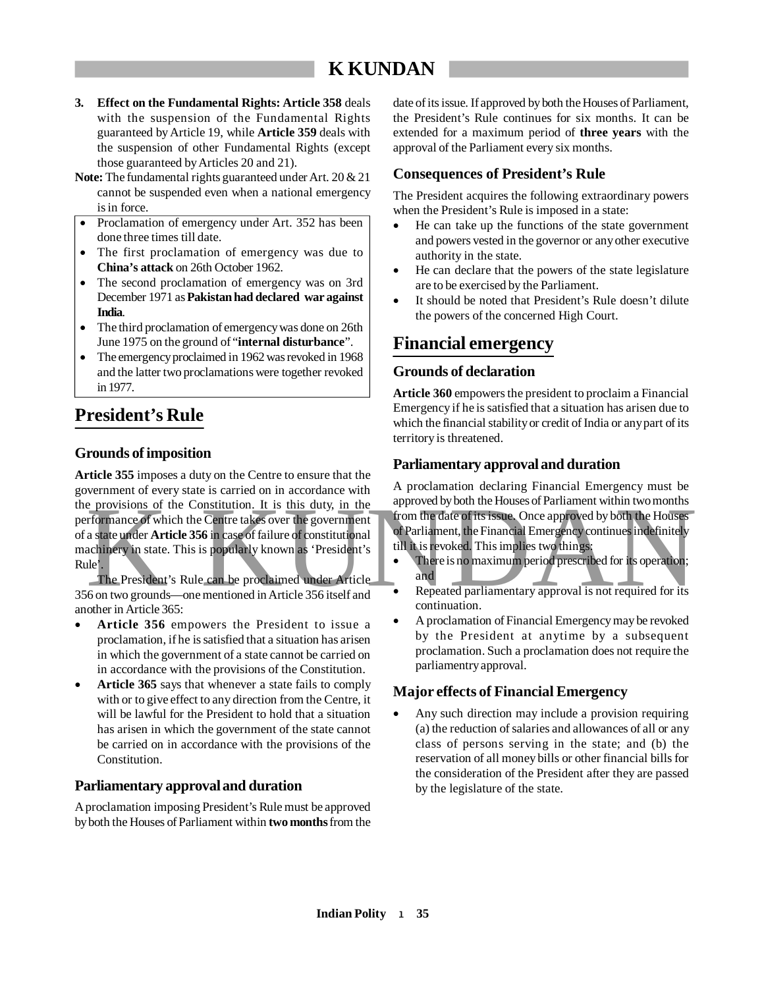- **3. Effect on the Fundamental Rights: Article 358** deals with the suspension of the Fundamental Rights guaranteed by Article 19, while **Article 359** deals with the suspension of other Fundamental Rights (except those guaranteed by Articles 20 and 21).
- **Note:** The fundamental rights guaranteed under Art. 20 & 21 cannot be suspended even when a national emergency is in force.
- Proclamation of emergency under Art. 352 has been done three times till date.
- The first proclamation of emergency was due to **China's attack** on 26th October 1962.
- The second proclamation of emergency was on 3rd December 1971 as **Pakistan had declared war against India**.
- The third proclamation of emergency was done on 26th June 1975 on the ground of "**internal disturbance**".
- The emergency proclaimed in 1962 was revoked in 1968 and the latter two proclamations were together revoked in 1977.

### **President's Rule**

#### **Grounds of imposition**

Expressions of the Constitution. It is this duty, in the approved by both the Houses of Parliament within two months<br>
formance of which the Centre takes over the government<br>
a state under Article 356 in case of failure of **Article 355** imposes a duty on the Centre to ensure that the government of every state is carried on in accordance with the provisions of the Constitution. It is this duty, in the performance of which the Centre takes over the government of a state under **Article 356** in case of failure of constitutional machinery in state. This is popularly known as 'President's Rule'.

The President's Rule can be proclaimed under Article 356 on two grounds—one mentioned in Article 356 itself and another in Article 365:

- **Article 356** empowers the President to issue a proclamation, if he is satisfied that a situation has arisen in which the government of a state cannot be carried on in accordance with the provisions of the Constitution.
- **Article 365** says that whenever a state fails to comply with or to give effect to any direction from the Centre, it will be lawful for the President to hold that a situation has arisen in which the government of the state cannot be carried on in accordance with the provisions of the Constitution.

#### **Parliamentary approval and duration**

A proclamation imposing President's Rule must be approved by both the Houses of Parliament within **two months** from the date of its issue. If approved by both the Houses of Parliament, the President's Rule continues for six months. It can be extended for a maximum period of **three years** with the approval of the Parliament every six months.

#### **Consequences of President's Rule**

The President acquires the following extraordinary powers when the President's Rule is imposed in a state:

- He can take up the functions of the state government and powers vested in the governor or any other executive authority in the state.
- He can declare that the powers of the state legislature are to be exercised by the Parliament.
- It should be noted that President's Rule doesn't dilute the powers of the concerned High Court.

#### **Financial emergency**

#### **Grounds of declaration**

**Article 360** empowers the president to proclaim a Financial Emergency if he is satisfied that a situation has arisen due to which the financial stability or credit of India or any part of its territory is threatened.

#### **Parliamentary approval and duration**

A proclamation declaring Financial Emergency must be approved by both the Houses of Parliament within two months from the date of its issue. Once approved by both the Houses of Parliament, the Financial Emergency continues indefinitely till it is revoked. This implies two things:

- There is no maximum period prescribed for its operation; and
- Repeated parliamentary approval is not required for its continuation.
- A proclamation of Financial Emergency may be revoked by the President at anytime by a subsequent proclamation. Such a proclamation does not require the parliamentry approval.

#### **Major effects of Financial Emergency**

 Any such direction may include a provision requiring (a) the reduction of salaries and allowances of all or any class of persons serving in the state; and (b) the reservation of all money bills or other financial bills for the consideration of the President after they are passed by the legislature of the state.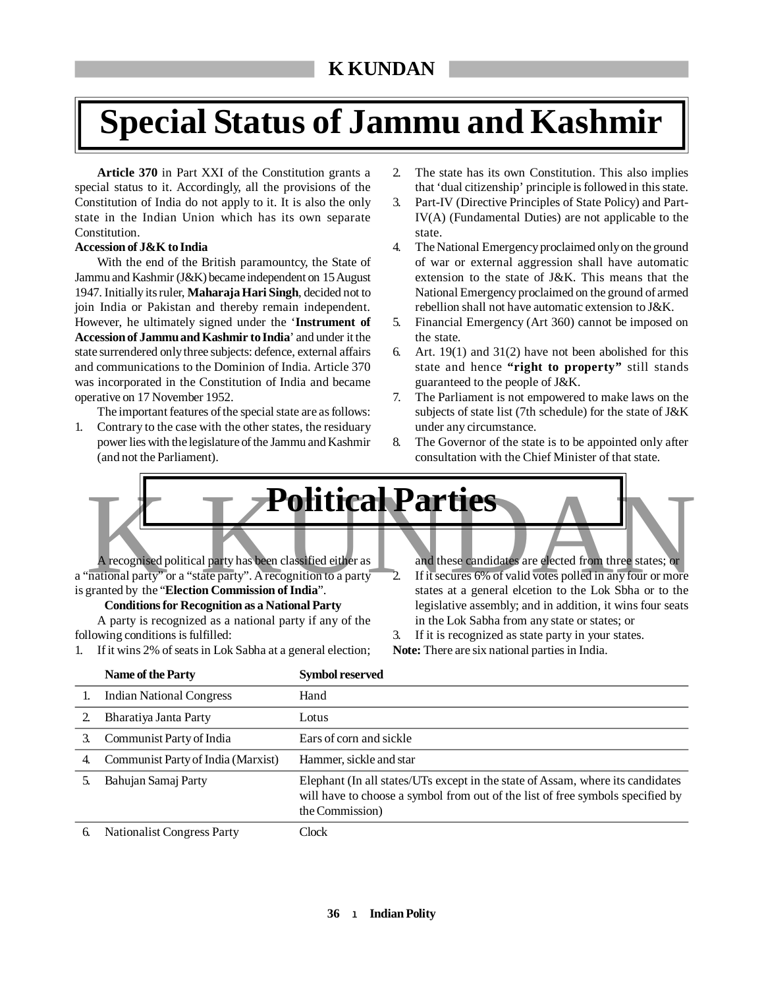## **Special Status of Jammu and Kashmir**

**Article 370** in Part XXI of the Constitution grants a special status to it. Accordingly, all the provisions of the Constitution of India do not apply to it. It is also the only state in the Indian Union which has its own separate Constitution.

#### **Accession of J&K to India**

With the end of the British paramountcy, the State of Jammu and Kashmir (J&K) became independent on 15 August 1947. Initially its ruler, **Maharaja Hari Singh**, decided not to join India or Pakistan and thereby remain independent. However, he ultimately signed under the '**Instrument of Accession of Jammu and Kashmir to India**' and under it the state surrendered only three subjects: defence, external affairs and communications to the Dominion of India. Article 370 was incorporated in the Constitution of India and became operative on 17 November 1952.

The important features of the special state are as follows:

1. Contrary to the case with the other states, the residuary power lies with the legislature of the Jammu and Kashmir (and not the Parliament).

- 2. The state has its own Constitution. This also implies that 'dual citizenship' principle is followed in this state.
- 3. Part-IV (Directive Principles of State Policy) and Part-IV(A) (Fundamental Duties) are not applicable to the state.
- 4. The National Emergency proclaimed only on the ground of war or external aggression shall have automatic extension to the state of J&K. This means that the National Emergency proclaimed on the ground of armed rebellion shall not have automatic extension to J&K.
- 5. Financial Emergency (Art 360) cannot be imposed on the state.
- 6. Art. 19(1) and 31(2) have not been abolished for this state and hence **"right to property"** still stands guaranteed to the people of J&K.
- 7. The Parliament is not empowered to make laws on the subjects of state list (7th schedule) for the state of J&K under any circumstance.
- 8. The Governor of the state is to be appointed only after consultation with the Chief Minister of that state.



A recognised political party has been classified either as a "national party" or a "state party". A recognition to a party is granted by the "**Election Commission of India**".

#### **Conditions for Recognition as a National Party**

A party is recognized as a national party if any of the following conditions is fulfilled:

1. If it wins 2% of seats in Lok Sabha at a general election;

and these candidates are elected from three states; or 2. If it secures 6% of valid votes polled in any four or more states at a general elcetion to the Lok Sbha or to the legislative assembly; and in addition, it wins four seats in the Lok Sabha from any state or states; or

3. If it is recognized as state party in your states. **Note:** There are six national parties in India.

|    | Name of the Party                  | <b>Symbol reserved</b>                                                                                                                                                              |
|----|------------------------------------|-------------------------------------------------------------------------------------------------------------------------------------------------------------------------------------|
|    | Indian National Congress           | Hand                                                                                                                                                                                |
|    | Bharatiya Janta Party              | Lotus                                                                                                                                                                               |
| 3. | Communist Party of India           | Ears of corn and sickle                                                                                                                                                             |
| 4. | Communist Party of India (Marxist) | Hammer, sickle and star                                                                                                                                                             |
|    | Bahujan Samaj Party                | Elephant (In all states/UTs except in the state of Assam, where its candidates<br>will have to choose a symbol from out of the list of free symbols specified by<br>the Commission) |
| h. | Nationalist Congress Party         | Clock                                                                                                                                                                               |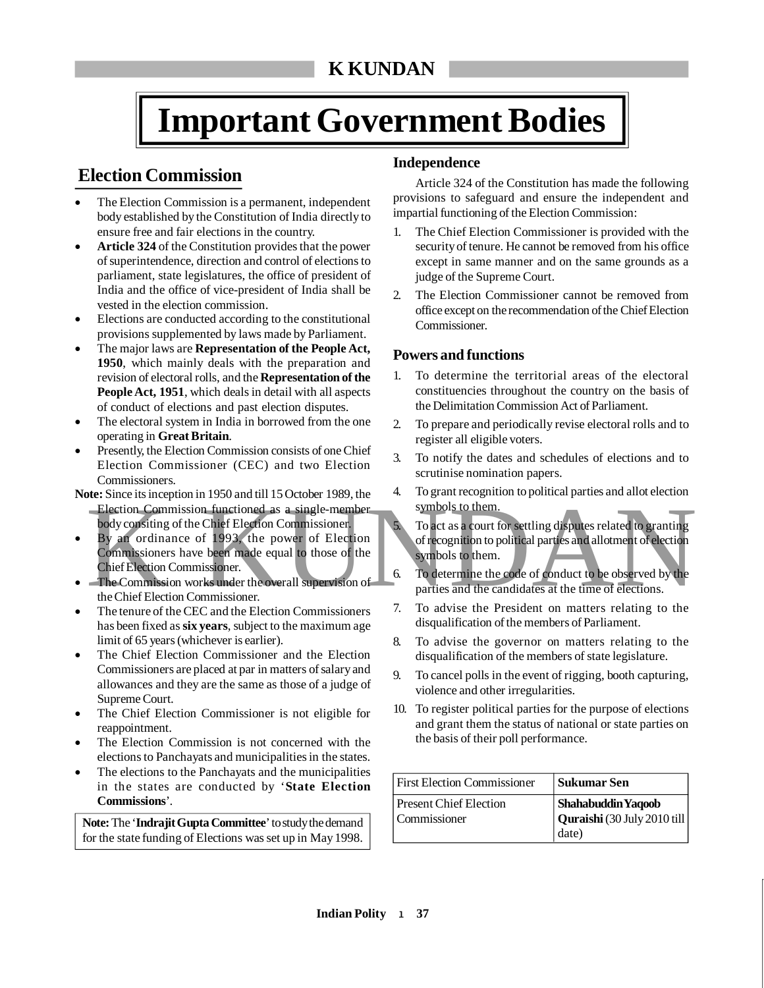## **Important Government Bodies**

### **Election Commission**

- The Election Commission is a permanent, independent body established by the Constitution of India directly to ensure free and fair elections in the country.
- **Article 324** of the Constitution provides that the power of superintendence, direction and control of elections to parliament, state legislatures, the office of president of India and the office of vice-president of India shall be vested in the election commission.
- Elections are conducted according to the constitutional provisions supplemented by laws made by Parliament.
- The major laws are **Representation of the People Act, 1950**, which mainly deals with the preparation and revision of electoral rolls, and the **Representation of the People Act, 1951**, which deals in detail with all aspects of conduct of elections and past election disputes.
- The electoral system in India in borrowed from the one operating in **Great Britain**.
- Presently, the Election Commission consists of one Chief Election Commissioner (CEC) and two Election Commissioners.

**Note:** Since its inception in 1950 and till 15 October 1989, the Election Commission functioned as a single-member body consiting of the Chief Election Commissioner.

- By an ordinance of 1993, the power of Election Commissioners have been made equal to those of the Chief Election Commissioner.
- The Commission works under the overall supervision of the Chief Election Commissioner.
- The tenure of the CEC and the Election Commissioners has been fixed as **six years**, subject to the maximum age limit of 65 years (whichever is earlier).
- The Chief Election Commissioner and the Election Commissioners are placed at par in matters of salary and allowances and they are the same as those of a judge of Supreme Court.
- The Chief Election Commissioner is not eligible for reappointment.
- The Election Commission is not concerned with the elections to Panchayats and municipalities in the states.
- The elections to the Panchayats and the municipalities in the states are conducted by '**State Election Commissions**'.

**Note:** The '**Indrajit Gupta Committee**' to study the demand for the state funding of Elections was set up in May 1998.

#### **Independence**

Article 324 of the Constitution has made the following provisions to safeguard and ensure the independent and impartial functioning of the Election Commission:

- 1. The Chief Election Commissioner is provided with the security of tenure. He cannot be removed from his office except in same manner and on the same grounds as a judge of the Supreme Court.
- 2. The Election Commissioner cannot be removed from office except on the recommendation of the Chief Election Commissioner.

#### **Powers and functions**

- 1. To determine the territorial areas of the electoral constituencies throughout the country on the basis of the Delimitation Commission Act of Parliament.
- 2. To prepare and periodically revise electoral rolls and to register all eligible voters.
- 3. To notify the dates and schedules of elections and to scrutinise nomination papers.
- 4. To grant recognition to political parties and allot election symbols to them.
- Election Commission functioned as a single-member<br>
body consiting of the Chief Election Commissioner.<br>
By an ordinance of 1993, the power of Election<br>
Commissioners have been made equal to those of the<br>
Chief Election Comm 5. To act as a court for settling disputes related to granting of recognition to political parties and allotment of election symbols to them.
	- 6. To determine the code of conduct to be observed by the parties and the candidates at the time of elections.
	- 7. To advise the President on matters relating to the disqualification of the members of Parliament.
	- 8. To advise the governor on matters relating to the disqualification of the members of state legislature.
	- 9. To cancel polls in the event of rigging, booth capturing, violence and other irregularities.
	- 10. To register political parties for the purpose of elections and grant them the status of national or state parties on the basis of their poll performance.

| <b>First Election Commissioner</b>            | Sukumar Sen                                                                         |
|-----------------------------------------------|-------------------------------------------------------------------------------------|
| <b>Present Chief Election</b><br>Commissioner | <b>Shahabuddin Yaqoob</b><br>$\sqrt{\mathbf{Quraishi}}$ (30 July 2010 till<br>date) |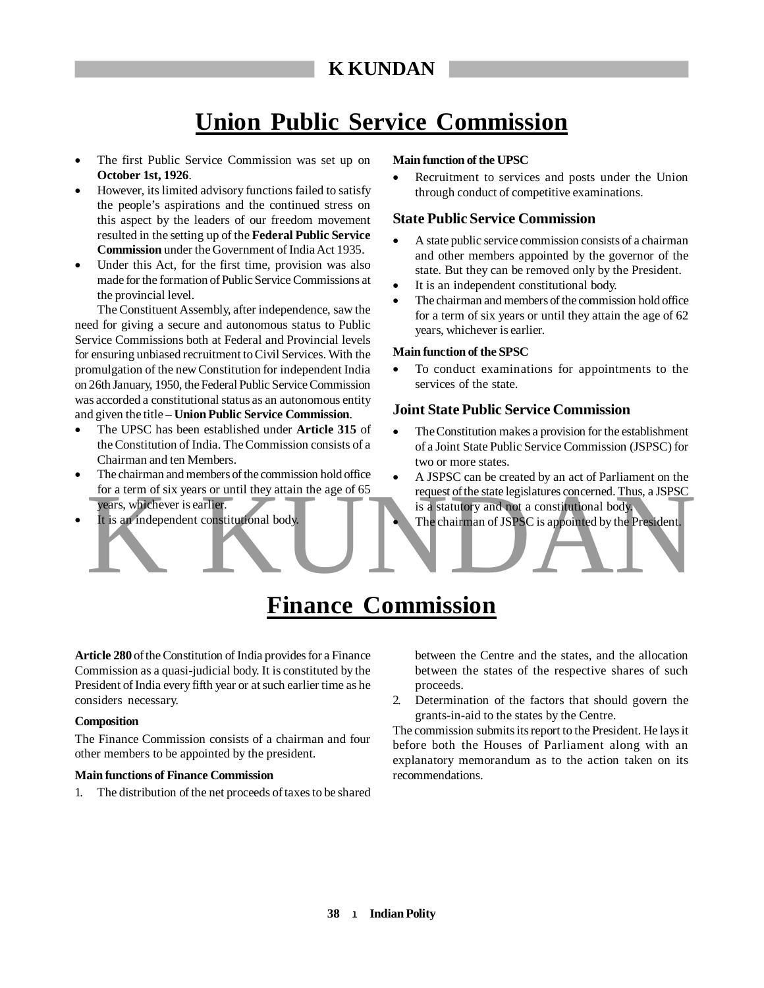## **Union Public Service Commission**

- The first Public Service Commission was set up on **October 1st, 1926**.
- However, its limited advisory functions failed to satisfy the people's aspirations and the continued stress on this aspect by the leaders of our freedom movement resulted in the setting up of the **Federal Public Service Commission** under the Government of India Act 1935.
- Under this Act, for the first time, provision was also made for the formation of Public Service Commissions at the provincial level.

The Constituent Assembly, after independence, saw the need for giving a secure and autonomous status to Public Service Commissions both at Federal and Provincial levels for ensuring unbiased recruitment to Civil Services. With the promulgation of the new Constitution for independent India on 26th January, 1950, the Federal Public Service Commission was accorded a constitutional status as an autonomous entity and given the title – **Union Public Service Commission**.

- The UPSC has been established under **Article 315** of the Constitution of India. The Commission consists of a Chairman and ten Members.
- The chairman and members of the commission hold office for a term of six years or until they attain the age of 65 years, whichever is earlier.
- It is an independent constitutional body.

#### **Main function of the UPSC**

 Recruitment to services and posts under the Union through conduct of competitive examinations.

#### **State Public Service Commission**

- A state public service commission consists of a chairman and other members appointed by the governor of the state. But they can be removed only by the President.
- It is an independent constitutional body.
- The chairman and members of the commission hold office for a term of six years or until they attain the age of 62 years, whichever is earlier.

#### **Main function of the SPSC**

 To conduct examinations for appointments to the services of the state.

#### **Joint State Public Service Commission**

- The Constitution makes a provision for the establishment of a Joint State Public Service Commission (JSPSC) for two or more states.
- for a term of six years or until they attain the age of 65<br>Tyears, whichever is earlier.<br>It is an independent constitutional body.<br>The chairman of JSPSC is appointed by the President. A JSPSC can be created by an act of Parliament on the request of the state legislatures concerned. Thus, a JSPSC is a statutory and not a constitutional body.
	- The chairman of JSPSC is appointed by the President.

## **Finance Commission**

**Article 280** of the Constitution of India provides for a Finance Commission as a quasi-judicial body. It is constituted by the President of India every fifth year or at such earlier time as he considers necessary.

#### **Composition**

The Finance Commission consists of a chairman and four other members to be appointed by the president.

#### **Main functions of Finance Commission**

1. The distribution of the net proceeds of taxes to be shared

between the Centre and the states, and the allocation between the states of the respective shares of such proceeds.

2. Determination of the factors that should govern the grants-in-aid to the states by the Centre.

The commission submits its report to the President. He lays it before both the Houses of Parliament along with an explanatory memorandum as to the action taken on its recommendations.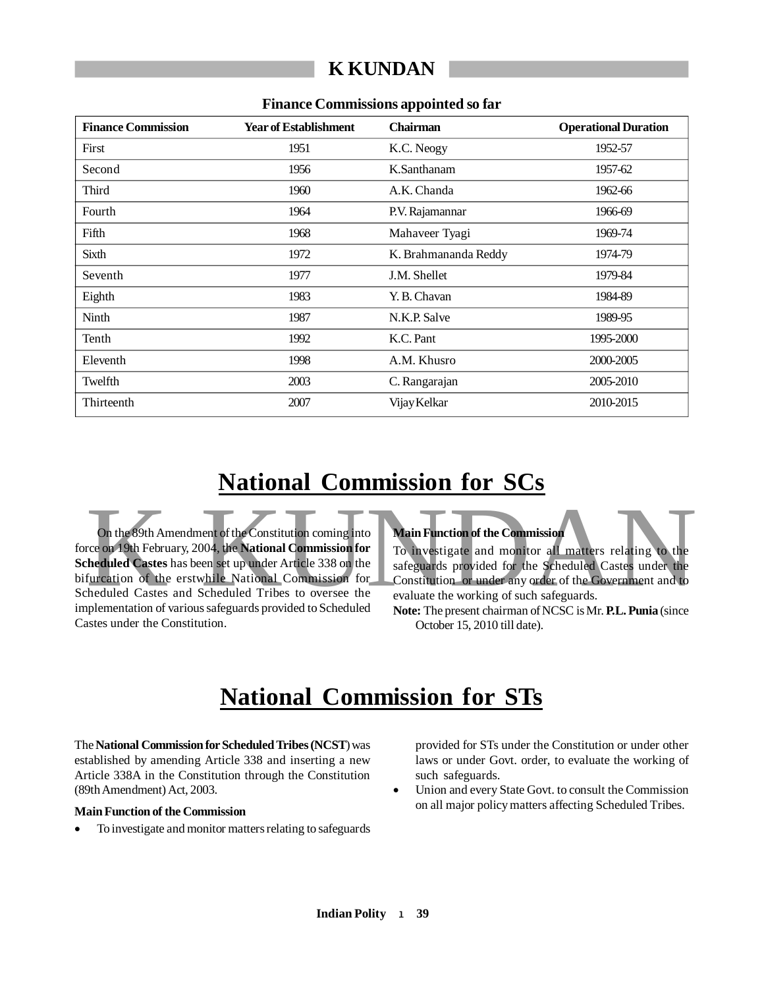| -- 1 - 1 - -              |                              |                      |                             |
|---------------------------|------------------------------|----------------------|-----------------------------|
| <b>Finance Commission</b> | <b>Year of Establishment</b> | Chairman             | <b>Operational Duration</b> |
| First                     | 1951                         | K.C. Neogy           | 1952-57                     |
| Second                    | 1956                         | K.Santhanam          | 1957-62                     |
| Third                     | 1960                         | A.K. Chanda          | 1962-66                     |
| Fourth                    | 1964                         | P.V. Rajamannar      | 1966-69                     |
| Fifth                     | 1968                         | Mahaveer Tyagi       | 1969-74                     |
| Sixth                     | 1972                         | K. Brahmananda Reddy | 1974-79                     |
| Seventh                   | 1977                         | J.M. Shellet         | 1979-84                     |
| Eighth                    | 1983                         | Y. B. Chavan         | 1984-89                     |
| Ninth                     | 1987                         | N.K.P. Salve         | 1989-95                     |
| Tenth                     | 1992                         | K.C. Pant            | 1995-2000                   |
| Eleventh                  | 1998                         | A.M. Khusro          | 2000-2005                   |
| Twelfth                   | 2003                         | C. Rangarajan        | 2005-2010                   |
| Thirteenth                | 2007                         | Vijay Kelkar         | 2010-2015                   |

#### **Finance Commissions appointed so far**

## **National Commission for SCs**

On the 89th Amendment of the Constitution coming into<br>
To investigate and monitor all matters relating to the<br> **Kanding Constitution of the Constitution**<br> **Kanding Constitution** of the Constitution and monitor all matters On the 89th Amendment of the Constitution coming into force on 19th February, 2004, the **National Commission for Scheduled Castes** has been set up under Article 338 on the bifurcation of the erstwhile National Commission for Scheduled Castes and Scheduled Tribes to oversee the implementation of various safeguards provided to Scheduled Castes under the Constitution.

**Main Function of the Commission**

To investigate and monitor all matters relating to the safeguards provided for the Scheduled Castes under the Constitution or under any order of the Government and to evaluate the working of such safeguards.

**Note:** The present chairman of NCSC is Mr. **P.L. Punia** (since October 15, 2010 till date).

## **National Commission for STs**

The **National Commission for Scheduled Tribes (NCST**) was established by amending Article 338 and inserting a new Article 338A in the Constitution through the Constitution (89th Amendment) Act, 2003.

#### **Main Function of the Commission**

To investigate and monitor matters relating to safeguards

provided for STs under the Constitution or under other laws or under Govt. order, to evaluate the working of such safeguards.

 Union and every State Govt. to consult the Commission on all major policy matters affecting Scheduled Tribes.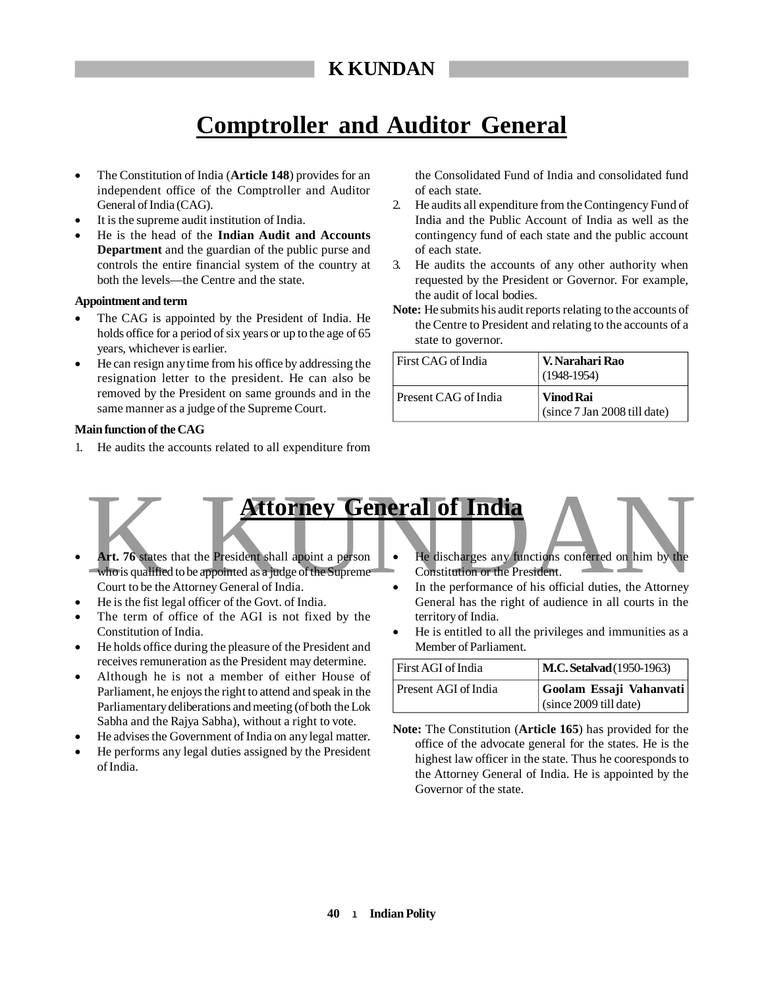## **Comptroller and Auditor General**

- The Constitution of India (**Article 148**) provides for an independent office of the Comptroller and Auditor General of India (CAG).
- It is the supreme audit institution of India.
- He is the head of the **Indian Audit and Accounts Department** and the guardian of the public purse and controls the entire financial system of the country at both the levels—the Centre and the state.

#### **Appointment and term**

- The CAG is appointed by the President of India. He holds office for a period of six years or up to the age of 65 years, whichever is earlier.
- He can resign any time from his office by addressing the resignation letter to the president. He can also be removed by the President on same grounds and in the same manner as a judge of the Supreme Court.

#### **Main function of the CAG**

1. He audits the accounts related to all expenditure from

the Consolidated Fund of India and consolidated fund of each state.

- 2. He audits all expenditure from the Contingency Fund of India and the Public Account of India as well as the contingency fund of each state and the public account of each state.
- 3. He audits the accounts of any other authority when requested by the President or Governor. For example, the audit of local bodies.
- **Note:** He submits his audit reports relating to the accounts of the Centre to President and relating to the accounts of a state to governor.

| First CAG of India   | V. Narahari Rao<br>$(1948-1954)$                 |
|----------------------|--------------------------------------------------|
| Present CAG of India | <b>Vinod Rai</b><br>(since 7 Jan 2008 till date) |

## **Attorney General of India**

- Attorney General of India<br>Art. 76 states that the President shall apoint a person<br>who is qualified to be appointed as a judge of the Supreme<br>Court to be the Attorney General of India.<br>In the performance of his official dut Art. 76 states that the President shall apoint a person who is qualified to be appointed as a judge of the Supreme Court to be the Attorney General of India.
- He is the fist legal officer of the Govt. of India.
- The term of office of the AGI is not fixed by the Constitution of India.
- He holds office during the pleasure of the President and receives remuneration as the President may determine.
- Although he is not a member of either House of Parliament, he enjoys the right to attend and speak in the Parliamentary deliberations and meeting (of both the Lok Sabha and the Rajya Sabha), without a right to vote.
- He advises the Government of India on any legal matter.
- He performs any legal duties assigned by the President of India.
- He discharges any functions conferred on him by the Constitution or the President.
- In the performance of his official duties, the Attorney General has the right of audience in all courts in the territory of India.
- He is entitled to all the privileges and immunities as a Member of Parliament.

| First AGI of India   | M.C. Setalvad (1950-1963)     |
|----------------------|-------------------------------|
| Present AGI of India | Goolam Essaji Vahanvati       |
|                      | $\sin$ (since 2009 till date) |

**Note:** The Constitution (**Article 165**) has provided for the office of the advocate general for the states. He is the highest law officer in the state. Thus he cooresponds to the Attorney General of India. He is appointed by the Governor of the state.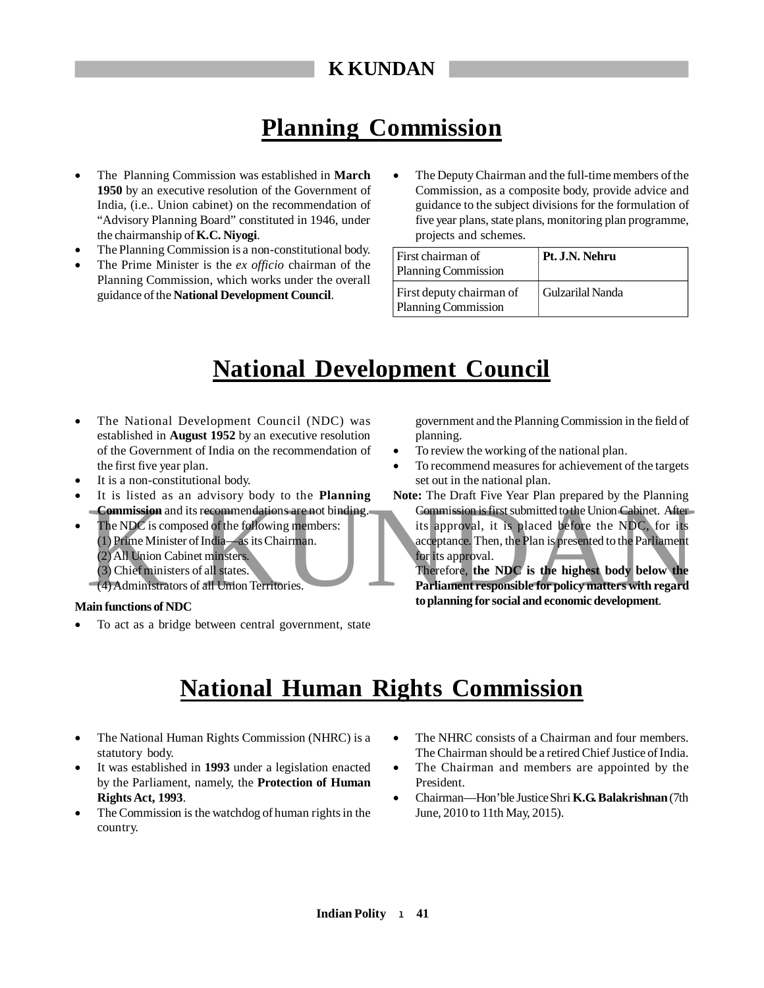## **Planning Commission**

- The Planning Commission was established in **March 1950** by an executive resolution of the Government of India, (i.e.. Union cabinet) on the recommendation of "Advisory Planning Board" constituted in 1946, under the chairmanship of **K.C. Niyogi**.
- The Planning Commission is a non-constitutional body.
- The Prime Minister is the *ex officio* chairman of the Planning Commission, which works under the overall guidance of the **National Development Council**.
- The Deputy Chairman and the full-time members of the Commission, as a composite body, provide advice and guidance to the subject divisions for the formulation of five year plans, state plans, monitoring plan programme, projects and schemes.

| First chairman of<br>Planning Commission        | Pt. J.N. Nehru   |
|-------------------------------------------------|------------------|
| First deputy chairman of<br>Planning Commission | Gulzarilal Nanda |

## **National Development Council**

- The National Development Council (NDC) was established in **August 1952** by an executive resolution of the Government of India on the recommendation of the first five year plan.
- It is a non-constitutional body.
- It is listed as an advisory body to the **Planning Commission** and its recommendations are not binding.
- The NDC is composed of the following members:
	- (1) Prime Minister of India—as its Chairman.
		- (2) All Union Cabinet minsters.
	- (3) Chief ministers of all states.
	- (4) Administrators of all Union Territories.

#### **Main functions of NDC**

To act as a bridge between central government, state

government and the Planning Commission in the field of planning.

- To review the working of the national plan.
- To recommend measures for achievement of the targets set out in the national plan.
- Commission and its recommendations are not binding.<br>
The NDC is composed of the following members:<br>
(1) Prime Minister of India—as its Chairman.<br>
(2) All Union Cabinet ministers.<br>
(3) Chief ministers of all states.<br>
(4) Ad **Note:** The Draft Five Year Plan prepared by the Planning Commission is first submitted to the Union Cabinet. After its approval, it is placed before the NDC, for its acceptance. Then, the Plan is presented to the Parliament for its approval.

Therefore, **the NDC is the highest body below the Parliament responsible for policy matters with regard to planning for social and economic development**.

## **National Human Rights Commission**

- The National Human Rights Commission (NHRC) is a statutory body.
- It was established in **1993** under a legislation enacted by the Parliament, namely, the **Protection of Human Rights Act, 1993**.
- The Commission is the watchdog of human rights in the country.
- The NHRC consists of a Chairman and four members. The Chairman should be a retired Chief Justice of India.
- The Chairman and members are appointed by the President.
- Chairman—Hon'ble Justice Shri **K.G. Balakrishnan** (7th June, 2010 to 11th May, 2015).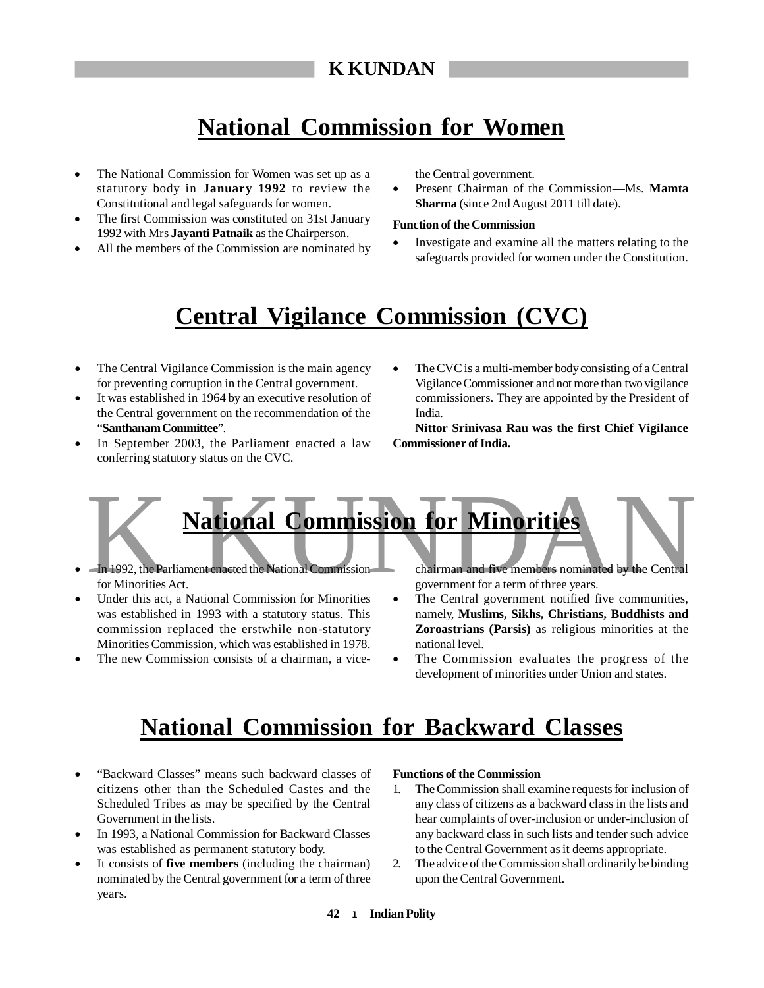## **National Commission for Women**

- The National Commission for Women was set up as a statutory body in **January 1992** to review the Constitutional and legal safeguards for women.
- The first Commission was constituted on 31st January 1992 with Mrs **Jayanti Patnaik** as the Chairperson.
- All the members of the Commission are nominated by

the Central government.

 Present Chairman of the Commission—Ms. **Mamta Sharma** (since 2nd August 2011 till date).

#### **Function of the Commission**

 Investigate and examine all the matters relating to the safeguards provided for women under the Constitution.

## **Central Vigilance Commission (CVC)**

- The Central Vigilance Commission is the main agency for preventing corruption in the Central government.
- It was established in 1964 by an executive resolution of the Central government on the recommendation of the "**Santhanam Committee**".
- In September 2003, the Parliament enacted a law conferring statutory status on the CVC.
- The CVC is a multi-member body consisting of a Central Vigilance Commissioner and not more than two vigilance commissioners. They are appointed by the President of India.

**Nittor Srinivasa Rau was the first Chief Vigilance Commissioner of India.**

## National Commission for Minorities **National Commission for Minorities**

- In 1992, the Parliament enacted the National Commission for Minorities Act.
- Under this act, a National Commission for Minorities was established in 1993 with a statutory status. This commission replaced the erstwhile non-statutory Minorities Commission, which was established in 1978.
- The new Commission consists of a chairman, a vice-

chairman and five members nominated by the Central government for a term of three years.

- The Central government notified five communities, namely, **Muslims, Sikhs, Christians, Buddhists and Zoroastrians (Parsis)** as religious minorities at the national level.
- The Commission evaluates the progress of the development of minorities under Union and states.

## **National Commission for Backward Classes**

- "Backward Classes" means such backward classes of citizens other than the Scheduled Castes and the Scheduled Tribes as may be specified by the Central Government in the lists.
- In 1993, a National Commission for Backward Classes was established as permanent statutory body.
- It consists of **five members** (including the chairman) nominated by the Central government for a term of three years.

#### **Functions of the Commission**

- 1. The Commission shall examine requests for inclusion of any class of citizens as a backward class in the lists and hear complaints of over-inclusion or under-inclusion of any backward class in such lists and tender such advice to the Central Government as it deems appropriate.
- 2. The advice of the Commission shall ordinarily be binding upon the Central Government.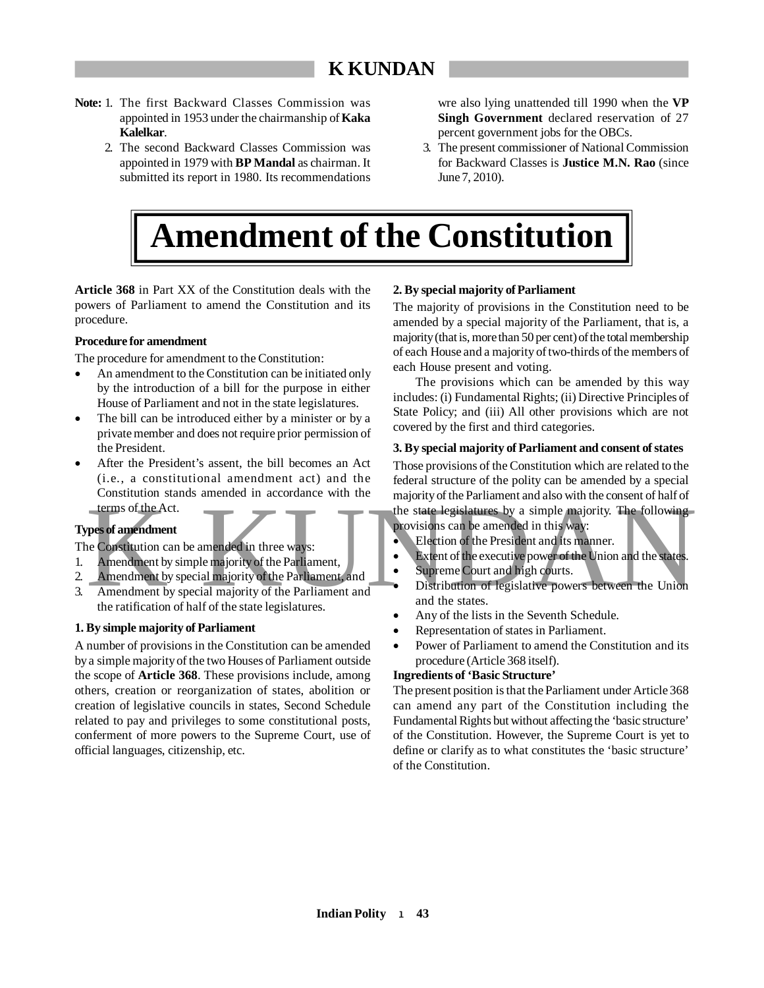- **Note:** 1. The first Backward Classes Commission was appointed in 1953 under the chairmanship of **Kaka Kalelkar**.
	- 2. The second Backward Classes Commission was appointed in 1979 with **BP Mandal** as chairman. It submitted its report in 1980. Its recommendations

wre also lying unattended till 1990 when the **VP Singh Government** declared reservation of 27 percent government jobs for the OBCs.

3. The present commissioner of National Commission for Backward Classes is **Justice M.N. Rao** (since June 7, 2010).



**Article 368** in Part XX of the Constitution deals with the powers of Parliament to amend the Constitution and its procedure.

#### **Procedure for amendment**

The procedure for amendment to the Constitution:

- An amendment to the Constitution can be initiated only by the introduction of a bill for the purpose in either House of Parliament and not in the state legislatures.
- The bill can be introduced either by a minister or by a private member and does not require prior permission of the President.
- After the President's assent, the bill becomes an Act (i.e., a constitutional amendment act) and the Constitution stands amended in accordance with the terms of the Act.

#### **Types of amendment**

The Constitution can be amended in three ways:

- 1. Amendment by simple majority of the Parliament,
- 
- 2. Amendment by special majority of the Parliament, and<br>3. Amendment by special majority of the Parliament and Amendment by special majority of the Parliament and the ratification of half of the state legislatures.

#### **1. By simple majority of Parliament**

A number of provisions in the Constitution can be amended by a simple majority of the two Houses of Parliament outside the scope of **Article 368**. These provisions include, among others, creation or reorganization of states, abolition or creation of legislative councils in states, Second Schedule related to pay and privileges to some constitutional posts, conferment of more powers to the Supreme Court, use of official languages, citizenship, etc.

#### **2. By special majority of Parliament**

The majority of provisions in the Constitution need to be amended by a special majority of the Parliament, that is, a majority (that is, more than 50 per cent) of the total membership of each House and a majority of two-thirds of the members of each House present and voting.

The provisions which can be amended by this way includes: (i) Fundamental Rights; (ii) Directive Principles of State Policy; and (iii) All other provisions which are not covered by the first and third categories.

#### **3. By special majority of Parliament and consent of states**

The sof amendment<br>
The sof amendment<br>
Le constitution can be amended in three ways:<br>
Amendment by simple majority of the Parliament,<br>
Amendment by special majority of the Parliament,<br>
Amendment by special majority of the P Those provisions of the Constitution which are related to the federal structure of the polity can be amended by a special majority of the Parliament and also with the consent of half of the state legislatures by a simple majority. The following provisions can be amended in this way:

- Election of the President and its manner.
- Extent of the executive power of the Union and the states.
- Supreme Court and high courts.
- Distribution of legislative powers between the Union and the states.
- Any of the lists in the Seventh Schedule.
- Representation of states in Parliament.
- Power of Parliament to amend the Constitution and its procedure (Article 368 itself).

#### **Ingredients of 'Basic Structure'**

The present position is that the Parliament under Article 368 can amend any part of the Constitution including the Fundamental Rights but without affecting the 'basic structure' of the Constitution. However, the Supreme Court is yet to define or clarify as to what constitutes the 'basic structure' of the Constitution.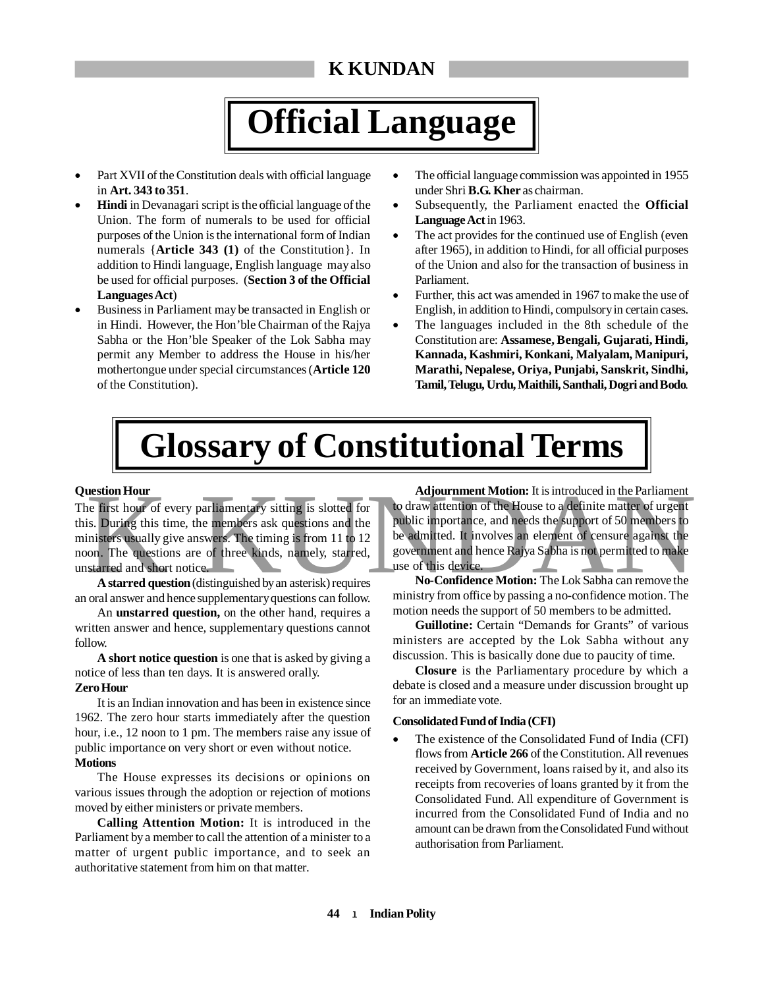## **Official Language**

- Part XVII of the Constitution deals with official language in **Art. 343 to 351**.
- **Hindi** in Devanagari script is the official language of the Union. The form of numerals to be used for official purposes of the Union is the international form of Indian numerals {**Article 343 (1)** of the Constitution}. In addition to Hindi language, English language may also be used for official purposes. (**Section 3 of the Official Languages Act**)
- Business in Parliament may be transacted in English or in Hindi. However, the Hon'ble Chairman of the Rajya Sabha or the Hon'ble Speaker of the Lok Sabha may permit any Member to address the House in his/her mothertongue under special circumstances (**Article 120** of the Constitution).
- The official language commission was appointed in 1955 under Shri **B.G. Kher** as chairman.
- Subsequently, the Parliament enacted the **Official Language Act** in 1963.
- The act provides for the continued use of English (even after 1965), in addition to Hindi, for all official purposes of the Union and also for the transaction of business in Parliament.
- Further, this act was amended in 1967 to make the use of English, in addition to Hindi, compulsory in certain cases.
- The languages included in the 8th schedule of the Constitution are: **Assamese, Bengali, Gujarati, Hindi, Kannada, Kashmiri, Konkani, Malyalam, Manipuri, Marathi, Nepalese, Oriya, Punjabi, Sanskrit, Sindhi, Tamil, Telugu, Urdu, Maithili, Santhali, Dogri and Bodo**.

## **Glossary of Constitutional Terms**

#### **Question Hour**

The first hour of every parliamentary sitting is slotted for this. During this time, the members ask questions and the ministers usually give answers. The timing is from 11 to 12 noon. The questions are of three kinds, namely, starred, unstarred and short notice.

**A starred question** (distinguished by an asterisk) requires an oral answer and hence supplementary questions can follow.

An **unstarred question**, on the other hand, requires a written answer and hence, supplementary questions cannot follow.

**A short notice question** is one that is asked by giving a notice of less than ten days. It is answered orally. **Zero Hour**

It is an Indian innovation and has been in existence since 1962. The zero hour starts immediately after the question hour, i.e., 12 noon to 1 pm. The members raise any issue of public importance on very short or even without notice. **Motions**

The House expresses its decisions or opinions on various issues through the adoption or rejection of motions moved by either ministers or private members.

**Calling Attention Motion:** It is introduced in the Parliament by a member to call the attention of a minister to a matter of urgent public importance, and to seek an authoritative statement from him on that matter.

**Adjournment Motion:** It is introduced in the Parliament<br>
is first hour of every parliamentary sitting is slotted for<br>
is. During this time, the members ask questions and the<br>
inisters usually give answers. The timing is f **Adjournment Motion:** It is introduced in the Parliament to draw attention of the House to a definite matter of urgent public importance, and needs the support of 50 members to be admitted. It involves an element of censure against the government and hence Rajya Sabha is not permitted to make use of this device.

**No-Confidence Motion:** The Lok Sabha can remove the ministry from office by passing a no-confidence motion. The motion needs the support of 50 members to be admitted.

**Guillotine:** Certain "Demands for Grants" of various ministers are accepted by the Lok Sabha without any discussion. This is basically done due to paucity of time.

**Closure** is the Parliamentary procedure by which a debate is closed and a measure under discussion brought up for an immediate vote.

#### **Consolidated Fund of India (CFI)**

 The existence of the Consolidated Fund of India (CFI) flows from **Article 266** of the Constitution. All revenues received by Government, loans raised by it, and also its receipts from recoveries of loans granted by it from the Consolidated Fund. All expenditure of Government is incurred from the Consolidated Fund of India and no amount can be drawn from the Consolidated Fund without authorisation from Parliament.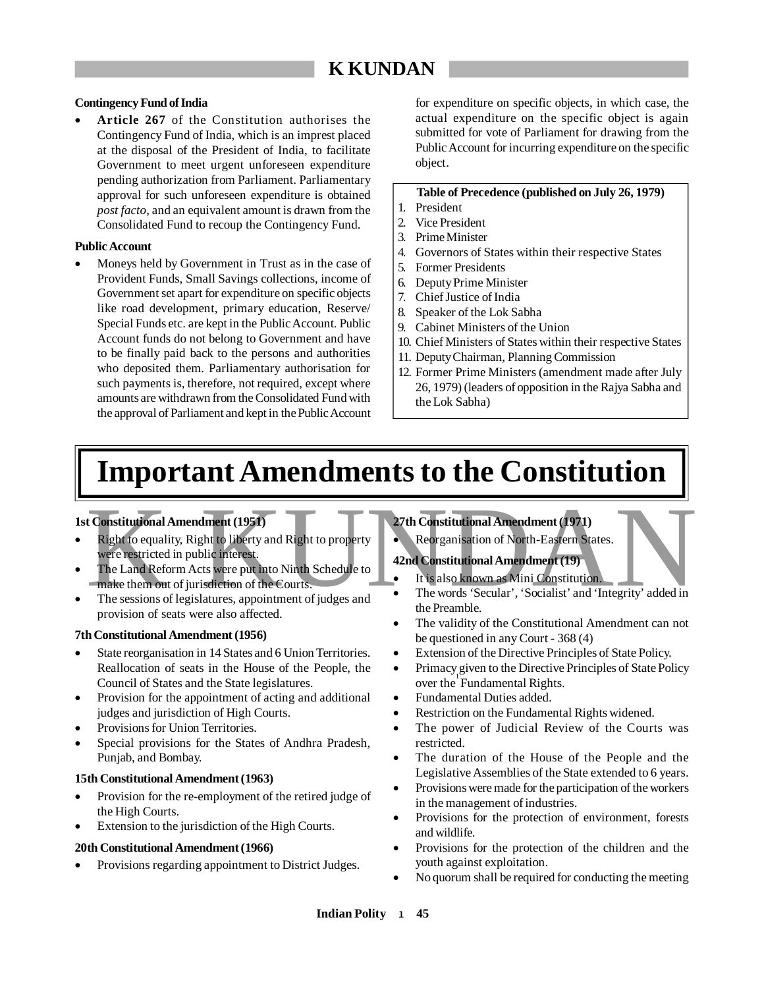#### **Contingency Fund of India**

 **Article 267** of the Constitution authorises the Contingency Fund of India, which is an imprest placed at the disposal of the President of India, to facilitate Government to meet urgent unforeseen expenditure pending authorization from Parliament. Parliamentary approval for such unforeseen expenditure is obtained *post facto*, and an equivalent amount is drawn from the Consolidated Fund to recoup the Contingency Fund.

#### **Public Account**

 Moneys held by Government in Trust as in the case of Provident Funds, Small Savings collections, income of Government set apart for expenditure on specific objects like road development, primary education, Reserve/ Special Funds etc. are kept in the Public Account. Public Account funds do not belong to Government and have to be finally paid back to the persons and authorities who deposited them. Parliamentary authorisation for such payments is, therefore, not required, except where amounts are withdrawn from the Consolidated Fund with the approval of Parliament and kept in the Public Account

for expenditure on specific objects, in which case, the actual expenditure on the specific object is again submitted for vote of Parliament for drawing from the Public Account for incurring expenditure on the specific object.

#### **Table of Precedence (published on July 26, 1979)**

- 1. President
- 2. Vice President
- 3. Prime Minister
- 4. Governors of States within their respective States
- 5. Former Presidents
- 6. Deputy Prime Minister
- 7. Chief Justice of India
- 8. Speaker of the Lok Sabha
- 9. Cabinet Ministers of the Union
- 10. Chief Ministers of States within their respective States
- 11. Deputy Chairman, Planning Commission
- 12. Former Prime Ministers (amendment made after July 26, 1979) (leaders of opposition in the Rajya Sabha and the Lok Sabha)

## **Important Amendments to the Constitution**

#### **1st Constitutional Amendment (1951)**

- Experience de Constitutional Amendment (1971)<br>
Right to equality, Right to liberty and Right to property<br>
were restricted in public interest.<br>
The Land Reform Acts were put into Ninth Schedule to<br>
The Land Reform Acts were Right to equality, Right to liberty and Right to property were restricted in public interest.
- The Land Reform Acts were put into Ninth Schedule to make them out of jurisdiction of the Courts.
- The sessions of legislatures, appointment of judges and provision of seats were also affected.

#### **7th Constitutional Amendment (1956)**

- State reorganisation in 14 States and 6 Union Territories. Reallocation of seats in the House of the People, the Council of States and the State legislatures.
- Provision for the appointment of acting and additional judges and jurisdiction of High Courts.
- Provisions for Union Territories.
- Special provisions for the States of Andhra Pradesh, Punjab, and Bombay.

#### **15th Constitutional Amendment (1963)**

- Provision for the re-employment of the retired judge of the High Courts.
- Extension to the jurisdiction of the High Courts.

#### **20th Constitutional Amendment (1966)**

Provisions regarding appointment to District Judges.

#### **27th Constitutional Amendment (1971)**

Reorganisation of North-Eastern States.

#### **42nd Constitutional Amendment (19)**

- It is also known as Mini Constitution.
- The words 'Secular', 'Socialist' and 'Integrity' added in the Preamble.
- The validity of the Constitutional Amendment can not be questioned in any Court - 368 (4)
- Extension of the Directive Principles of State Policy.
- Primacy given to the Directive Principles of State Policy over the Fundamental Rights.
- Fundamental Duties added.
- Restriction on the Fundamental Rights widened.
- The power of Judicial Review of the Courts was restricted.
- The duration of the House of the People and the Legislative Assemblies of the State extended to 6 years.
- Provisions were made for the participation of the workers in the management of industries.
- Provisions for the protection of environment, forests and wildlife.
- Provisions for the protection of the children and the youth against exploitation.
- No quorum shall be required for conducting the meeting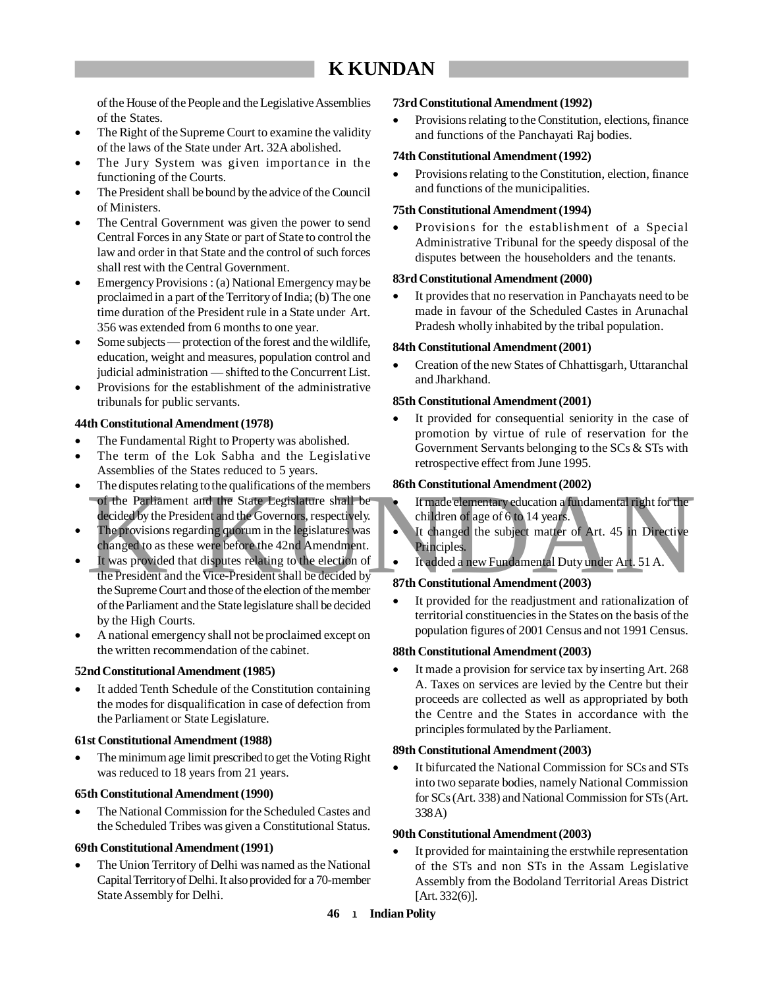of the House of the People and the Legislative Assemblies of the States.

- The Right of the Supreme Court to examine the validity of the laws of the State under Art. 32A abolished.
- The Jury System was given importance in the functioning of the Courts.
- The President shall be bound by the advice of the Council of Ministers.
- The Central Government was given the power to send Central Forces in any State or part of State to control the law and order in that State and the control of such forces shall rest with the Central Government.
- Emergency Provisions : (a) National Emergency may be proclaimed in a part of the Territory of India; (b) The one time duration of the President rule in a State under Art. 356 was extended from 6 months to one year.
- Some subjects protection of the forest and the wildlife, education, weight and measures, population control and judicial administration — shifted to the Concurrent List.
- Provisions for the establishment of the administrative tribunals for public servants.

#### **44th Constitutional Amendment (1978)**

- The Fundamental Right to Property was abolished.
- The term of the Lok Sabha and the Legislative Assemblies of the States reduced to 5 years.
- The disputes relating to the qualifications of the members of the Parliament and the State Legislature shall be decided by the President and the Governors, respectively.
- The provisions regarding quorum in the legislatures was changed to as these were before the 42nd Amendment.
- The unspires relating to the qualitientations of the members<br>
of the Partiament and the State Legislature shall be<br>
decided by the President and the Governors, respectively.<br>
The provisions regarding quorum in the legislat It was provided that disputes relating to the election of the President and the Vice-President shall be decided by the Supreme Court and those of the election of the member of the Parliament and the State legislature shall be decided by the High Courts.
- A national emergency shall not be proclaimed except on the written recommendation of the cabinet.

#### **52nd Constitutional Amendment (1985)**

 It added Tenth Schedule of the Constitution containing the modes for disqualification in case of defection from the Parliament or State Legislature.

#### **61st Constitutional Amendment (1988)**

 The minimum age limit prescribed to get the Voting Right was reduced to 18 years from 21 years.

#### **65th Constitutional Amendment (1990)**

 The National Commission for the Scheduled Castes and the Scheduled Tribes was given a Constitutional Status.

#### **69th Constitutional Amendment (1991)**

 The Union Territory of Delhi was named as the National Capital Territory of Delhi. It also provided for a 70-member State Assembly for Delhi.

#### **73rd Constitutional Amendment (1992)**

 Provisions relating to the Constitution, elections, finance and functions of the Panchayati Raj bodies.

#### **74th Constitutional Amendment (1992)**

 Provisions relating to the Constitution, election, finance and functions of the municipalities.

#### **75th Constitutional Amendment (1994)**

 Provisions for the establishment of a Special Administrative Tribunal for the speedy disposal of the disputes between the householders and the tenants.

#### **83rd Constitutional Amendment (2000)**

 It provides that no reservation in Panchayats need to be made in favour of the Scheduled Castes in Arunachal Pradesh wholly inhabited by the tribal population.

#### **84th Constitutional Amendment (2001)**

 Creation of the new States of Chhattisgarh, Uttaranchal and Jharkhand.

#### **85th Constitutional Amendment (2001)**

 It provided for consequential seniority in the case of promotion by virtue of rule of reservation for the Government Servants belonging to the SCs & STs with retrospective effect from June 1995.

#### **86th Constitutional Amendment (2002)**

- It made elementary education a fundamental right for the children of age of 6 to 14 years.
- It changed the subject matter of Art. 45 in Directive Principles.
- It added a new Fundamental Duty under Art. 51 A.

#### **87th Constitutional Amendment (2003)**

 It provided for the readjustment and rationalization of territorial constituencies in the States on the basis of the population figures of 2001 Census and not 1991 Census.

#### **88th Constitutional Amendment (2003)**

 It made a provision for service tax by inserting Art. 268 A. Taxes on services are levied by the Centre but their proceeds are collected as well as appropriated by both the Centre and the States in accordance with the principles formulated by the Parliament.

#### **89th Constitutional Amendment (2003)**

 It bifurcated the National Commission for SCs and STs into two separate bodies, namely National Commission for SCs (Art. 338) and National Commission for STs (Art. 338 A)

#### **90th Constitutional Amendment (2003)**

 It provided for maintaining the erstwhile representation of the STs and non STs in the Assam Legislative Assembly from the Bodoland Territorial Areas District [Art. 332(6)].

**46 <sup>l</sup> Indian Polity**